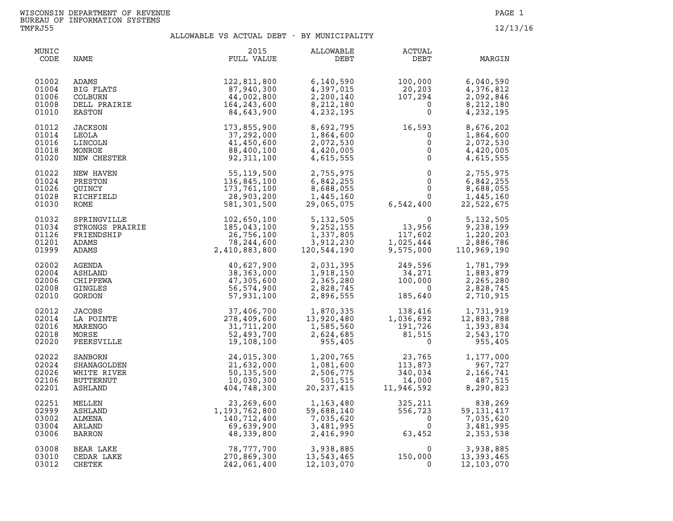| MUNIC<br>CODE                             | NAME                                                                      | 2015<br>FULL VALUE                                                                                                                                                                                                                                 | ALLOWABLE<br>DEBT                                              | ACTUAL<br>DEBT                                                                                                               | MARGIN                                                         |
|-------------------------------------------|---------------------------------------------------------------------------|----------------------------------------------------------------------------------------------------------------------------------------------------------------------------------------------------------------------------------------------------|----------------------------------------------------------------|------------------------------------------------------------------------------------------------------------------------------|----------------------------------------------------------------|
| 01002<br>01004<br>01006<br>01008<br>01010 |                                                                           | ADAMS<br>BIG FLATS<br>COLBURN 87,940,300<br>COLBURN 44,002,800<br>DELL PRAIRIE<br>TATRON 164,243,600<br>84,643,900                                                                                                                                 | 6,140,590<br>4,397,015<br>2,200,140<br>8,212,180<br>4,232,195  | $100,000$<br>20,203<br>$107,294$<br>0<br>0                                                                                   | 6,040,590<br>4,376,812<br>2,092,846<br>8,212,180<br>4,232,195  |
| 01012<br>01014<br>01016<br>01018<br>01020 | <b>LACKSON<br/>LEOLA<br/>LEOLA<br/>LINCOLN<br/>MONROE<br/>NEW CHESTER</b> | 173,855,900<br>37,292,000<br>41,450,600<br>88,400,100<br>92,311,100                                                                                                                                                                                | 8,692,795<br>1,864,600<br>2,072,530<br>4,420,005<br>4,615,555  | $16,593$<br>0<br>0<br>0<br>0<br>0                                                                                            | 8,676,202<br>1,864,600<br>2,072,530<br>4,420,005<br>4,615,555  |
| 01022<br>01024<br>01026<br>01028<br>01030 | NEW HAVEN<br>PRESTON<br>OUINCY<br>RICHFIELD<br>ROME                       | 55, 119, 500<br>136, 845, 100<br>173, 761, 100<br>28, 903, 200<br>581, 301, 500                                                                                                                                                                    | 2,755,975<br>6,842,255<br>8,688,055<br>1,445,160<br>29,065,075 | $\begin{array}{cccc} 0 & 2,755,975 \\ 0 & 6,842,255 \\ 0 & 8,688,055 \\ 0 & 1,445,160 \\ 6,542,400 & 22,522,675 \end{array}$ |                                                                |
| 01032<br>01034<br>01126<br>01201<br>01999 |                                                                           | ROME<br>SERINGVILLE STRINGERE 102, 56, 100<br>PERIEMINISHIP 102, 56, 100<br>PERIEMINISHIP 26, 100<br>PERIEMINISHIP 26, 100<br>PERIEMINISHIP 26, 234, 100<br>24, 101, 803, 800<br>24, 201, 803, 800<br>22, 244, 600<br>22, 244, 600<br>22, 524, 200 |                                                                |                                                                                                                              |                                                                |
| 02002<br>02004<br>02006<br>02008<br>02010 |                                                                           |                                                                                                                                                                                                                                                    |                                                                |                                                                                                                              |                                                                |
| 02012<br>02014<br>02016<br>02018<br>02020 |                                                                           |                                                                                                                                                                                                                                                    |                                                                |                                                                                                                              |                                                                |
| 02022<br>02024<br>02026<br>02106<br>02201 |                                                                           |                                                                                                                                                                                                                                                    |                                                                |                                                                                                                              |                                                                |
| 02251<br>02999<br>03002<br>03004<br>03006 | MELLEN<br>ASHLAND<br>ALMENA<br>ARLAND<br>BARRON                           | $\begin{array}{r} 23 \, , 269 \, , 600\ 1 \, , 193 \, , 762 \, , 800\ 140 \, , 712 \, , 400\ 69 \, , 639 \, , 900\ 48 \, , 339 \, , 800\ 48 \, , 339 \, , 800\ 270 \, , 869 \, , 300\ 242 \, , 061 \, , 400\ \end{array}$                          | 1,163,480<br>59,688,140<br>7,035,620<br>3,481,995<br>2,416,990 | 325,211<br>556,723<br>0<br>$325, 211$<br>$556, 723$<br>0<br>$63, 452$                                                        | 838,269<br>59, 131, 417<br>7,035,620<br>3,481,995<br>2,353,538 |
| 03008<br>03010<br>03012                   | BEAR LAKE<br>CEDAR LAKE<br>CHETEK                                         |                                                                                                                                                                                                                                                    | 3,938,885<br>13,543,465<br>13,543,465<br>12,103,070            | $\begin{smallmatrix}&&&0\\150,000\\0\end{smallmatrix}$<br>$\Omega$                                                           | 3,938,885<br>13, 393, 465<br>12, 103, 070                      |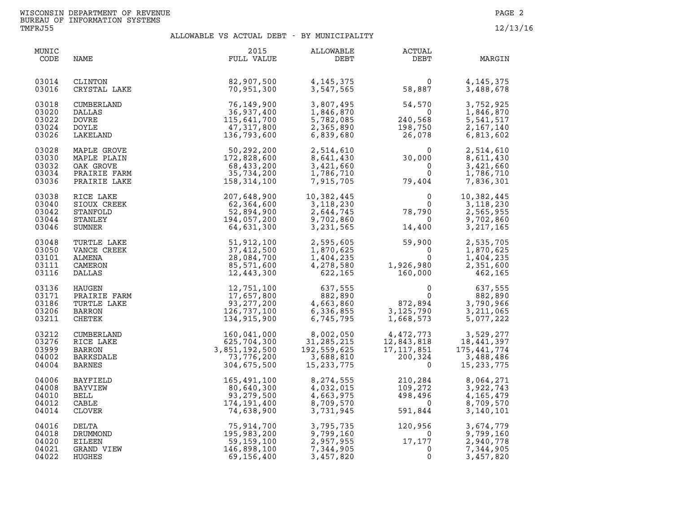| MUNIC<br>CODE                             | NAME                                                       | 2015<br>FULL VALUE                                                                                                                                                                                                                                           | ALLOWABLE<br>DEBT                                                                                                                                              | ACTUAL<br>DEBT                                                                                                                                                                                                                                                                                                                               | MARGIN                                                                         |
|-------------------------------------------|------------------------------------------------------------|--------------------------------------------------------------------------------------------------------------------------------------------------------------------------------------------------------------------------------------------------------------|----------------------------------------------------------------------------------------------------------------------------------------------------------------|----------------------------------------------------------------------------------------------------------------------------------------------------------------------------------------------------------------------------------------------------------------------------------------------------------------------------------------------|--------------------------------------------------------------------------------|
| 03014<br>03016                            | CLINTON<br>CRYSTAL LAKE                                    | 82,907,500<br>70,951,300                                                                                                                                                                                                                                     |                                                                                                                                                                |                                                                                                                                                                                                                                                                                                                                              | 4, 145, 375<br>3,488,678                                                       |
| 03018<br>03020<br>03022<br>03024<br>03026 | CUMBERLAND<br>DALLAS<br><b>DOVRE</b><br>DOYLE<br>LAKELAND  | D<br>$76,149,900$<br>$36,937,400$<br>$115,641,700$<br>$47,317,800$<br>$136,793,600$                                                                                                                                                                          | 3,807,495<br>1,846,870<br>5,782,085<br>2,365,890<br>6,839,680                                                                                                  | $54,570$<br>0<br>240,568<br>198,750<br>טכ <i>י,</i> 198<br>26,078                                                                                                                                                                                                                                                                            | 3,752,925<br>1,846,870<br>5, 541, 517<br>2,167,140<br>6,813,602                |
| 03028<br>03030<br>03032<br>03034<br>03036 |                                                            | MAPLE GROVE 50,292,200 2,514,610 0<br>MAPLE PLAIN 172,828,600 8,641,430 30,000<br>OAK GROVE 68,433,200 3,421,660 0<br>PRAIRIE FARM 35,734,200 1,786,710 0<br>PRAIRIE LAKE 158,314,100 7,915,705 79,404                                                       |                                                                                                                                                                | $0$<br>79,404                                                                                                                                                                                                                                                                                                                                | 2,514,610<br>8,611,430<br>3,421,660<br>1,786,710<br>7,836,301                  |
| 03038<br>03040<br>03042<br>03044<br>03046 | RICE LAKE<br>SIOUX CREEK<br>STANFOLD<br>STANLEY<br>SUMNER  | 207, 648, 900<br>62, 364, 600<br>52, 894, 900<br>194, 057, 200<br>64, 631, 300<br>3, 231, 565<br>552, 894, 900<br>9, 702, 860<br>64, 631, 300<br>3, 231, 565                                                                                                 |                                                                                                                                                                | $\begin{smallmatrix}&&&0\0&78\,,790\0&14\,,400\end{smallmatrix}$<br>$\begin{smallmatrix}&&&0\14,400\end{smallmatrix}$                                                                                                                                                                                                                        | 10,382,445<br>10,382,445<br>3,118,230<br>2,565,955<br>9,702,860<br>3, 217, 165 |
| 03048<br>03050<br>03101<br>03111<br>03116 | TURTLE LAKE<br>VANCE CREEK<br>ALMENA<br>CAMERON<br>DALLAS  |                                                                                                                                                                                                                                                              | $\begin{array}{llll} 51,912,100 & 2,595,605 \\ 37,412,500 & 1,870,625 \\ 28,084,700 & 1,404,235 \\ 85,571,600 & 4,278,580 \\ 12,443,300 & 622,165 \end{array}$ | $\begin{array}{cccc} 2,595,605 & 59,900 & 2,535,705 \\ 1,870,625 & 0 & 1,870,625 \\ 1,404,235 & 0 & 1,404,235 \\ 4,278,580 & 1,926,980 & 2,351,600 \\ 622,165 & 160,000 & 462,165 \end{array}$                                                                                                                                               |                                                                                |
| 03136<br>03171<br>03186<br>03206<br>03211 | HAUGEN<br>PRAIRIE FARM<br>TURTLE LAKE<br>BARRON<br>CHETEK  |                                                                                                                                                                                                                                                              |                                                                                                                                                                | $\begin{array}{cccc} 12\, , 751\, , 100 \qquad \qquad & 637\, , 555 \qquad \qquad & 0 \\ 17\, , 657\, , 800 \qquad \qquad & 882\, , 890 \qquad \qquad & 0 \\ 93\, , 277\, , 200 \qquad \qquad & 4\, , 663\, , 860 \qquad \qquad & 872\, , 894 \qquad \ 126\, , 737\, , 100 \qquad \qquad & 6\, , 336\, , 855 \qquad \qquad & 3\, , 125\, , $ | 637,555<br>882,890<br>3,790,966<br>3,211,065<br>5,077,222                      |
| 03212<br>03276<br>03999<br>04002<br>04004 | CUMBERLAND<br>RICE LAKE<br>BARRON<br>BARKSDALE<br>BARNES   |                                                                                                                                                                                                                                                              |                                                                                                                                                                | $\begin{array}{llllll} 8,002,050 & 4,472,773 & 3,529,277 \\ 31,285,215 & 12,843,818 & 18,441,397 \\ 92,559,625 & 17,117,851 & 175,441,774 \\ 3,688,810 & 200,324 & 3,488,486 \\ 15,233,775 & 0 & 15,233,775 \end{array}$                                                                                                                     |                                                                                |
| 04006<br>04008<br>04010<br>04012<br>04014 | BAYFIELD<br>BAYVIEW<br>BELL<br>CABLE<br>CLOVER             | $134,913,900$<br>$1,000,913$<br>$1,000,913$<br>$1,000,913$<br>$1,000,913$<br>$1,000,913$<br>$1,000,913$<br>$1,000,912,859,625$<br>$17,117,851$<br>$17,117,851$<br>$17,137,76,200$<br>$15,233,775$<br>$15,231,776,200$<br>$15,231,776$<br>$15,231,776$<br>$1$ |                                                                                                                                                                |                                                                                                                                                                                                                                                                                                                                              | 8,064,271<br>3,922,743<br>4,165,479<br>8,709,570<br>3,140,101                  |
| 04016<br>04018<br>04020<br>04021<br>04022 | DELTA<br>DRUMMOND<br><b>EILEEN</b><br>GRAND VIEW<br>HUGHES |                                                                                                                                                                                                                                                              |                                                                                                                                                                |                                                                                                                                                                                                                                                                                                                                              | 3,674,779<br>9,799,160<br>2,940,778<br>7,344,905<br>3,457,820                  |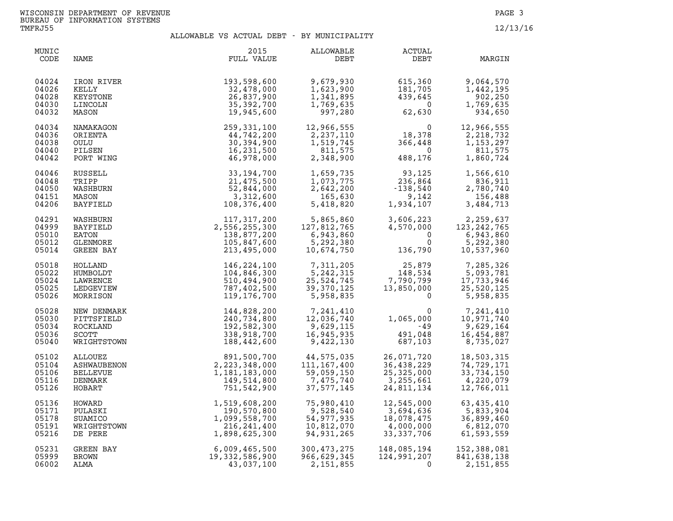| MUNIC<br>CODE                             | NAME                                                     | 2015<br>FULL VALUE                                                      | ALLOWABLE<br>DEBT                                               | <b>ACTUAL</b><br>DEBT                                                                                  | MARGIN                                                          |
|-------------------------------------------|----------------------------------------------------------|-------------------------------------------------------------------------|-----------------------------------------------------------------|--------------------------------------------------------------------------------------------------------|-----------------------------------------------------------------|
| 04024                                     | IRON RIVER                                               | 193,598,600                                                             | 9,679,930                                                       | 615,360                                                                                                | 9,064,570                                                       |
| 04026                                     | KELLY                                                    | 32,478,000                                                              | 1,623,900                                                       | 181,705                                                                                                | 1,442,195                                                       |
| 04028                                     | KEYSTONE                                                 | 26,837,900                                                              | 1,341,895                                                       | 439,645                                                                                                | 902,250                                                         |
| 04030                                     | LINCOLN                                                  | 35,392,700                                                              | 1,769,635                                                       | $\overline{0}$                                                                                         | 1,769,635                                                       |
| 04032                                     | MASON                                                    | 19,945,600                                                              | 997,280                                                         | 62,630                                                                                                 | 934,650                                                         |
| 04034<br>04036<br>04038<br>04040<br>04042 | NAMAKAGON<br>ORIENTA<br>OULU<br>PILSEN<br>PORT WING      | 259,331,100<br>44,742,200<br>30,394,900<br>16,231,500<br>46,978,000     | 12,966,555<br>2,237,110<br>1,519,745<br>811,575<br>2,348,900    | $\begin{array}{c} 0 \\ 18,378 \\ 366,448 \\ 0 \\ 488,176 \end{array}$<br>488,176                       | 12,966,555<br>2,218,732<br>1,153,297<br>811,575<br>1,860,724    |
| 04046                                     | RUSSELL                                                  | 33,194,700                                                              | 1,659,735                                                       | $\begin{array}{r} 93,125 \\ 236,864 \\ -138,540 \\ 9,142 \\ 1,934,107 \end{array}$                     | 1,566,610                                                       |
| 04048                                     | TRIPP                                                    | 21,475,500                                                              | 1,073,775                                                       |                                                                                                        | 836,911                                                         |
| 04050                                     | WASHBURN                                                 | 52,844,000                                                              | 2,642,200                                                       |                                                                                                        | 2,780,740                                                       |
| 04151                                     | MASON                                                    | 3,312,600                                                               | 165,630                                                         |                                                                                                        | 156,488                                                         |
| 04206                                     | <b>BAYFIELD</b>                                          | 108,376,400                                                             | 5,418,820                                                       |                                                                                                        | 3,484,713                                                       |
| 04291                                     | WASHBURN                                                 | 117,317,200                                                             | 5,865,860                                                       | 3,606,223                                                                                              | 2,259,637                                                       |
| 04999                                     | BAYFIELD                                                 | 2,556,255,300                                                           | 127,812,765                                                     | 4,570,000                                                                                              | 123, 242, 765                                                   |
| 05010                                     | EATON                                                    | 138,877,200                                                             | 6,943,860                                                       | $\Omega$                                                                                               | 6,943,860                                                       |
| 05012                                     | GLENMORE                                                 | 105,847,600                                                             | 5,292,380                                                       | $\mathbf 0$                                                                                            | 5,292,380                                                       |
| 05014                                     | GREEN BAY                                                | 213,495,000                                                             | 10,674,750                                                      | 136,790                                                                                                | 10,537,960                                                      |
| 05018<br>05022<br>05024<br>05025<br>05026 | HOLLAND<br>HUMBOLDT<br>LAWRENCE<br>LEDGEVIEW<br>MORRISON | 146,224,100<br>104,846,300<br>510,494,900<br>787,402,500<br>119,176,700 | 7,311,205<br>5,242,315<br>25,524,745<br>39,370,125<br>5,958,835 | $\begin{array}{r} 1322, \\ 25, 879 \\ 148, 534 \\ 7, 790, 799 \\ 13, 850, 000 \end{array}$<br>$\Omega$ | 7,285,326<br>5,093,781<br>17,733,946<br>25,520,125<br>5,958,835 |
| 05028                                     | NEW DENMARK                                              | 144,828,200                                                             | 7,241,410                                                       | $\Omega$                                                                                               | 7,241,410                                                       |
| 05030                                     | PITTSFIELD                                               | 240,734,800                                                             | 12,036,740                                                      | 1,065,000                                                                                              | 10,971,740                                                      |
| 05034                                     | ROCKLAND                                                 | 192,582,300                                                             | 9,629,115                                                       | -49                                                                                                    | 9,629,164                                                       |
| 05036                                     | <b>SCOTT</b>                                             | 338,918,700                                                             | 16,945,935                                                      | 491,048                                                                                                | 16,454,887                                                      |
| 05040                                     | WRIGHTSTOWN                                              | 188,442,600                                                             | 9,422,130                                                       | 687,103                                                                                                | 8,735,027                                                       |
| 05102                                     | ALLOUEZ                                                  | 891,500,700                                                             | 44,575,035                                                      | 26,071,720                                                                                             | 18,503,315                                                      |
| 05104                                     | ASHWAUBENON                                              | 2,223,348,000                                                           | 111, 167, 400                                                   | 36,438,229                                                                                             | 74,729,171                                                      |
| 05106                                     | <b>BELLEVUE</b>                                          | 1,181,183,000                                                           | 59,059,150                                                      | 25,325,000                                                                                             | 33,734,150                                                      |
| 05116                                     | DENMARK                                                  | 149,514,800                                                             | 7,475,740                                                       | 3,255,661                                                                                              | 4,220,079                                                       |
| 05126                                     | HOBART                                                   | 751,542,900                                                             | 37,577,145                                                      | 24,811,134                                                                                             | 12,766,011                                                      |
| 05136                                     | HOWARD                                                   | 1,519,608,200                                                           | 75,980,410                                                      | 12,545,000                                                                                             | 63,435,410                                                      |
| 05171                                     | PULASKI                                                  | 190,570,800                                                             | 9,528,540                                                       | 3,694,636                                                                                              | 5,833,904                                                       |
| 05178                                     | SUAMICO                                                  | 1,099,558,700                                                           | 54,977,935                                                      | 18,078,475                                                                                             | 36,899,460                                                      |
| 05191                                     | WRIGHTSTOWN                                              | 216,241,400                                                             | 10,812,070                                                      | 4,000,000                                                                                              | 6,812,070                                                       |
| 05216                                     | DE PERE                                                  | 1,898,625,300                                                           | 94,931,265                                                      | 33,337,706                                                                                             | 61,593,559                                                      |
| 05231                                     | <b>GREEN BAY</b>                                         | 6,009,465,500                                                           | 300, 473, 275                                                   | 148,085,194                                                                                            | 152,388,081                                                     |
| 05999                                     | BROWN                                                    | 19,332,586,900                                                          | 966,629,345                                                     | 124,991,207                                                                                            | 841,638,138                                                     |
| 06002                                     | ALMA                                                     | 43,037,100                                                              | 2,151,855                                                       | $\Omega$                                                                                               | 2,151,855                                                       |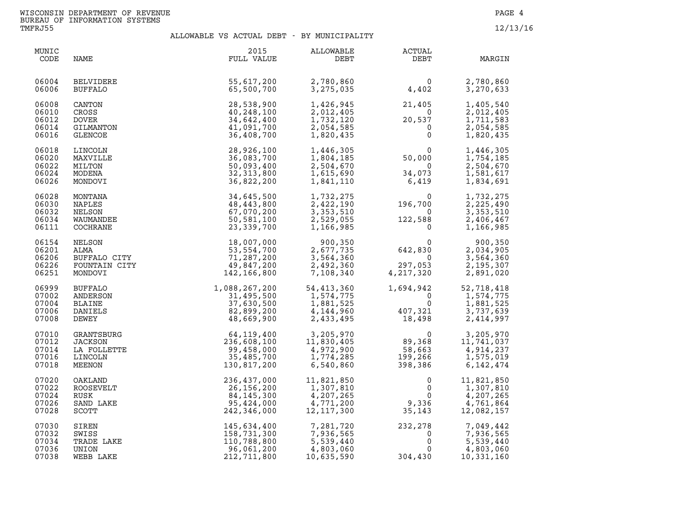| MUNIC<br>CODE                             | NAME                                                                                                                                           | 2015<br>FULL VALUE                                                              | ALLOWABLE<br>DEBT                                                             | <b>ACTUAL</b><br>DEBT                                                             | MARGIN                                                                                                    |
|-------------------------------------------|------------------------------------------------------------------------------------------------------------------------------------------------|---------------------------------------------------------------------------------|-------------------------------------------------------------------------------|-----------------------------------------------------------------------------------|-----------------------------------------------------------------------------------------------------------|
| 06004<br>06006                            | BELVIDERE<br>BUFFALO                                                                                                                           | 55,617,200<br>65,500,700                                                        | 2,780,860<br>3,275,035                                                        | $\begin{smallmatrix}&&&0\&4\end{smallmatrix}$                                     | 2,780,860<br>3,270,633                                                                                    |
| 06008<br>06010<br>06012<br>06014<br>06016 | CANTON<br>CROSS<br><b>DOVER</b><br>GILMANTON<br><b>GLENCOE</b>                                                                                 | 28,538,900<br>40,248,100<br>34,642,400<br>41,091,700<br>36,408,700              | 1,426,945<br>2,012,405<br>1,732,120<br>2,054,585<br>1,820,435                 | 21,405<br>$\overline{0}$<br>$\begin{bmatrix} 20,537 \\ 0 \\ 0 \\ 0 \end{bmatrix}$ | 1,405,540<br>2,012,405<br>1,711,583<br>2,054,585<br>1,820,435                                             |
| 06018<br>06020<br>06022<br>06024<br>06026 | LINCOLN<br>MAXVILLE<br>MILTON<br>MODENA                                                                                                        | 28,926,100<br>36,083,700<br>50,093,400<br>32, 313, 800<br>36,822,200            | 1,446,305<br>1,804,185<br>2,504,670<br>1,615,690<br>1,841,110                 | $\begin{smallmatrix}&&&0\0&&&0\0&&&0\34&073\\6&419\end{smallmatrix}$              | 1,446,305<br>1,754,185<br>2,504,670<br>1,581,617<br>1,834,691                                             |
| 06028<br>06030<br>06032<br>06034<br>06111 | NEWS<br>NEWS<br>NEWS<br>NEWS<br>NEWS<br>COCHRANE<br>NELSON<br>NELSON<br>ALMA<br>BUFFALO CITY<br>FOUNTAIN CITY<br>FOUNTAIN CITY<br>MONDOVI<br>1 | 34,645,500<br>48,443,800<br>67,070,200<br>50,581,100<br>23, 339, 700            | 1,732,275<br>2,422,190<br>3,353,510<br>2,529,055<br>1,166,985                 | $\begin{smallmatrix}&&&0\196,700\0\122,588\0\end{smallmatrix}$                    | 1,732,275<br>2,225,490<br>3,353,510<br>2,406,467<br>1,166,985                                             |
| 06154<br>06201<br>06206<br>06226<br>06251 |                                                                                                                                                | 18,007,000<br>53, 554, 700<br>71,287,200<br>49,847,200<br>142,166,800           | 900,350<br>2,677,735<br>3,564,360<br>2,492,360<br>7,108,340                   | $642,830$<br>0<br>297,053<br>4,217,320                                            | 900,350<br>2,034,905<br>3,564,360<br>2,195,307<br>2,891,020                                               |
| 06999<br>07002<br>07004<br>07006<br>07008 | <b>BUFFALO</b><br>ANDERSON<br>BLAINE<br>DANIELS<br>DEWEY                                                                                       | $1,088,267,200$<br>$31,495,500$<br>$37,630,500$<br>$82,899,200$<br>$48,669,900$ | 54,413,360<br>1,574,775<br>1,881,525<br>4,144,960<br>2,433,495                | $1,694,942$<br>0<br>$407,321$<br>$18,498$                                         | 52,718,418<br>1,574,775<br>1,881,525<br>3,737,639<br>2,414,997                                            |
| 07010<br>07012<br>07014<br>07016<br>07018 | GRANTSBURG<br><b>JACKSON</b><br>LA FOLLETTE<br>LINCOLN<br>MEENON                                                                               | 64,119,400<br>236,608,100<br>99,458,000<br>35,485,700<br>130,817,200            | 3,205,970<br>11,830,405<br>4,972,900<br>1,774,285<br>6,540,860                | $0$<br>$89,368$<br>$58,663$<br>$199,266$<br>$398,386$                             | 3,205,970<br>$\begin{array}{c} 0 \\ 368 \end{array}$<br>11,741,037<br>4,914,237<br>1,575,019<br>6,142,474 |
| 07020<br>07022<br>07024<br>07026<br>07028 | OAKLAND<br>ROOSEVELT<br>RUSK<br>SAND LAKE<br>SCOTT                                                                                             | 236,437,000<br>26,156,200<br>84,145,300<br>95,424,000<br>242,346,000            | 11,821,850<br>11,821,850<br>1,307,810<br>4,207,265<br>4,771,200<br>12,117,300 | $\mathbf 0$<br>$\Omega$<br>$0$<br>9,336<br>35,143                                 | 11,821,850<br>1,307,810<br>4,207,265<br>4,761,864<br>12,082,157                                           |
| 07030<br>07032<br>07034<br>07036<br>07038 | SIREN<br>SWISS<br>TRADE LAKE<br>UNION<br>WEBB LAKE                                                                                             | 145,634,400<br>158,731,300<br>110,788,800<br>96,061,200<br>212,711,800          | 7,281,720<br>7,936,565<br>5,539,440<br>4,803,060<br>10,635,590                | 232,278<br>$\mathbf{0}$<br>0<br>$\mathbf 0$<br>304,430                            | 7,049,442<br>7,936,565<br>5,539,440<br>4,803,060<br>10,331,160                                            |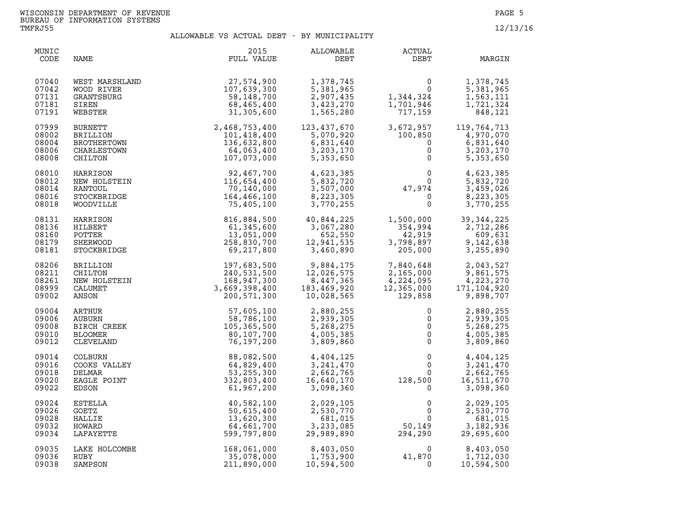| MUNIC<br>CODE                             | NAME                                                                                                                  | 2015<br>FULL VALUE                                                                                                                                                                                                                                                                                                                                                                                                   | ALLOWABLE<br>DEBT                                                 | <b>ACTUAL</b><br>DEBT                                                                     | MARGIN                                                                            |
|-------------------------------------------|-----------------------------------------------------------------------------------------------------------------------|----------------------------------------------------------------------------------------------------------------------------------------------------------------------------------------------------------------------------------------------------------------------------------------------------------------------------------------------------------------------------------------------------------------------|-------------------------------------------------------------------|-------------------------------------------------------------------------------------------|-----------------------------------------------------------------------------------|
| 07040<br>07042<br>07131<br>07181<br>07191 | WEST MARSHLAND<br>WOOD RIVER<br>GRANTSBURG<br>SIREN<br>WEBSTER                                                        | 27,574,900<br>107,639,300<br>58,148,700<br>68,465,400<br>31,305,600                                                                                                                                                                                                                                                                                                                                                  | 1,378,745<br>5,381,965<br>2,907,435<br>3,423,270<br>1,565,280     | $\begin{smallmatrix}&&&0\01,344,324\1,701,946\end{smallmatrix}$<br>1,344,324<br>1,701,946 | 1,378,745<br>5,381,965<br>1,563,111<br>1,721,324<br>848,121                       |
| 07999<br>08002<br>08004<br>08006<br>08008 | BURNETT<br><b>BRILLION</b><br>BROTHERTOWN<br>CHARLESTOWN<br>CHILTON                                                   | $\begin{array}{r} \texttt{51,305,600} \\ \texttt{2,468,753,400} \\ \texttt{101,418,400} \\ \texttt{136,632,800} \\ \texttt{N} \\ \texttt{N} \\ \texttt{N} \\ \texttt{N} \\ \texttt{N} \\ \texttt{N} \\ \texttt{N} \\ \texttt{N} \\ \texttt{N} \\ \texttt{N} \\ \texttt{N} \\ \texttt{N} \\ \texttt{N} \\ \texttt{N} \\ \texttt{N} \\ \texttt{N} \\ \texttt{N} \\ \texttt{N} \\ \texttt{N} \\ \texttt{N} \\ \texttt{$ | 123,437,670<br>5,070,920<br>6,831,640<br>3,203,170<br>5,353,650   | $717, 16$<br>3, 672, 957<br>100, 850<br>100,850<br>$\mathbf 0$<br>$\mathbf 0$             | 119,764,713<br>4,970,070<br>6,831,640<br>3,203,170<br>5,353,650                   |
| 08010                                     | HARRISON                                                                                                              | 92,467,700                                                                                                                                                                                                                                                                                                                                                                                                           | 4,623,385                                                         |                                                                                           | 4,623,385                                                                         |
| 08012                                     | NEW HOLSTEIN                                                                                                          | 116,654,400                                                                                                                                                                                                                                                                                                                                                                                                          | 5,832,720                                                         |                                                                                           | 5,832,720                                                                         |
| 08014                                     | RANTOUL                                                                                                               | 70,140,000                                                                                                                                                                                                                                                                                                                                                                                                           | 3,507,000                                                         |                                                                                           | 3,459,026                                                                         |
| 08016                                     | STOCKBRIDGE                                                                                                           | 164,466,100                                                                                                                                                                                                                                                                                                                                                                                                          | 8,223,305                                                         |                                                                                           | 8,223,305                                                                         |
| 08018                                     | WOODVILLE                                                                                                             | 75,405,100                                                                                                                                                                                                                                                                                                                                                                                                           | 3,770,255                                                         |                                                                                           | 3,770,255                                                                         |
| 08131                                     | HARRISON                                                                                                              | 816,884,500                                                                                                                                                                                                                                                                                                                                                                                                          | 40,844,225                                                        | 1,500,000                                                                                 | 39, 344, 225                                                                      |
| 08136                                     | HILBERT                                                                                                               | 61,345,600                                                                                                                                                                                                                                                                                                                                                                                                           | 3,067,280                                                         | 354,994                                                                                   | 2,712,286                                                                         |
| 08160                                     | POTTER                                                                                                                | 13,051,000                                                                                                                                                                                                                                                                                                                                                                                                           | 652,550                                                           | 42,919                                                                                    | 609,631                                                                           |
| 08179                                     | SHERWOOD                                                                                                              | 258,830,700                                                                                                                                                                                                                                                                                                                                                                                                          | 12,941,535                                                        | 3,798,897                                                                                 | 9,142,638                                                                         |
| 08181                                     | STOCKBRIDGE                                                                                                           | 69,217,800                                                                                                                                                                                                                                                                                                                                                                                                           | 3,460,890                                                         | 205,000                                                                                   | 3,255,890                                                                         |
| 08206<br>08211<br>08261<br>08999<br>09002 | CHILITON<br>NEW HOLSTEIN<br>CALUMET<br>ANSON<br>VRTHUR<br>UBURN<br>IRCH CREEK<br>000MER<br>EVELAND<br>BURN<br>RS VATT | 197,683,500<br>240,531,500<br>168,947,300<br>3,669,398,400<br>200,571,300                                                                                                                                                                                                                                                                                                                                            | 9,884,175<br>12,026,575<br>8,447,365<br>183,469,920<br>10,028,565 | 7,840,648<br>$2,165,000$<br>$4,224,095$<br>$12,365,000$<br>$129,858$<br>129,858           | 2,043,527<br>9,861,575<br>4,223,270<br>171,104,920<br>9,898,707                   |
| 09004                                     |                                                                                                                       | 57,605,100                                                                                                                                                                                                                                                                                                                                                                                                           | 2,880,255                                                         | $\mathsf{O}$                                                                              | 2,880,255                                                                         |
| 09006                                     |                                                                                                                       | 58,786,100                                                                                                                                                                                                                                                                                                                                                                                                           | 2,939,305                                                         | $\mathbf 0$                                                                               | 2,939,305                                                                         |
| 09008                                     |                                                                                                                       | 105,365,500                                                                                                                                                                                                                                                                                                                                                                                                          | 5,268,275                                                         | $\mathsf{O}$                                                                              | 5,268,275                                                                         |
| 09010                                     |                                                                                                                       | 80,107,700                                                                                                                                                                                                                                                                                                                                                                                                           | 4,005,385                                                         | $\overline{0}$                                                                            | 4,005,385                                                                         |
| 09012                                     |                                                                                                                       | 76,197,200                                                                                                                                                                                                                                                                                                                                                                                                           | 3,809,860                                                         | $\mathsf{O}$                                                                              | 3,809,860                                                                         |
| 09014<br>09016<br>09018<br>09020<br>09022 | COOKS VALLEY<br>DELMAR<br>EAGLE POINT<br>EDSON                                                                        | 88,082,500<br>64,829,400<br>53, 255, 300<br>332,803,400<br>61,967,200                                                                                                                                                                                                                                                                                                                                                | 4,404,125<br>3, 241, 470<br>2,662,765<br>16,640,170<br>3,098,360  | $\overline{0}$<br>$\mathbf 0$<br>128,500                                                  | 4,404,125<br>3, 241, 470<br>$\frac{0}{2}$<br>2,662,765<br>16,511,670<br>3,098,360 |
| 09024                                     | ESTELLA                                                                                                               | 40,582,100                                                                                                                                                                                                                                                                                                                                                                                                           | 2,029,105                                                         | 0                                                                                         | 2,029,105                                                                         |
| 09026                                     | GOETZ                                                                                                                 | 50,615,400                                                                                                                                                                                                                                                                                                                                                                                                           | 2,530,770                                                         | 0                                                                                         | 2,530,770                                                                         |
| 09028                                     | HALLIE                                                                                                                | 13,620,300                                                                                                                                                                                                                                                                                                                                                                                                           | 681,015                                                           | 0                                                                                         | 681,015                                                                           |
| 09032                                     | HOWARD                                                                                                                | 64,661,700                                                                                                                                                                                                                                                                                                                                                                                                           | 3,233,085                                                         | 50,149<br>294.290                                                                         | 3,182,936                                                                         |
| 09034                                     | LAFAYETTE                                                                                                             | 599,797,800                                                                                                                                                                                                                                                                                                                                                                                                          | 29,989,890                                                        | 294,290                                                                                   | 29,695,600                                                                        |
| 09035                                     | LAKE HOLCOMBE                                                                                                         | 168,061,000                                                                                                                                                                                                                                                                                                                                                                                                          | 8,403,050                                                         | $\Omega$                                                                                  | 8,403,050                                                                         |
| 09036                                     | RUBY                                                                                                                  | 35,078,000                                                                                                                                                                                                                                                                                                                                                                                                           | 1,753,900                                                         | 41,870                                                                                    | 1,712,030                                                                         |
| 09038                                     | SAMPSON                                                                                                               | 211,890,000                                                                                                                                                                                                                                                                                                                                                                                                          | 10,594,500                                                        | $\Omega$                                                                                  | 10,594,500                                                                        |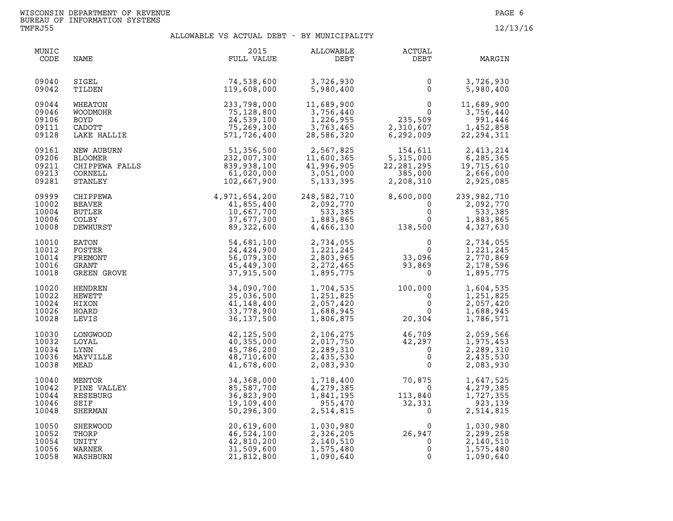| MUNIC<br>CODE                             | NAME                                                                     | 2015<br>FULL VALUE                                                    | ALLOWABLE<br>DEBT                                                 | <b>ACTUAL</b><br>DEBT                                        | MARGIN                                                         |
|-------------------------------------------|--------------------------------------------------------------------------|-----------------------------------------------------------------------|-------------------------------------------------------------------|--------------------------------------------------------------|----------------------------------------------------------------|
| 09040                                     | SIGEL                                                                    | 74,538,600                                                            | 3,726,930                                                         | 0                                                            | 3,726,930                                                      |
| 09042                                     | TILDEN                                                                   | 119,608,000                                                           | 5,980,400                                                         | $\mathbf{0}$                                                 | 5,980,400                                                      |
| 09044                                     | WHEATON                                                                  | 233,798,000                                                           | 11,689,900                                                        | $\mathbf{0}$                                                 | 11,689,900                                                     |
| 09046                                     | WOODMOHR                                                                 | 75,128,800                                                            | 3,756,440                                                         | $\Omega$                                                     | 3,756,440                                                      |
| 09106                                     | <b>BOYD</b>                                                              | 24,539,100                                                            | 1,226,955                                                         | 235,509                                                      | 991,446                                                        |
| 09111                                     | CADOTT                                                                   | 75,269,300                                                            | 3,763,465                                                         | 2,310,607                                                    | 1,452,858                                                      |
| 09128                                     | LAKE HALLIE                                                              | 571,726,400                                                           | 28,586,320                                                        | 6,292,009                                                    | 22, 294, 311                                                   |
| 09161<br>09206<br>09211<br>09213<br>09281 | NEW AUBURN<br>BLOOMER<br>CHIPPEWA FALLS<br>COPNEIL<br>CORNELL<br>STANLEY | 51,356,500<br>232,007,300<br>839,938,100<br>61,020,000<br>102,667,900 | 2,567,825<br>11,600,365<br>41,996,905<br>3,051,000<br>5, 133, 395 | 154,611<br>5,315,000<br>22, 281, 295<br>385,000<br>2,208,310 | 2,413,214<br>6,285,365<br>19,715,610<br>2,666,000<br>2,925,085 |
| 09999                                     | CHIPPEWA                                                                 | $4,971,654,200\n 41,855,400\n 10,667,700\n 37,677,300\n 89,322,600$   | 248,582,710                                                       | 8,600,000                                                    | 239,982,710                                                    |
| 10002                                     | BEAVER                                                                   |                                                                       | 2,092,770                                                         | $\mathbf{0}$                                                 | 2,092,770                                                      |
| 10004                                     | <b>BUTLER</b>                                                            |                                                                       | 533,385                                                           | $\mathbf 0$                                                  | 533,385                                                        |
| 10006                                     | <b>COLBY</b>                                                             |                                                                       | 1,883,865                                                         | $\mathbf{0}$                                                 | 1,883,865                                                      |
| 10008                                     | DEWHURST                                                                 |                                                                       | 4,466,130                                                         | 138,500                                                      | 4,327,630                                                      |
| 10010                                     | EATON                                                                    | 54,681,100                                                            | 2,734,055                                                         | $\mathbf{0}$                                                 | 2,734,055                                                      |
| 10012                                     | FOSTER                                                                   | 24,424,900                                                            | 1,221,245                                                         | $\Omega$                                                     | 1,221,245                                                      |
| 10014                                     | FREMONT                                                                  | 56,079,300                                                            | 2,803,965                                                         | 33,096                                                       | 2,770,869                                                      |
| 10016                                     | GRANT                                                                    | 45,449,300                                                            | 2,272,465                                                         | 93,869                                                       | 2,178,596                                                      |
| 10018                                     | GREEN GROVE                                                              | 37,915,500                                                            | 1,895,775                                                         | $\mathbf 0$                                                  | 1,895,775                                                      |
| 10020                                     | HENDREN                                                                  | 34,090,700                                                            | 1,704,535                                                         | 100,000                                                      | 1,604,535                                                      |
| 10022                                     | HEWETT                                                                   | 25,036,500                                                            | 1,251,825                                                         | $\overline{0}$                                               | 1,251,825                                                      |
| 10024                                     | HIXON                                                                    | 41,148,400                                                            | 2,057,420                                                         | $\mathbf 0$                                                  | 2,057,420                                                      |
| 10026                                     | HOARD                                                                    | 33,778,900                                                            | 1,688,945                                                         | $\Omega$                                                     | 1,688,945                                                      |
| 10028                                     | LEVIS                                                                    | 36, 137, 500                                                          | 1,806,875                                                         | 20,304                                                       | 1,786,571                                                      |
| 10030                                     | LONGWOOD                                                                 | 42,125,500                                                            | 2,106,275                                                         | 46,709                                                       | 2,059,566                                                      |
| 10032                                     | LOYAL                                                                    | 40,355,000                                                            | 2,017,750                                                         | 42,297                                                       | 1,975,453                                                      |
| 10034                                     | LYNN                                                                     | 45,786,200                                                            | 2,289,310                                                         | $\overline{0}$                                               | 2,289,310                                                      |
| 10036                                     | MAYVILLE                                                                 | 48,710,600                                                            | 2,435,530                                                         | 0                                                            | 2,435,530                                                      |
| 10038                                     | MEAD                                                                     | 41,678,600                                                            | 2,083,930                                                         | $\mathbf 0$                                                  | 2,083,930                                                      |
| 10040                                     | MENTOR                                                                   | 34,368,000                                                            | 1,718,400                                                         | 70,875                                                       | 1,647,525                                                      |
| 10042                                     | PINE VALLEY                                                              | 85,587,700                                                            | 4,279,385                                                         | $\mathsf{O}$                                                 | 4,279,385                                                      |
| 10044                                     | RESEBURG                                                                 | 36,823,900                                                            | 1,841,195                                                         | 113,840                                                      | 1,727,355                                                      |
| 10046                                     | SEIF                                                                     | 19,109,400                                                            | 955,470                                                           | 32,331                                                       | 923,139                                                        |
| 10048                                     | <b>SHERMAN</b>                                                           | 50,296,300                                                            | 2,514,815                                                         | $\mathbf 0$                                                  | 2,514,815                                                      |
| 10050                                     | SHERWOOD                                                                 | 20,619,600                                                            | 1,030,980                                                         | $\Omega$                                                     | 1,030,980                                                      |
| 10052                                     | THORP                                                                    | 46,524,100                                                            | 2,326,205                                                         | 26,947                                                       | 2,299,258                                                      |
| 10054                                     | UNITY                                                                    | 42,810,200                                                            | 2,140,510                                                         | $\mathbf 0$                                                  | 2,140,510                                                      |
| 10056                                     | WARNER                                                                   | 31,509,600                                                            | 1,575,480                                                         | 0                                                            | 1,575,480                                                      |
| 10058                                     | WASHBURN                                                                 | 21,812,800                                                            | 1,090,640                                                         | $\mathbf 0$                                                  | 1,090,640                                                      |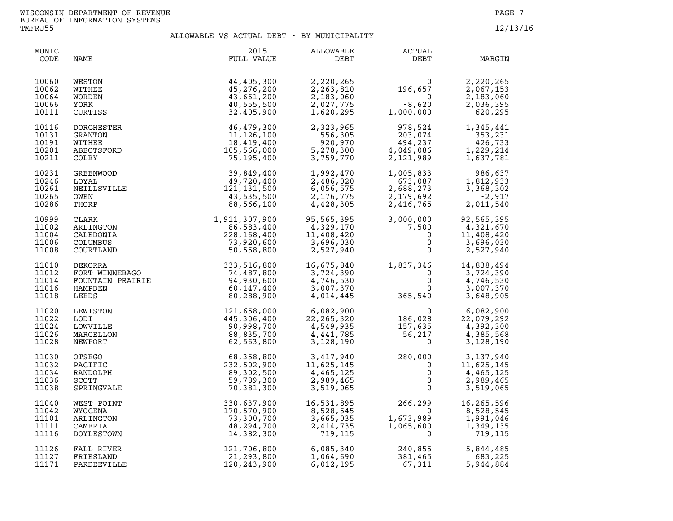| MUNIC<br>CODE                             | NAME                                                                                                                                                                                                                                                                     | 2015<br>FULL VALUE                                                                         | ALLOWABLE<br>DEBT                                                                                                                                                                                  | ACTUAL<br>DEBT                                                                                                                                                                                  | MARGIN                                                                                                                                               |
|-------------------------------------------|--------------------------------------------------------------------------------------------------------------------------------------------------------------------------------------------------------------------------------------------------------------------------|--------------------------------------------------------------------------------------------|----------------------------------------------------------------------------------------------------------------------------------------------------------------------------------------------------|-------------------------------------------------------------------------------------------------------------------------------------------------------------------------------------------------|------------------------------------------------------------------------------------------------------------------------------------------------------|
| 10060<br>10062<br>10064<br>10066<br>10111 | WESTON<br>WITHEE<br>WORDEN<br>YORK<br>CURTISS                                                                                                                                                                                                                            | 44,405,300<br>45,276,200<br>43,661,200<br>40,555,500<br>32,405,900                         |                                                                                                                                                                                                    | $2,220,265$<br>$2,263,810$<br>$2,183,060$<br>$2,027,775$<br>$1,620,295$<br>$2,000,000$                                                                                                          | 2,220,265<br>2,067,153<br>2,183,060<br>2,036,395<br>620,295                                                                                          |
| 10116<br>10131<br>10191<br>10201<br>10211 | DORCHESTER                                                                                                                                                                                                                                                               | $46,47$ ,<br>$11,126,100$<br>$18,419,400$<br>$105,566,000$<br>$75,195,400$<br>$39,849,400$ | 2,323,335<br>556,305<br>920,970<br>5,278,300<br>3,759,770                                                                                                                                          | $\begin{array}{c} 978,524 \\ 203,074 \\ 494,237 \\ 4,049,086 \\ 2,121,989 \end{array} \qquad \begin{array}{c} 1 \\ 1 \\ 1 \\ 1 \end{array}$                                                     | 1,345,441<br>353,231<br>426,733<br>1,229,214<br>1,637,781                                                                                            |
| 10231<br>10246<br>10261<br>10265<br>10286 |                                                                                                                                                                                                                                                                          |                                                                                            | 1,992,470<br>2,486,020<br>6,056,575<br>2,176,775<br>4,428,305                                                                                                                                      |                                                                                                                                                                                                 | $\begin{array}{cccc} 1,005,833 & 986,637 \\ 673,087 & 1,812,933 \\ 2,688,273 & 3,368,302 \\ 2,179,692 & -2,917 \\ 2,416,765 & 2,011,540 \end{array}$ |
| 10999<br>11002<br>11004<br>11006<br>11008 |                                                                                                                                                                                                                                                                          |                                                                                            | 95,565,395 3,000,000<br>4,329,170 7,500<br>11,408,420 0<br>3,696,030 0<br>2,527,940 0                                                                                                              |                                                                                                                                                                                                 | 92,565,395<br>4,321,670<br>11,408,420<br>3,696,030<br>2,527,940                                                                                      |
| 11010<br>11012<br>11014<br>11016<br>11018 |                                                                                                                                                                                                                                                                          |                                                                                            | 16,675,840                                                                                                                                                                                         | $\begin{array}{cccc} 16,675,840 & 1,837,346 & 14,838,494 \\ 3,724,390 & 0 & 3,724,390 \\ 4,746,530 & 0 & 4,746,530 \\ 3,007,370 & 0 & 3,007,370 \\ 4,014,445 & 365,540 & 3,648,905 \end{array}$ |                                                                                                                                                      |
| 11020<br>11022<br>11024<br>11026<br>11028 |                                                                                                                                                                                                                                                                          |                                                                                            | $\begin{array}{cccc} 6,082,900 & 0 & 6,082,900 \\ 22,265,320 & 186,028 & 22,079,292 \\ 4,549,935 & 157,635 & 4,392,300 \\ 4,441,785 & 56,217 & 4,385,568 \\ 3,128,190 & 0 & 3,128,190 \end{array}$ |                                                                                                                                                                                                 |                                                                                                                                                      |
| 11030<br>11032<br>11034<br>11036<br>11038 | COURTLAND<br>DEKORRA<br>FORT WINNEBAGO<br>FOUNTAIN PRAIRIE<br>HAMPDEN<br>LEEDS<br>LEWISTON<br>LEWISTON<br>LEWISTON<br>LEWISTON<br>LEWISTON<br>LEWISTON<br>LEWISTON<br>LEWISTON<br>LEWISTON<br>LEWISTON<br>121,658,000<br>445,306,400<br>DODI<br>LEWISTON<br>MRCELLON<br> |                                                                                            | $3,417,940$<br>$11,625,145$<br>$4,465,125$<br>$2,989,465$<br>$3,519,065$<br>O                                                                                                                      |                                                                                                                                                                                                 | 3,137,940<br>11,625,145<br>4,465,125<br>2,989,465<br>3,519,065                                                                                       |
| 11040<br>11042<br>11101<br>11111<br>11116 | WEST POINT<br>WYOCENA<br>ARLINGTON<br>CAMBRIA<br>DOYLESTOWN                                                                                                                                                                                                              | 330,637,900<br>170,570,900<br>73,300,700<br>48,294,700<br>14,382,300                       | 16,531,895<br>8,528,545<br>3,665,035<br>2,414,735<br>719,115                                                                                                                                       | 266,299<br>0<br>1,673,989<br>1,673,989<br>1,065,600<br>0                                                                                                                                        | 16,265,596<br>8,528,545<br>1,991,046<br>1,349,135<br>719,115                                                                                         |
| 11126<br>11127<br>11171                   | FALL RIVER<br>FRIESLAND<br>PARDEEVILLE                                                                                                                                                                                                                                   | 121,706,800<br>21,293,800<br>120,243,900                                                   | 1,064,690                                                                                                                                                                                          | $6,085,340$<br>$1,064,690$<br>$6,012,195$<br>$6,012,195$<br>$6,012,195$<br>$6,012,015$                                                                                                          | 5,844,485<br>683,225<br>5,944,884                                                                                                                    |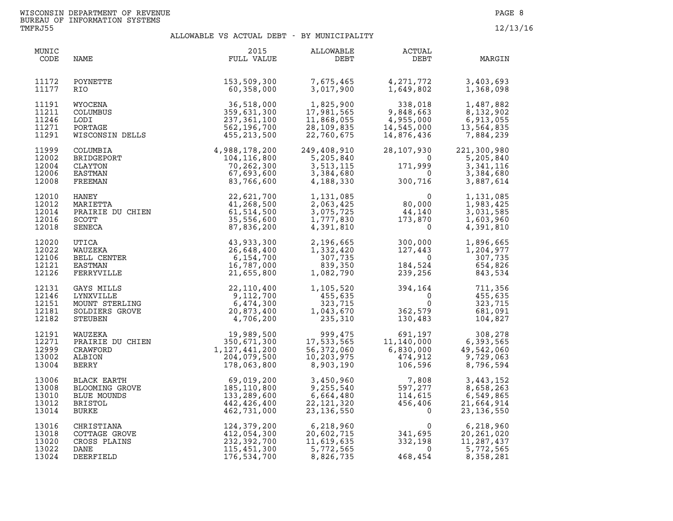| MUNIC<br>CODE                             | NAME                                                                                                      | 2015<br>FULL VALUE                                                                                                                                                                                                                                             | ALLOWABLE<br>DEBT                                                                                                      | ACTUAL<br>DEBT                                                                                                                                                                                                     | MARGIN                                                            |
|-------------------------------------------|-----------------------------------------------------------------------------------------------------------|----------------------------------------------------------------------------------------------------------------------------------------------------------------------------------------------------------------------------------------------------------------|------------------------------------------------------------------------------------------------------------------------|--------------------------------------------------------------------------------------------------------------------------------------------------------------------------------------------------------------------|-------------------------------------------------------------------|
| 11172<br>11177                            | POYNETTE<br>RIO                                                                                           | 153,509,300<br>60,358,000                                                                                                                                                                                                                                      | 7,675,465<br>3,017,900                                                                                                 | 4,271,772<br>1,649,802<br>4,271,772<br>1,649,802                                                                                                                                                                   | 3,403,693<br>1,368,098                                            |
| 11191<br>11211<br>11246<br>11271<br>11291 |                                                                                                           | WYOCENA 36,518,000<br>COLUMBUS 359,631,300<br>LODI 237,361,100<br>PORTAGE 562,196,700<br>WISCONSIN DELLS 455,213,500                                                                                                                                           | 1,825,900<br>17,981,565<br>11,868,055<br>28,109,835<br>22,760,675                                                      | $338,018$<br>9,848,663<br>4,955,000<br>14,545,000<br>14,876,436                                                                                                                                                    | 1,487,882<br>8,132,902<br>6,913,055<br>13,564,835<br>7,884,239    |
| 11999<br>12002<br>12004<br>12006<br>12008 | COLUMBIA<br>BRIDGEPORT<br>CLAYTON<br>EASTMAN                                                              | $\begin{array}{r}4,988,178,200\104,116,800\70,262,300\83,766,600\end{array}$                                                                                                                                                                                   | 249,408,910<br>$10310$<br>$-104,110,800$<br>$70,262,300$<br>$67,693,600$<br>$83,766,600$<br>$3,384,680$<br>$4,188,330$ | 28,107,930<br>$171,999$<br>$0$<br>$300,716$<br>$171,999$<br>0                                                                                                                                                      | 221,300,980<br>5,205,840<br>3,341,116<br>3,384,680<br>3,887,614   |
| 12010<br>12012<br>12014<br>12016<br>12018 | MARIETTA<br>PRAIRIE DU CHIEN<br>SCOTT<br>SENECA<br>TICA<br>NUZEKA<br>NUZEKA<br>NUZEKA<br>NUZEKA<br>NUZEKA | 22,621,700<br>41,268,500<br>61,514,500<br>35,556,600<br>87,836,200                                                                                                                                                                                             |                                                                                                                        | $\begin{array}{llll} 1,131,085 & 0 \\ 2,063,425 & 80,000 \\ 3,075,725 & 44,140 \\ 1,777,830 & 173,870 \\ 4,391,810 & 0 \end{array}$                                                                                | 1,131,085<br>1,983,425<br>3,031,585<br>1,603,960<br>4,391,810     |
| 12020<br>12022<br>12106<br>12121<br>12126 | BELL CENTER<br>EASTMAN<br>FERRYVILLE                                                                      | 43,933,300<br>26,648,400<br>6,154,700<br>16,787,000<br>21,655,800                                                                                                                                                                                              | 2,196,665<br>1,332,420<br>307, 735<br>839,350<br>1,082,790                                                             | $\begin{array}{cc} 300,000 & 1,896,665 \\ 127,443 & 1,204,977 \\ 0 & 307,735 \\ 184,524 & 654,826 \\ 239,256 & 843,534 \end{array}$                                                                                |                                                                   |
| 12131<br>12146<br>12151<br>12181<br>12182 | GAYS MILLS<br>LYNXVILLE<br>MOUNT STERLING<br>SOLDIERS GROVE<br>STEUBEN                                    | 22, 110, 400<br>9, 112, 700<br>5, 474, 300<br>NE<br>20, 873, 400<br>4, 706, 200                                                                                                                                                                                | 1,105,520<br>455,635<br>$\begin{array}{r} 433,033 \\ 323,715 \\ 1,043,670 \\ 235,310 \end{array}$                      | $\begin{array}{cc} 394,164 & 711,356 \\ 0 & 455,635 \\ 0 & 323,715 \\ 362,579 & 681,091 \\ 130,483 & 104,827 \end{array}$                                                                                          |                                                                   |
| 12191<br>12271<br>12999<br>13002<br>13004 |                                                                                                           | WAUZEKA 19,989,500 999,475<br>PRAIRIE DU CHIEN 350,671,300 17,533,565<br>CRAWFORD 1,127,441,200 56,372,060<br>ALBION 204,079,500 10,203,975<br>BERRY 178,063,800 8,903,190                                                                                     |                                                                                                                        | $\begin{array}{cccc} 999,475 & 691,197 & 308,278 \\ 17,533,565 & 11,140,000 & 6,393,565 \\ 56,372,060 & 6,830,000 & 49,542,060 \\ 10,203,975 & 474,912 & 9,729,063 \\ 8,903,190 & 106,596 & 8,796,594 \end{array}$ |                                                                   |
| 13006<br>13008<br>13010<br>13012<br>13014 |                                                                                                           | BLACK EARTH<br>BLACK EARTH<br>BLACK EARTH<br>BLOOMING GROVE<br>BLUE MOUNDS<br>BLUE MOUNDS<br>BLUE MOUNDS<br>BLACK CROYE<br>BLACK CONTAGE GROVE<br>CHRISTIANA<br>CHRISTIANA<br>CHRISTIANA<br>CHRISTIANA<br>COTTAGE GROVE<br>COTTAGE GROVE<br>CONTAGE GROVE<br>C |                                                                                                                        | 3,450,960<br>9,255,540<br>6,664,480<br>22,121,320<br>3,136,550<br>56,406<br>23,136,550<br>7                                                                                                                        | 3,443,152<br>8,658,263<br>6,549,865<br>21,664,914<br>23, 136, 550 |
| 13016<br>13018<br>13020<br>13022<br>13024 |                                                                                                           |                                                                                                                                                                                                                                                                |                                                                                                                        |                                                                                                                                                                                                                    | 6,218,960<br>20, 261, 020<br>11,287,437<br>5,772,565<br>8,358,281 |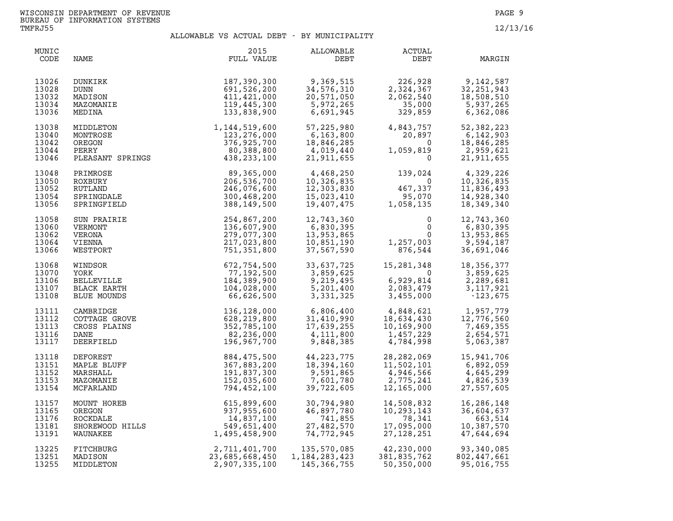| MUNIC<br>CODE                             | NAME                                                                         | 2015<br>FULL VALUE                                                                                                        | ALLOWABLE<br>DEBT                                                  | ACTUAL<br>DEBT                                                                                                                                                                          | MARGIN                                                                                                                                                                                                    |
|-------------------------------------------|------------------------------------------------------------------------------|---------------------------------------------------------------------------------------------------------------------------|--------------------------------------------------------------------|-----------------------------------------------------------------------------------------------------------------------------------------------------------------------------------------|-----------------------------------------------------------------------------------------------------------------------------------------------------------------------------------------------------------|
| 13026<br>13028<br>13032<br>13034<br>13036 | DUNKIRK<br>DUNN<br>MADISON<br>MAZOMANIE<br>MEDINA                            | 187,390,300<br>691,526,200<br>411,421,000<br>119,445,300<br>133,838,900                                                   | $9,369,515$<br>34 576 --<br>34,576,310                             | $226,928$<br>$2,324,367$<br>$2,062,540$<br>$35,000$<br>$329,859$                                                                                                                        | $\begin{array}{c} 226,928\\ 2,324,367\\ 2,062,540\\ 35,000\\ 329,859\\ 48,508,510\\ 329,859\\ \end{array} \quad \begin{array}{c} 9,142,587\\ 32,251,943\\ 18,508,510\\ 5,937,265\\ 6,362,086 \end{array}$ |
| 13038<br>13040<br>13042<br>13044<br>13046 |                                                                              | MIDDLETON 1,144,519,600<br>MONTROSE 123,276,000<br>OREGON 376,925,700<br>PERRY 80,388,800<br>PLEASANT SPRINGS 438,233,100 | 57,225,980<br>6,163,800<br>18,846,285<br>4,019,440<br>21,911,655   | $4,843,757$<br>$20,897$<br>$1,059,819$<br>$0$                                                                                                                                           | 52,382,223<br>6,142,903<br>18,846,285<br>2,959,621<br>21,911,655                                                                                                                                          |
| 13048<br>13050<br>13052<br>13054<br>13056 | PRIMROSE<br>ROXBURY<br>RUTLAND<br>SPRINGDALE<br>SPRINGFIELD                  | 89,365,000<br>206,536,700<br>246,076,600<br>300,468,200<br>388,149,500                                                    | 4,468,250                                                          | 139,024<br>0<br>$\begin{array}{ccc} 4,468,250 \\ 10,326,835 \\ 12,303,830 \\ 15,023,410 \\ 19,407,475 \end{array}$ $\begin{array}{ccc} 0 \\ 467,337 \\ 95,070 \\ 1,058,135 \end{array}$ | 4,329,226<br>10,326,835<br>11,836,493<br>14,928,340<br>18,349,340                                                                                                                                         |
| 13058<br>13060<br>13062<br>13064<br>13066 | SUN PRAIRIE<br>VERMONT<br>VERONA<br>VIENNA<br>WESTPORT                       | 254,867,200<br>136,607,900<br>279,077,300<br>217,023,800<br>751,351,800                                                   | 12,743,360<br>6,830,395<br>13,953,865<br>10,851,190<br>37,567,590  | $\overline{0}$<br>$\begin{smallmatrix}&&&0\0&&&&0\0&0&0&\\1,257,003&\\876,544&\\ \end{smallmatrix}$                                                                                     | 12,743,360<br>6,830,395<br>13,953,865<br>9,594,187<br>36,691,046                                                                                                                                          |
| 13068<br>13070<br>13106<br>13107<br>13108 | WINDSOR<br>YORK<br>BELLEVILLE<br>BLACK EARTH<br>BLUE MOUNDS                  | 672,754,500<br>77,192,500<br>184,389,900<br>104,028,000<br>66,626,500                                                     | 33,637,725<br>3,859,625<br>9,219,495<br>5,201,400<br>3,331,325     | 15,281,348<br>0<br>$\begin{array}{cc} 13,859,625 \\ 6,929,814 \\ 2,083,479 \\ 3,455,000 \end{array}$ $\begin{array}{cc} 3,859,625 \\ 2,289,681 \\ 3,117,921 \\ -123,675 \end{array}$    | 18, 356, 377                                                                                                                                                                                              |
| 13111<br>13112<br>13113<br>13116<br>13117 | CAMBRIDGE<br>COTTAGE GROVE<br>CROSS PLAINS<br>DANE<br>DEERFIELD              | 7E<br>7E<br>528,219,800<br>552,785,100<br>82,236,000<br>196,967,700                                                       | 6,806,400<br>31,410,990<br>17,639,255<br>4,111,800<br>9,848,385    | $\begin{array}{llll} 4,848,621 & 1,957,779 \\ 18,634,430 & 12,776,560 \\ 10,169,900 & 7,469,355 \\ 1,457,229 & 2,654,571 \\ 4,784,998 & 5,063,387 \end{array}$                          |                                                                                                                                                                                                           |
| 13118<br>13151<br>13152<br>13153<br>13154 | DEFOREST<br>MAPLE BLUFF<br>MARSHALL<br>MAZOMANIE<br>MCFARLAND                | 884,475,500<br>367,883,200<br>191,837,300<br>152,035,600<br>794,452,100                                                   | 44, 223, 775<br>18,394,160<br>9,591,865<br>7,601,780<br>39,722,605 | $2,775,241$<br>12,165,000                                                                                                                                                               | 28, 282, 069 15, 941, 706<br>11, 502, 101 6, 892, 059<br>4,645,299<br>4,826,539<br>27,557,605                                                                                                             |
| 13157<br>13165<br>13176<br>13181<br>13191 | MOUNT HOREB<br>OREGON<br>ROCKDALE<br>SHOREWOOD HILLS<br>WAUNAKEE<br>WAUNAKEE | 615,899,600<br>937,955,600<br>14,837,100<br>549,651,400<br>1,495,458,900                                                  | 30,794,980<br>46,897,780<br>741,855<br>27,482,570<br>74,772,945    | 14,508,832<br>10,293,143<br>78,341<br>8,341<br>17,095,000<br>27,128,251                                                                                                                 | 16,286,148<br>36,604,637<br>663,514<br>10,387,570<br>47,644,694                                                                                                                                           |
| 13225<br>13251<br>13255                   | FITCHBURG<br>MADISON<br>MIDDLETON                                            | 2,711,401,700<br>23,685,668,450<br>2,907,335,100                                                                          | 135,570,085<br>1,184,283,423<br>145,366,755                        | 42,230,000<br>381,835.762<br>381,835,762<br>50,350,000                                                                                                                                  | 93,340,085<br>802,447,661<br>95,016,755                                                                                                                                                                   |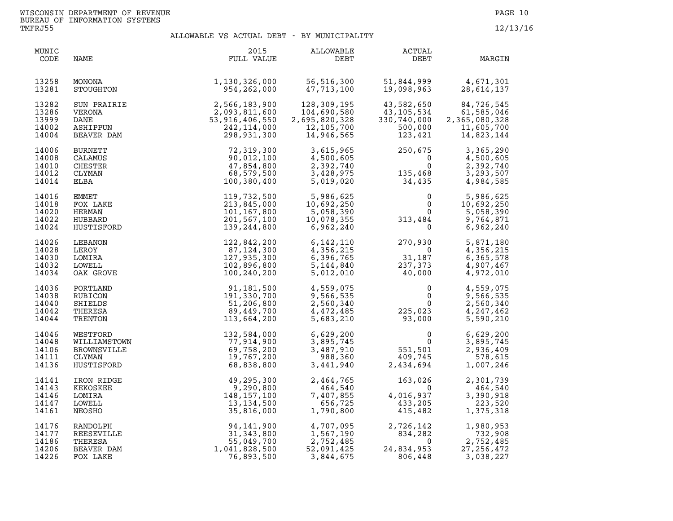| MUNIC<br>CODE                             | NAME                                                                   | 2015<br>FULL VALUE                                                                   | ALLOWABLE<br>DEBT                                                                           | ACTUAL<br>DEBT                                                                 | MARGIN                                                                |
|-------------------------------------------|------------------------------------------------------------------------|--------------------------------------------------------------------------------------|---------------------------------------------------------------------------------------------|--------------------------------------------------------------------------------|-----------------------------------------------------------------------|
| 13258<br>13281                            | MONONA<br>STOUGHTON                                                    | 1,130,326,000<br>954,262,000                                                         | 56,516,300<br>47,713,100                                                                    |                                                                                | 51,844,999 4,671,301<br>19,098,963 28,614,137                         |
| 13282<br>13286<br>13999<br>14002<br>14004 | SUN PRAIRIE<br>VERONA<br>DANE<br>ASHIPPUN<br>BEAVER DAM                | IE<br>2,566,183,900<br>2,093,811,600<br>53,916,406,550<br>242,114,000<br>298,931,300 | 128,309,195<br>104,690,580<br>2,695,820,328<br>12,105,700<br>14,946,565                     | 43,582,650<br>43,105,534<br>330,740,000<br>500,000<br>123,421                  | 84,726,545<br>61,585,046<br>2,365,080,328<br>11,605,700<br>14,823,144 |
| 14006<br>14008<br>14010<br>14012<br>14014 | <b>BURNETT</b><br>CALAMUS<br><b>CHESTER</b><br>CLYMAN<br>ELBA          | 72,319,300<br>90,012,100<br>47,854,800<br>68,579,500<br>100,380,400                  | 3,615,965<br>4,500,605<br>2,392,740<br>3,428,975<br>5,019,020                               | $250,675$ <sup>0</sup><br>$250,675$<br>0<br>135,468<br>34,435                  | 3,365,290<br>4,500,605<br>2,392,740<br>3,293,507<br>4,984,585         |
| 14016<br>14018<br>14020<br>14022<br>14024 | <b>EMMET</b><br>FOX LAKE<br>HERMAN<br>HUBBARD<br>HUSTISFORD            | 119,732,500<br>213,845,000<br>101, 167, 800<br>201,567,100<br>139,244,800            | 5,986,625<br>$\overline{\phantom{a}}$<br>10,692,250<br>5,058,390<br>10,078,355<br>6,962,240 | $\begin{smallmatrix}&&0\0&&0\0&0\0&313,484\\0&&0\end{smallmatrix}$<br>0        | 5,986,625<br>10,692,250<br>5,058,390<br>9,764,871<br>6,962,240        |
| 14026<br>14028<br>14030<br>14032<br>14034 | LEBANON<br>LEROY<br>LOMIRA<br>LOWELL<br>OAK GROVE                      | 122,842,200<br>87,124,300<br>127,935,300<br>102,896,800<br>100,240,200               | 6, 142, 110<br>4,356,215<br>6,396,765<br>5, 144, 840<br>5,012,010                           | $270,930$<br>0<br>31,187<br>237,373<br>40,000                                  | 5,871,180<br>4,356,215<br>6,365,578<br>4,907,467<br>4,972,010         |
| 14036<br>14038<br>14040<br>14042<br>14044 | PORTLAND<br>RUBICON<br>SHIELDS<br>THERESA<br>TRENTON                   | 91,181,500<br>191,330,700<br>51,206,800<br>89,449,700<br>113,664,200                 | 4,559,075<br>9,566,535<br>2,560,340<br>4,472,485<br>5,683,210                               | $\begin{smallmatrix}&&&0\0&&&0\225\, ,\, 023\0& 93\, ,\, 000\end{smallmatrix}$ | 4,559,075<br>9,566,535<br>2,560,340<br>4,247,462<br>5,590,210         |
| 14046<br>14048<br>14106<br>14111<br>14136 | WESTFORD<br>WILLIAMSTOWN<br><b>BROWNSVILLE</b><br>CLYMAN<br>HUSTISFORD | 132,584,000<br>77,914,900<br>69,758,200<br>19,767,200<br>68,838,800                  | 6,629,200<br>3,895,745<br>3,487,910<br>988,360<br>3,441,940                                 | $\begin{array}{c} 0 \\ 0 \\ 551, 501 \\ 409, 745 \\ 2, 434, 694 \end{array}$   | 6,629,200<br>3,895,745<br>2,936,409<br>578,615<br>1,007,246           |
| 14141<br>14143<br>14146<br>14147<br>14161 | IRON RIDGE<br>KEKOSKEE<br>LOMIRA<br>LOWELL<br>NEOSHO                   | 49,295,300<br>9,290,800<br>148,157,100<br>13,134,500<br>35,816,000                   | 2,464,765<br>464,540<br>7,407,855<br>656,725<br>1,790,800                                   | 163,026<br>$\Omega$<br>0<br>4,016,937<br>433,205<br>415,482                    | 2,301,739<br>464,540<br>3,390,918<br>223,520<br>1,375,318             |
| 14176<br>14177<br>14186<br>14206<br>14226 | RANDOLPH<br>REESEVILLE<br>THERESA<br>BEAVER DAM<br>FOX LAKE            | 94,141,900<br>31, 343, 800<br>55,049,700<br>1,041,828,500<br>76,893,500              | 4,707,095<br>1,567,190<br>2,752,485<br>52,091,425<br>3,844,675                              | 2,726,142<br>834,282<br>24,834,953<br>24,834,953<br>806,448                    | 1,980,953<br>732,908<br>2,752,485<br>27, 256, 472<br>3,038,227        |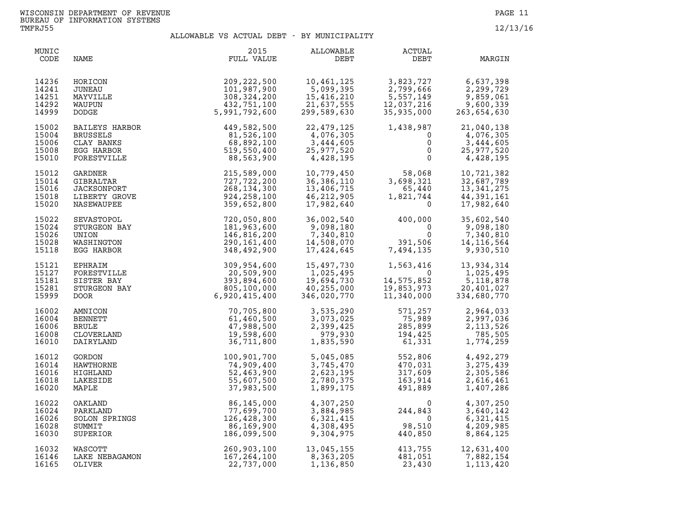| MUNIC<br>CODE                             | NAME                                             | 2015<br>FULL VALUE                                                                                                                                                                                                                                                                       | ALLOWABLE<br>DEBT                                                                | ACTUAL<br>DEBT                                                                                                      | MARGIN                                                                                                         |
|-------------------------------------------|--------------------------------------------------|------------------------------------------------------------------------------------------------------------------------------------------------------------------------------------------------------------------------------------------------------------------------------------------|----------------------------------------------------------------------------------|---------------------------------------------------------------------------------------------------------------------|----------------------------------------------------------------------------------------------------------------|
| 14236<br>14241<br>14251<br>14292<br>14999 | HORICON<br>JUNEAU<br>MAYVILLE<br>WAUPUN<br>DODGE | 209, 222, 500<br>101,987,900<br>308, 324, 200<br>432,751,100<br>5,991,792,600                                                                                                                                                                                                            | 10,461,125<br>10,461,125<br>5,099,395<br>15,416,210<br>21,637,555<br>299,589,630 | 3,823,727 6,637,398<br>2,799,666 2,299,729<br>5,557,149 9,859,061<br>12,037,216 9,600,339<br>35,935,000 263,654,630 |                                                                                                                |
| 15002<br>15004<br>15006<br>15008<br>15010 |                                                  | BAILEYS HARBOR 449,582,500<br>BRUSSELS 81,526,100<br>CLAY BANKS 68,892,100<br>EGG HARBOR 519,550,400<br>FORESTVILLE 88,563,900<br>GARDNER 215,589,000<br>GIBRALTAR 727,722,200<br>JACKSONPORT 268,134,300<br>LIBERTY GROVE 924,258,100<br>NASEWA                                         | 22,479,125<br>4,076,305<br>3,444,000<br>25,977,520<br>4,428,195                  | 1,438,987<br>$\mathbf{0}$                                                                                           | 21,040,138<br>$\begin{bmatrix} 0 \\ 0 \\ 0 \end{bmatrix}$<br>4,076,305<br>3,444,605<br>25,977,520<br>4,428,195 |
| 15012<br>15014<br>15016<br>15018<br>15020 |                                                  |                                                                                                                                                                                                                                                                                          | 10,779,450<br>36,386,110<br>13,406,715<br>46,212,905<br>17,982,640               | $58,068$<br>3,698,321<br>65,440<br>1,821,744<br>0                                                                   | 10,721,382<br>32,687,789<br>13,341,275<br>44,391,161<br>17,982,640                                             |
| 15022<br>15024<br>15026<br>15028<br>15118 |                                                  | SEVASTOPOL<br>STURGEON BAY<br>UNION<br>UNION<br>MASHINGTON<br>EGG HARBOR<br>EPHERITM<br>THERITM<br>THERITM<br>CONSINUES<br>CONSIDERS AND 290, 161, 400<br>348, 492, 900<br>EPHERITM                                                                                                      | 36,002,540<br>9,098,180<br>7, 340, 810<br>14, 508, 070<br>17,424,645             | $400,000$<br>0<br>0<br>0<br>7,494,135                                                                               | 35,602,540<br>9,098,180<br>7,340,810<br>14, 116, 564<br>9,930,510                                              |
| 15121<br>15127<br>15181<br>15281<br>15999 |                                                  |                                                                                                                                                                                                                                                                                          | 15,497,730<br>1,025,495<br>19,694,730<br>40,255,000<br>346,020,770               | $1,563,416$<br>$14,575,852$<br>$19,853,973$<br>$11,340,000$                                                         | 13,934,314<br>1,025,495<br>$\overline{5}$ , 118, 878<br>20,401,027<br>334,680,770                              |
| 16002<br>16004<br>16006<br>16008<br>16010 |                                                  |                                                                                                                                                                                                                                                                                          | 3,535,290                                                                        | 3,535,290<br>3,073,025<br>2,399,425<br>979,930<br>194,425<br>1,835,590<br>561,331                                   | 2,964,033<br>2,997,036<br>2, 113, 526<br>785,505<br>1,774,259                                                  |
| 16012<br>16014<br>16016<br>16018<br>16020 |                                                  |                                                                                                                                                                                                                                                                                          | 5,045,085<br>3,745,470<br>2,623,195<br>2,780,375<br>1,899,175                    | 552,806<br>470,031<br>317,609<br>163,914<br>491,889<br>552,806<br>470,031<br>317,609<br>163,914<br>491,889          | 4,492,279<br>3, 275, 439<br>2,305,586<br>2,616,461<br>1,407,286                                                |
| 16022<br>16024<br>16026<br>16028<br>16030 |                                                  | EGG HARBOR<br>EPHRAIM<br>SOP, 954, 600<br>FORESTVILLE<br>SISTER BAY<br>SITER BAY<br>STURGEON BAY<br>STURGEON BAY<br>PURCEON BAY<br>SURGEON BAY<br>$\begin{array}{l} 20,509,900 \\ 20,509,900 \\ 59,98,900 \\ 0000\end{array} \end{array}$<br>AMNICON<br>AMNICON<br>AMNICON<br>ENNETT<br> | 4,307,250<br>3,884,985<br>6,321,415<br>4,308,495<br>9,304,975                    | $244,843$<br>0<br>98,510<br>440,850<br>$(20, 510)$<br>440,850                                                       | 4,307,250<br>3,640,142<br>6,321,415<br>4,209,985<br>8,864,125                                                  |
| 16032<br>16146<br>16165                   | WASCOTT<br>LAKE NEBAGAMON<br>OLIVER              | 260,903,100<br>167, 264, 100<br>22,737,000                                                                                                                                                                                                                                               | 13,045,155<br>8,363,205<br>1,136,850                                             | 413,755<br>481,051<br>23,430<br>23,430                                                                              | 12,631,400<br>7,882,154<br>1,113,420                                                                           |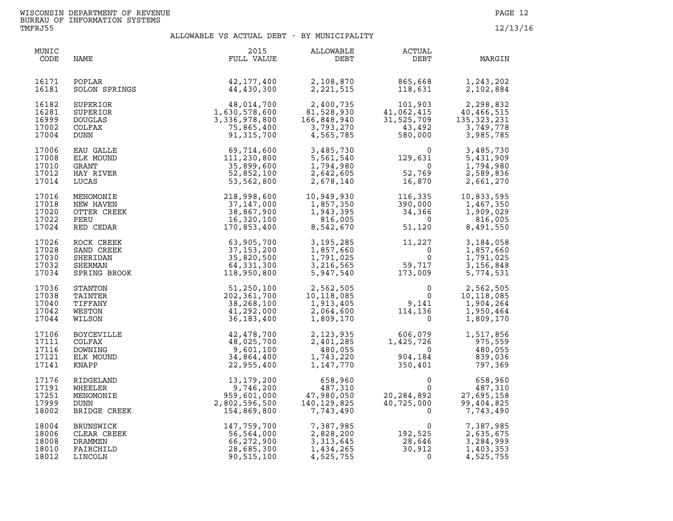| MUNIC<br>CODE                             | NAME                                                             | 2015<br>FULL VALUE                                                                                                      | ALLOWABLE<br>DEBT                                                                   | ACTUAL<br>DEBT                                                                                                                                                          | MARGIN                                                             |
|-------------------------------------------|------------------------------------------------------------------|-------------------------------------------------------------------------------------------------------------------------|-------------------------------------------------------------------------------------|-------------------------------------------------------------------------------------------------------------------------------------------------------------------------|--------------------------------------------------------------------|
| 16171<br>16181                            | POPLAR<br>SOLON SPRINGS                                          | 42,177,400<br>44,430,300                                                                                                | 2,108,870<br>2,221,515                                                              | 865,668<br>118,631                                                                                                                                                      | 1,243,202<br>2,102,884                                             |
| 16182<br>16281<br>16999<br>17002<br>17004 | SUPERIOR<br>SUPERIOR<br><b>DOUGLAS</b><br>COLFAX<br>DUNN         | $48,014,700$<br>$1,630,578,600$<br>$3,336,978,800$<br>$75,865,400$                                                      | 2,400,735<br>81,528,930<br>166,848,940<br>3,793,270<br>4,565,785                    | $101,903$<br>$41,062,415$<br>$31,525,709$<br>$43,492$<br>$580,000$                                                                                                      | 2,298,832<br>40,466,515<br>135, 323, 231<br>3,749,778<br>3,985,785 |
| 17006<br>17008<br>17010<br>17012<br>17014 | EAU GALLE<br>ELK MOUND<br>GRANT<br>HAY RIVER<br>LUCAS            | 69,714,600<br>111,230,800<br>35,899,600<br>52,852,100<br>53,562,800                                                     | 3,485,730<br>5,561,540<br>1,794,980<br>2,642,605<br>2,678,140                       | $\begin{array}{c} 0 \\ 129,631 \\ 0 \\ 52,769 \\ 16,870 \end{array}$                                                                                                    | 3,485,730<br>5,431,909<br>1,794,980<br>2,589,836<br>2,661,270      |
| 17016<br>17018<br>17020<br>17022<br>17024 | MENOMONIE<br>NEW HAVEN<br>OTTER CREEK<br>PERU<br>RED CEDAR       | 218,998,600<br>37,147,000<br>38,867,900<br>16,320,100<br>170,853,400                                                    | 10,949,930<br>10,949,930<br>1,857,350<br>1,943,395<br>816,005<br>8,542,670          | 116,335<br>390,000<br>34,366<br>0<br>51,120<br>51,120                                                                                                                   | 10,833,595<br>1,467,350<br>1,909,029<br>816,005<br>8,491,550       |
| 17026<br>17028<br>17030<br>17032<br>17034 |                                                                  | ROCK CREEK 63,905,700<br>SAND CREEK 37,153,200<br>SHERIDAN 35,820,500<br>SHERMAN 64,331,300<br>SPRING BROOK 118,950,800 | 3,195,285<br>1,857,660<br>1,791,025<br>3,216,565<br>5,947,540                       | 11,227<br>$\begin{matrix}0\\0\\0\end{matrix}$<br>$\overline{0}$<br>59,717<br>173,009                                                                                    | 3,184,058<br>1,857,660<br>1,791,025<br>3,156,848<br>5,774,531      |
| 17036<br>17038<br>17040<br>17042<br>17044 | STANTON<br>TAINTER<br>TIFFANY<br>WESTON<br>WILSON                | 51,250,100<br>202, 361, 700<br>38,268,100<br>41,292,000<br>36, 183, 400                                                 | 2,562,505<br>10,118,085<br>1,913,405<br>2,064,600<br>1,809,170                      | $\begin{array}{c}0 \ 0 \ 0 \ 114,136\ 0\end{array}$                                                                                                                     | 2,562,505<br>10,118,085<br>1,904,264<br>1,950,464<br>1,809,170     |
| 17106<br>17111<br>17116<br>17121<br>17141 | BOYCEVILLE<br>COLFAX<br>DOWNING<br>ELK MOUND<br>KNAPP            | 42,478,700<br>48,025,700<br>9,601,100<br>34,864,400<br>22,955,400                                                       | 480,055<br>1,743,220<br>1,147,770                                                   | 2, 123, 935<br>2, 401, 285<br>1, 425, 726<br>$\begin{array}{ccc} & 0 & 480,055 \ 904,184 & 839,036 \ 350,401 & 797,369 \end{array}$                                     | 1,517,856<br>975,559                                               |
| 17176<br>17191<br>17251<br>17999<br>18002 | RIDGELAND<br>WHEELER<br>MENOMONIE<br><b>DUNN</b><br>BRIDGE CREEK | $13,179,200$<br>9,746,200<br>959,601,000<br>2,802,596,500<br>154,869,800                                                | 658,960<br>487,310<br>960, ەرر<br>487, 310<br>47, 980, 050<br>140, 129<br>7,743,490 | $\begin{array}{ccc} & & & 0 & & 658,960 \\ & & & & 0 & & 487,310 \\ 20,284,892 & & 27,695,158 \\ 40,725,000 & & 99,404,825 \\ 0 & & 27,743,490 \end{array}$<br>$\Omega$ | 7,743,490                                                          |
| 18004<br>18006<br>18008<br>18010<br>18012 | BRUNSWICK<br>CLEAR CREEK<br>DRAMMEN<br>FAIRCHILD<br>LINCOLN      | 147,759,700<br>56,564,000<br>66,272,900<br>28,685,300<br>90,515,100                                                     | 7,387,985<br>2,828,200<br>3, 313, 645<br>1,434,265<br>4,525,755                     | $\begin{array}{c}0\\0\\192,525\\28,646\\30,912\end{array}$<br>30,912<br>$\overline{0}$                                                                                  | 7,387,985<br>2,635,675<br>3,284,999<br>1,403,353<br>4,525,755      |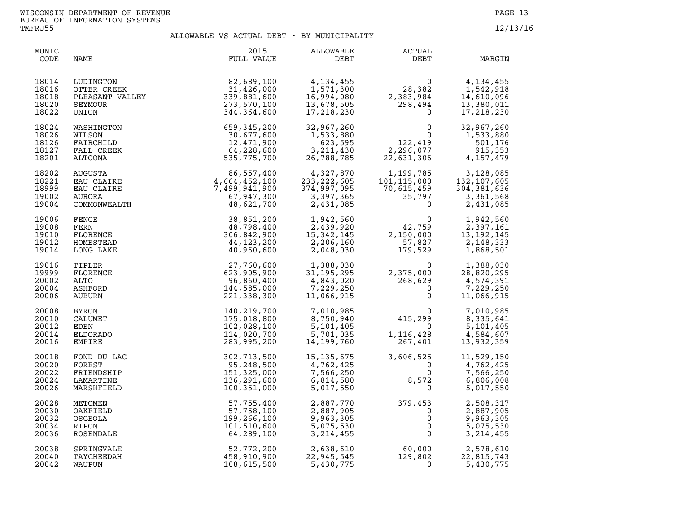| MUNIC<br>CODE                             | NAME                                                            | 2015<br>FULL VALUE                                                                 | ALLOWABLE<br>DEBT                                                   | ACTUAL<br>DEBT                                                                          | MARGIN                                                                |
|-------------------------------------------|-----------------------------------------------------------------|------------------------------------------------------------------------------------|---------------------------------------------------------------------|-----------------------------------------------------------------------------------------|-----------------------------------------------------------------------|
| 18014<br>18016<br>18018<br>18020<br>18022 | LUDINGTON<br>OTTER CREEK<br>PLEASANT VALLEY<br>SEYMOUR<br>UNION | 82,689,100<br>31,426,000<br>339,881,600<br>273,570,100<br>344,364,600              | 4, 134, 455<br>1,571,300<br>16,994,080<br>13,678,505<br>17,218,230  | $\begin{smallmatrix} 0 \\ 28,382 \end{smallmatrix}$<br>2,383,984<br>298,494<br>$\Omega$ | 4, 134, 455<br>1,542,918<br>14,610,096<br>13,380,011<br>17, 218, 230  |
| 18024<br>18026<br>18126<br>18127<br>18201 | WASHINGTON<br>WILSON<br>FAIRCHILD<br>FALL CREEK<br>ALTOONA      | 659,345,200<br>30,677,600<br>12,471,900<br>64,228,600<br>535,775,700               | 32,967,260<br>1,533,880<br>623,595<br>3, 211, 430<br>26,788,785     | $\frac{0}{122,419}$<br>2,296,077<br>22,631,306                                          | 32,967,260<br>1,533,880<br>501,176<br>915,353<br>4,157,479            |
| 18202<br>18221<br>18999<br>19002<br>19004 | AUGUSTA<br>EAU CLAIRE<br>EAU CLAIRE<br>AURORA<br>COMMONWEALTH   | $86,557,400$<br>$4,664,452,100$<br>$7,499,941,900$<br>$67,947,300$<br>$48,621,700$ | 4,327,870<br>233, 222, 605<br>374,997,095<br>3,397,365<br>2,431,085 | 1, 199, 785<br>101, 115, 000 1<br>70, 615, 459 3<br>35, 797<br>$\Omega$                 | 3,128,085<br>132, 107, 605<br>304, 381, 636<br>3,361,568<br>2,431,085 |
| 19006<br>19008<br>19010<br>19012<br>19014 | FENCE<br>FERN<br>FLORENCE<br>HOMESTEAD<br>LONG LAKE             | 38,851,200<br>48,798,400<br>306,842,900<br>44,123,200<br>40,960,600                | 1,942,560<br>2,439,920<br>15, 342, 145<br>2,206,160<br>2,048,030    | $\begin{array}{c} 0 \\ 42,759 \\ 2,150,000 \end{array}$<br>57,827<br>179,529            | 1,942,560<br>2,397,161<br>13, 192, 145<br>2,148,333<br>1,868,501      |
| 19016<br>19999<br>20002<br>20004<br>20006 | TIPLER<br>FLORENCE<br>ALTO<br>ASHFORD<br>AUBURN                 | 27,760,600<br>623,905,900<br>96,860,400<br>144,585,000<br>221,338,300              | 1,388,030<br>31,195,295<br>4,843,020<br>7,229,250<br>11,066,915     | 0<br>2, 375, 000<br>268, 629<br>0                                                       | 1,388,030<br>28,820,295<br>4,574,391<br>7,229,250<br>11,066,915       |
| 20008<br>20010<br>20012<br>20014<br>20016 | <b>BYRON</b><br>CALUMET<br>EDEN<br>ELDORADO<br><b>EMPIRE</b>    | 140,219,700<br>175,018,800<br>102,028,100<br>114,020,700<br>283,995,200            | 7,010,985<br>8,750,940<br>5,101,405<br>5,701,035<br>14, 199, 760    | $0 \qquad \qquad$<br>415,299<br>$\overline{0}$<br>$1, 116, 428$<br>$267.401$            | 7,010,985<br>8,335,641<br>5,101,405<br>4,584,607<br>13,932,359        |
| 20018<br>20020<br>20022<br>20024<br>20026 | FOND DU LAC<br>FOREST<br>FRIENDSHIP<br>LAMARTINE<br>MARSHFIELD  | 302,713,500<br>95,248,500<br>151,325,000<br>136,291,600<br>100,351,000             | 15, 135, 675<br>4,762,425<br>7,566,250<br>6,814,580<br>5,017,550    | 3,606,525<br>3,600,<br>$\Omega$<br>$\overline{0}$<br>8,572<br>$\Omega$                  | 11,529,150<br>4,762,425<br>7,566,250<br>6,806,008<br>5,017,550        |
| 20028<br>20030<br>20032<br>20034<br>20036 | METOMEN<br>OAKFIELD<br>OSCEOLA<br>RIPON<br>ROSENDALE            | 57,755,400<br>57,758,100<br>199,266,100<br>101,510,600<br>64,289,100               | 2,887,770<br>2,887,905<br>9,963,305<br>5,075,530<br>3, 214, 455     | $379,453$<br>0<br>0<br>0<br>0                                                           | 2,508,317<br>2,887,905<br>9,963,305<br>5,075,530<br>3, 214, 455       |
| 20038<br>20040<br>20042                   | SPRINGVALE<br>TAYCHEEDAH<br>WAUPUN                              | 52,772,200<br>458,910,900<br>108,615,500                                           | 2,638,610<br>22,945,545<br>5,430,775                                | 60,000<br>129,802<br>$\Omega$                                                           | 2,578,610<br>22,815,743<br>5,430,775                                  |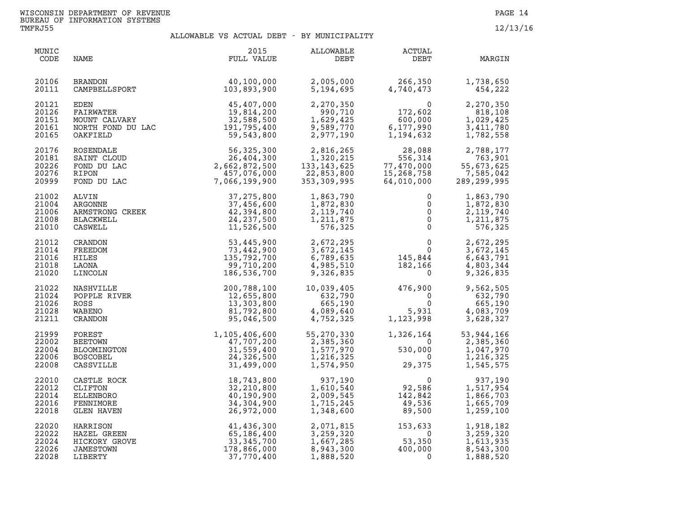| MUNIC<br>CODE                             | NAME                                                                                                                         | 2015<br>FULL VALUE                                                                    | ALLOWABLE<br>DEBT                                                    | ACTUAL<br>DEBT                                                                     | MARGIN                                                           |
|-------------------------------------------|------------------------------------------------------------------------------------------------------------------------------|---------------------------------------------------------------------------------------|----------------------------------------------------------------------|------------------------------------------------------------------------------------|------------------------------------------------------------------|
| 20106<br>20111                            | BRANDON<br>CAMPBELLSPORT                                                                                                     | $\frac{40,100,000}{103.893.900}$                                                      | 2,005,000<br>5,194,695                                               | 266,350<br>4,740,473                                                               | 1,738,650<br>454,222                                             |
| 20121<br>20126<br>20151<br>20161<br>20165 | EDEN 45,407,000<br>FAIRWATER 19,814,200<br>MOUNT CALVARY 32,588,500<br>NORTH FOND DU LAC 191,795,400<br>OAKFIELD<br>OAKFIELD | 59,543,800                                                                            | 2,270,350<br>990,710<br>1,629,425<br>9,589,770<br>2,977,190          | $\begin{array}{c} 0 \\ 172,602 \end{array}$<br>$600,000$<br>6,177,990<br>1,194,632 | 2,270,350<br>818,108<br>1,029,425<br>3,411,780<br>1,782,558      |
| 20176<br>20181<br>20226<br>20276<br>20999 | ROSENDALE<br>SAINT CLOUD<br>FOND DU LAC<br>RIPON<br>FOND DU LAC                                                              | 56, 325, 300<br>26, 404, 300<br>2, 662, 872, 500<br>457, 076, 000<br>7, 066, 199, 900 | 2,816,265<br>1,320,215<br>133, 143, 625<br>22,853,800<br>353,309,995 | 28,088<br>556,314<br>77,470,000<br>15,268,758<br>64,010,000                        | 2,788,177<br>763,901<br>55,673,625<br>7,585,042<br>289, 299, 995 |
| 21002<br>21004<br>21006<br>21008<br>21010 | ARGONNE<br>ARMSTRONG CREEK<br>BLACKWELL<br>CASWELL<br>`RANDON<br>`REEDOM                                                     | 37, 275, 800<br>37,456,600<br>42,394,800<br>24, 237, 500<br>11,526,500                | 1,863,790<br>1,872,830<br>2,119,740<br>1,211,875<br>576,325          | 0<br>0<br>$\mathsf{O}\xspace$<br>$\overline{0}$<br>$\Omega$                        | 1,863,790<br>1,872,830<br>2,119,740<br>1,211,875<br>576,325      |
| 21012<br>21014<br>21016<br>21018<br>21020 | FREEDOM<br>HILES<br>LAONA<br>LINCOLN                                                                                         | 53,445,900<br>73,442,900<br>135,792,700<br>99,710,200<br>186,536,700                  | 2,672,295<br>3,672,145<br>6,789,635<br>4,985,510<br>9,326,835        | $\begin{smallmatrix}&&&0\\&&&0\\145,844\\182,166\\0\end{smallmatrix}$              | 2,672,295<br>3,672,145<br>6,643,791<br>4,803,344<br>9,326,835    |
| 21022<br>21024<br>21026<br>21028<br>21211 | NASHVILLE<br>POPPLE RIVER<br>ROSS<br>WABENO<br>CRANDON<br>EOPEST                                                             | 200,788,100<br>12,655,800<br>13,303,800<br>81,792,800<br>95,046,500                   | 10,039,405<br>632,790<br>665,190<br>4,089,640<br>4,752,325           | $476,900$<br>0<br>5,931<br>$\overline{0}$<br>5,931<br>1,123,998                    | 9,562,505<br>632,790<br>665,190<br>4,083,709<br>3,628,327        |
| 21999<br>22002<br>22004<br>22006<br>22008 | FOREST<br><b>BEETOWN</b><br>BLOOMINGTON<br><b>BOSCOBEL</b><br>CASSVILLE                                                      | 1,105,406,600<br>47,707,200<br>31,559,400<br>24,326,500<br>31,499,000                 | 55,270,330<br>2,385,360<br>1,577,970<br>1,216,325<br>1,574,950       | 1,326,164<br>$\overline{0}$<br>$530,000\n0$<br>29,375                              | 53,944,166<br>2,385,360<br>1,047,970<br>1,216,325<br>1,545,575   |
| 22010<br>22012<br>22014<br>22016<br>22018 | CASTLE ROCK<br>CLIFTON<br>ELLENBORO<br>FENNIMORE<br>GLEN HAVEN                                                               | 18,743,800<br>32,210,800<br>40,190,900<br>34,304,900<br>26,972,000                    | 937,190<br>1,610,540<br>2,009,545<br>1,715,245<br>1,348,600          | $\overline{0}$<br>92,586<br>142,842<br>356, ر۔<br>89,500                           | 937,190<br>1,517,954<br>1,866,703<br>1,665,709<br>1,259,100      |
| 22020<br>22022<br>22024<br>22026<br>22028 | HARRISON<br>HAZEL GREEN<br>HICKORY GROVE<br>JAMESTOWN<br>LIBERTY                                                             | 41,436,300<br>65,186,400<br>33,345,700<br>178,866,000<br>37,770,400                   | 2,071,815<br>3,259,320<br>1,667,285<br>8,943,300<br>1,888,520        | $153, 633$<br>53,350<br>400,000<br>0                                               | 1,918,182<br>3,259,320<br>1,613,935<br>8,543,300<br>1,888,520    |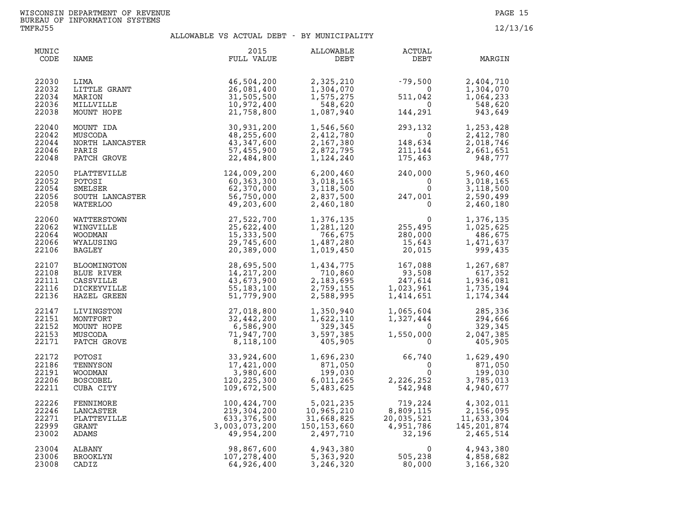| MUNIC<br>CODE                             | NAME                                                                 | 2015<br>FULL VALUE                                                                                                      | ALLOWABLE<br>DEBT                                                 | ACTUAL<br>DEBT                                                                                                                                                         | MARGIN                                                                       |
|-------------------------------------------|----------------------------------------------------------------------|-------------------------------------------------------------------------------------------------------------------------|-------------------------------------------------------------------|------------------------------------------------------------------------------------------------------------------------------------------------------------------------|------------------------------------------------------------------------------|
| 22030<br>22032<br>22034<br>22036<br>22038 | LITTLE GRANT<br>MARION<br>MILLVILLE<br>MUNT HOPE<br>MOUNT TDA        | 46,504,200<br>26,081,400<br>31,505,500<br>10,972,400<br>21,758,800                                                      | 2,325,210<br>1,304,070<br>1,575,275<br>548,620<br>1,087,940       | $-79,500$<br>0<br>511,042<br>144,291<br>511,042                                                                                                                        | 2,404,710<br>1,304,070<br>1,064,233<br>0 <sup>42</sup><br>548,620<br>943,649 |
| 22040<br>22042<br>22044<br>22046<br>22048 | MOUNT IDA<br>MUSCODA<br>NORTH LANCASTER<br>PARIS<br>PATCH GROVE      | 30,931,200<br>48,255,600<br>43, 347, 600<br>57,455,900<br>22,484,800                                                    | 1,546,560<br>2,412,780<br>2,167,380<br>2,872,795<br>1,124,240     | 293,132<br>$\overline{0}$<br>148,634<br>148,634<br>211,144<br>175,463<br>175,463                                                                                       | 1,253,428<br>2,412,780<br>2,018,746<br>2,661,651<br>948,777                  |
| 22050<br>22052<br>22054<br>22056<br>22058 |                                                                      | PLATTEVILLE 124,009,200<br>POTOSI 50,363,300<br>SMELSER 60,363,300<br>SOUTH LANCASTER 56,750,000<br>WATERLOO 49,203,600 | 6, 200, 460<br>3,018,165<br>3,118,500<br>2,837,500<br>2,460,180   | $240,000$<br>0<br>247,001<br>0                                                                                                                                         | 5,960,460<br>3,018,165<br>3,118,500<br>2,590,499<br>2,460,180                |
| 22060<br>22062<br>22064<br>22066<br>22106 | WATTERSTOWN<br>WINGVILLE<br><b>WOODMAN</b><br>WYALUSING<br>BAGLEY    | 27,522,700<br>25,622,400<br>15,333,500<br>29,745,600<br>20,389,000                                                      | 1,376,135<br>1,281,120<br>766,675<br>1,487,280<br>1,019,450       | $\begin{smallmatrix}&&&0\255,495\280,000\15,643\20,015\end{smallmatrix}$                                                                                               | 1,376,135<br>1,025,625<br>486,675<br>1,471,637<br>999,435                    |
| 22107<br>22108<br>22111<br>22116<br>22136 | BLOOMINGTON<br>BLUE RIVER<br>CASSVILLE<br>DICKEYVILLE<br>HAZEL GREEN | 28,695,500<br>14, 217, 200<br>43,673,900<br>55, 183, 100<br>51,779,900                                                  |                                                                   | $\begin{array}{cccc} 1,434\,,775 & 167\,,088 \\ 710\,,860 & 93\,,508 \\ 2,183\,,695 & 247\,,614 \\ 2,759\,,155 & 1,023\,,961 \\ 2,588\,,995 & 1,414\,,651 \end{array}$ | 1,267,687<br>617,352<br>1,936,081<br>1,735,194<br>1, 174, 344                |
| 22147<br>22151<br>22152<br>22153<br>22171 | LIVINGSTON<br>MONTFORT<br>MOUNT HOPE<br>MUSCODA<br>PATCH GROVE       | 27,018,800<br>32,442,200<br>6,586,900<br>71,947,700<br>8,118,100                                                        | 1,350,940<br>1,622,110<br>329,345<br>3,597,385<br>405,905         | 1,065,604<br>1,327,444<br>0<br>$1,550,000$<br>0                                                                                                                        | 285,336<br>294,666<br>329,345<br>2,047,385<br>405,905                        |
| 22172<br>22186<br>22191<br>22206<br>22211 | POTOSI<br>TENNYSON<br>WOODMAN<br><b>BOSCOBEL</b><br>CUBA CITY        | 33,924,600<br>17,421,000<br>3,980,600<br>120, 225, 300<br>109,672,500                                                   | 1,696,230<br>871,050<br>199,030<br>6,011,265<br>5,483,625         | 66,740<br>0<br>$\Omega$<br>$\overline{0}$<br>2,226,252<br>542,948                                                                                                      | 1,629,490<br>871,050<br>199,030<br>3,785,013<br>4,940,677                    |
| 22226<br>22246<br>22271<br>22999<br>23002 | FENNIMORE<br>LANCASTER<br>PLATTEVILLE<br>GRANT<br>ADAMS              | 100,424,700<br>219,304,200<br>633, 376, 500<br>3,003,073,200<br>49,954,200                                              | 5,021,235<br>10,965,210<br>31,668,825<br>150,153,660<br>2,497,710 | 719,224<br>$719, 224$<br>8,809,115<br>20,035,521<br>4,951,786<br>32,196                                                                                                | 4,302,011<br>2,156,095<br>11,633,304<br>145,201,874<br>2,465,514             |
| 23004<br>23006<br>23008                   | ALBANY<br>BROOKLYN<br>CADIZ                                          | 98,867,600<br>107,278,400<br>64,926,400                                                                                 | 4,943,380<br>5,363,920<br>3,246,320                               | 0<br>505,238<br>80.000<br>80,000                                                                                                                                       | 4,943,380<br>4,858,682<br>3,166,320                                          |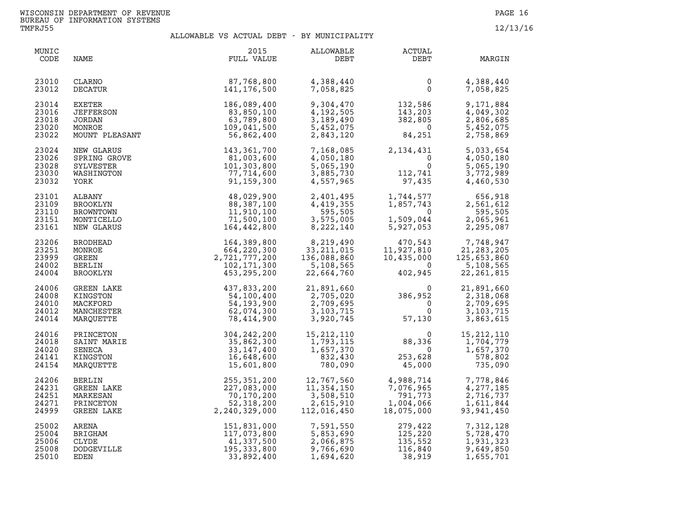| MUNIC<br>CODE                             | NAME                                                          | 2015<br>FULL VALUE                                                                            | ALLOWABLE<br>DEBT                                                                                                                                                       | ACTUAL<br>DEBT                                                                                                                                                           | MARGIN                                                           |
|-------------------------------------------|---------------------------------------------------------------|-----------------------------------------------------------------------------------------------|-------------------------------------------------------------------------------------------------------------------------------------------------------------------------|--------------------------------------------------------------------------------------------------------------------------------------------------------------------------|------------------------------------------------------------------|
| 23010<br>23012                            | CLARNO<br>DECATUR                                             | $\begin{array}{c} 87,768,800 \\ 141.176.500 \end{array}$                                      | 4,388,440<br>7,058,825                                                                                                                                                  | $\overline{0}$<br>$\overline{0}$                                                                                                                                         | 4,388,440<br>7,058,825                                           |
| 23014<br>23016<br>23018<br>23020<br>23022 | EXETER<br>JEFFERSON<br>JORDAN<br>MONROE<br>MOUNT PLEASANT     | 186,089,400<br>83,850,100<br>63,789,800<br>109,041,500<br>56,862,400                          |                                                                                                                                                                         | 9, 304, 470<br>4, 192, 505<br>3, 189, 490<br>5, 452, 075<br>2, 843, 120<br>84, 251                                                                                       | 9,171,884<br>4,049,302<br>2,806,685<br>5,452,075<br>2,758,869    |
| 23024<br>23026<br>23028<br>23030<br>23032 | NEW GLARUS<br>SPRING GROVE<br>SYLVESTER<br>WASHINGTON<br>YORK | 143,361,700<br>81,003,600<br>101,303,800<br>77,714,600<br>91,159,300                          | 7, 168, 085<br>4, 050, 180<br>5, 065, 190<br>3, 885, 730<br>4, 557, 965<br>97                                                                                           | $2, 134, 431$<br>0<br>0<br>112,741<br>97,435                                                                                                                             | 5,033,654<br>4,050,180<br>5,065,190<br>3,772,989<br>4,460,530    |
| 23101<br>23109<br>23110<br>23151<br>23161 | ALBANY<br>BROOKLYN<br>BROWNTOWN<br>MONTICELLO<br>NEW GLARUS   | 48,029,900<br>88,387,100<br>11,910,100<br>71,500,100<br>164,442,800                           | 2,401,495<br>4,419,355<br>595,505<br>3,575,005<br>8,222,140                                                                                                             | 1,744,577 656,918<br>1,857,743 2,561,612<br>0 595,505<br>1,509,044 2,065,961<br>5,927,053 2,295,087                                                                      |                                                                  |
| 23206<br>23251<br>23999<br>24002<br>24004 | <b>BRODHEAD</b><br>MONROE<br>GREEN<br>BERLIN<br>BROOKLYN      | 164, 389, 800<br>664, 220, 300<br>2, 721, 777, 200<br>102, 171, 300<br>453, 295, 200          | 8, 219, 490<br>33, 211, 015<br>136, 088, 860<br>5, 108, 565<br>22, 664, 760                                                                                             | $\begin{array}{cc} 470,543 & 7,748,947 \\ 11,927,810 & 21,283,205 \\ 10,435,000 & 125,653,860 \\ 0 & 5,108,565 \\ 402,945 & 22,261,815 \end{array}$                      |                                                                  |
| 24006<br>24008<br>24010<br>24012<br>24014 | GREEN LAKE<br>KINGSTON<br>MACKFORD<br>MANCHESTER<br>MARQUETTE | 437,833,200<br>54,100,400<br>54, 193, 900<br>62,074,300<br>78,414,900                         |                                                                                                                                                                         | $\begin{array}{llll} 21, 891, 660 & 0 & 3 \\ 2, 705, 020 & 386, 952 & 0 \\ 2, 709, 695 & 0 & 0 \\ 3, 103, 715 & 0 & 0 \\ 3, 920, 745 & 57, 130 & \end{array}$            | 21,891,660<br>2,318,068<br>2,709,695<br>3, 103, 715<br>3,863,615 |
| 24016<br>24018<br>24020<br>24141<br>24154 | PRINCETON<br>SAINT MARIE<br>SENECA<br>KINGSTON<br>MARQUETTE   | 33, 147, 400<br>16,648,600<br>15,601,800                                                      | 304, 242, 200 15, 212, 110<br>35, 862, 300 1, 793, 115<br>1,657,370<br>832,430<br>780,090                                                                               | $\begin{array}{cccc} 15,212,110 & 0\\ 1,793,115 & 88,336\\ 1,657,370 & 0\\ 832,430 & 253,628\\ 780,090 & 45,000 \end{array}$<br>$\overline{0}$<br>0<br>253,628<br>45,000 | 15, 212, 110<br>1,704,779<br>1,657,370<br>578,802<br>735,090     |
| 24206<br>24231<br>24251<br>24271<br>24999 | BERLIN<br>GREEN LAKE<br>MARKESAN<br>PRINCETON<br>GREEN LAKE   | 2, 240, 329, 000                                                                              | $\begin{array}{llll} 255,351,200 & 12,767,560 \\ 227,083,000 & 11,354,150 \\ 70,170,200 & 3,508,510 \\ 52,318,200 & 2,615,910 \\ 240,329,000 & 112,016,450 \end{array}$ | $\begin{array}{cccc} 4,988,714 & 7,778,846 \ 7,076,965 & 4,277,185 \ 791,773 & 2,716,737 \ 1,004,066 & 1,611,844 \ 18,075,000 & 93,941,450 \ \end{array}$                |                                                                  |
| 25002<br>25004<br>25006<br>25008<br>25010 | ARENA<br>BRIGHAM<br>CLYDE<br><b>DODGEVILLE</b><br>EDEN        | 151, 831, 000<br>117, 073, 800<br>41, 337, 500<br>195, 333, 800<br>33, 892, 400<br>33,892,400 | 7,591,550<br>5,853,690<br>2,066,875<br>9,766,690<br>1,694,620                                                                                                           | 279,422<br>125,220<br>135,552<br>116,840<br>38,919<br>38,919                                                                                                             | 7,312,128<br>5,728,470<br>1,931,323<br>9,649,850<br>1,655,701    |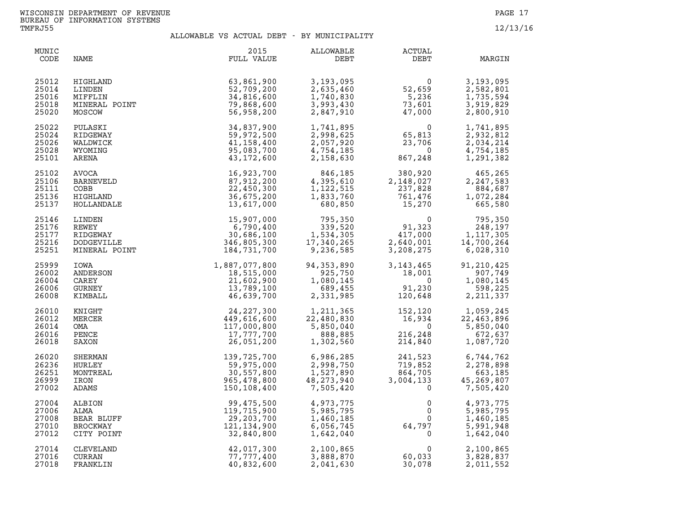| MUNIC<br>CODE                             | NAME                                                          | 2015<br>FULL VALUE                                                    | ALLOWABLE<br>DEBT                                                | ACTUAL<br>DEBT                                                                         | MARGIN                                                                   |
|-------------------------------------------|---------------------------------------------------------------|-----------------------------------------------------------------------|------------------------------------------------------------------|----------------------------------------------------------------------------------------|--------------------------------------------------------------------------|
| 25012<br>25014<br>25016<br>25018<br>25020 | HIGHLAND<br>LINDEN<br>MIFFLIN<br>MINERAL POINT<br>MOSCOW      | 63,861,900<br>52,709,200<br>34,816,600<br>79,868,600<br>56,958,200    | 3,193,095<br>2,635,460<br>1,740,830<br>3,993,430<br>2,847,910    | $\begin{array}{c} 0 \\ 52,659 \\ 5,236 \\ -5,233 \end{array}$<br>73,601<br>47,000      | 3,193,095<br>2,582,801<br>1,735,594<br>3,919,829<br>2,800,910            |
| 25022<br>25024<br>25026<br>25028<br>25101 | PULASKI<br>RIDGEWAY<br>WALDWICK<br>WYOMING<br>ARENA           | 34,837,900<br>59,972,500<br>41, 158, 400<br>95,083,700<br>43,172,600  | 1,741,895<br>2,998,625<br>2,057,920<br>4,754,185<br>2,158,630    | $\Omega$<br>65,813<br>23,706<br>$\overline{0}$<br>867,248                              | 1,741,895<br>2,932,812<br>2,034,214<br>4,754,185<br>1,291,382            |
| 25102<br>25106<br>25111<br>25136<br>25137 | <b>AVOCA</b><br>BARNEVELD<br>COBB<br>HIGHLAND<br>HOLLANDALE   | 16,923,700<br>87,912,200<br>22,450,300<br>36,675,200<br>13,617,000    | 846,185<br>4,395,610<br>1,122,515<br>1,833,760<br>680,850        | 380,920<br>380,920<br>,148,027<br>237,828<br>761,476<br>15,270<br>2,148,027<br>237,828 | 465,265<br>2,247,583<br>884,687<br>1,072,284<br>665,580                  |
| 25146<br>25176<br>25177<br>25216<br>25251 | LINDEN<br>REWEY<br>RIDGEWAY<br>DODGEVILLE<br>MINERAL POINT    | 15,907,000<br>6,790,400<br>30,686,100<br>346,805,300<br>184,731,700   | 795,350<br>339,520<br>1,534,305<br>17,340,265<br>9,236,585       | $91,323$<br>$417,000$<br>$2.640,001$<br>$1,117,305$<br>$14,700,264$<br>$6,028,310$     |                                                                          |
| 25999<br>26002<br>26004<br>26006<br>26008 | IOWA<br>ANDERSON<br>CAREY<br>GURNEY<br>KIMBALL                | $1,887,077,800 \18,515,000 \21,602,900 \13,789,100 \46,639,700$       | 94, 353, 890<br>925,750<br>1,080,145<br>689,455<br>2,331,985     | 3,143,465<br>18,001<br>$91,230$<br>$120,648$                                           | 91,210,425<br>907,749<br>1,080,145<br>598,225<br>2, 211, 337             |
| 26010<br>26012<br>26014<br>26016<br>26018 | KNIGHT<br>MERCER<br>OMA<br>PENCE<br>SAXON                     | 24,227,300<br>449,616,600<br>117,000,800<br>17,777,700<br>26,051,200  | 1,211,365<br>22,480,830<br>5,850,040<br>888,885<br>1,302,560     | 16,934<br>$\overline{0}$<br>216,248<br>216,248<br>214,840                              | 152,120<br>16,934<br>0<br>5.850.040<br>5,850,040<br>672,637<br>1,087,720 |
| 26020<br>26236<br>26251<br>26999<br>27002 | SHERMAN<br>HURLEY<br>MONTREAL<br>IRON<br>ADAMS                | 139,725,700<br>59,975,000<br>30,557,800<br>965,478,800<br>150,108,400 | 6,986,285<br>2,998,750<br>1,527,890<br>48, 273, 940<br>7,505,420 | 241,523<br>719,852<br>864,705<br>3,004,133<br>$\Omega$                                 | 6,744,762<br>2,278,898<br>663,185<br>45,269,807<br>7,505,420             |
| 27004<br>27006<br>27008<br>27010<br>27012 | ALBION<br>ALMA<br>BEAR BLUFF<br><b>BROCKWAY</b><br>CITY POINT | 99,475,500<br>119,715,900<br>29,203,700<br>121,134,900<br>32,840,800  | 4,973,775<br>5,985,795<br>1,460,185<br>6,056,745<br>1,642,040    | $0$<br>$0$<br>$64,797$<br>0<br>$\mathbf{0}$                                            | 4,973,775<br>5,985,795<br>1,460,185<br>5,991,948<br>1,642,040            |
| 27014<br>27016<br>27018                   | CLEVELAND<br>CURRAN<br>FRANKLIN                               | 42,017,300<br>77,777,400<br>40,832,600                                | 2,100,865<br>3,888,870<br>2,041,630                              | $\mathbf{0}$<br>60,033<br>30,078                                                       | 2,100,865<br>3,828,837<br>2,011,552                                      |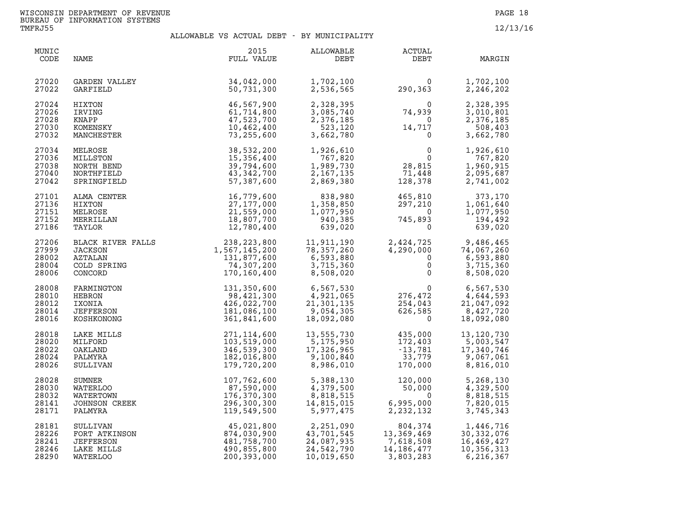| MUNIC<br>CODE                             | NAME                                                                                       | 2015<br>FULL VALUE                                                       | ALLOWABLE<br>DEBT                                                 | ACTUAL<br>DEBT                                                                               | MARGIN                                                            |
|-------------------------------------------|--------------------------------------------------------------------------------------------|--------------------------------------------------------------------------|-------------------------------------------------------------------|----------------------------------------------------------------------------------------------|-------------------------------------------------------------------|
| 27020<br>27022                            | GARDEN VALLEY<br>GARFIELD                                                                  | 34,042,000<br>50,731,300                                                 | 1,702,100<br>2,536,565                                            | 0<br>290,363                                                                                 | 1,702,100<br>2,246,202                                            |
| 27024<br>27026<br>27028<br>27030<br>27032 | HIXTON<br>IRVING<br>KNAPP<br>KOMENSKY<br>MANCHESTER                                        | 46,567,900<br>61,714,800<br>47,523,700<br>10,462,400<br>73,255,600       | 2,328,395<br>3,085,740<br>2,376,185<br>523,120<br>3,662,780       | $\overline{0}$<br>74,939<br>$\overline{0}$<br>14,717<br>$\mathbf 0$                          | 2,328,395<br>3,010,801<br>2,376,185<br>508,403<br>3,662,780       |
| 27034<br>27036<br>27038<br>27040<br>27042 | MELROSE<br>MILLSTON<br>NORTH BEND<br>NORTHFIELD<br>SPRINGFIELD                             | 38,532,200<br>15,356,400<br>39,794,600<br>43,342,700<br>57,387,600       | 1,926,610<br>767,820<br>1,989,730<br>2, 167, 135<br>2,869,380     | $\begin{smallmatrix}0&&&&0\\&0&&&&\\&28,815&\\71,449&\end{smallmatrix}$<br>71,448<br>128,378 | 1,926,610<br>767,820<br>1,960,915<br>2,095,687<br>2,741,002       |
| 27101<br>27136<br>27151<br>27152<br>27186 | ALMA CENTER<br>HIXTON<br>MELROSE<br>MERRILLAN<br>TAYLOR                                    | 16,779,600<br>27, 177, 000<br>21,559,000<br>18,807,700<br>12,780,400     | 838,980<br>1,358,850<br>1,077,950<br>940,385<br>639,020           | 465,810<br>297,210<br>$\overline{\mathbf{0}}$<br>745,893<br>$\mathbf 0$                      | 373,170<br>1,061,640<br>1,077,950<br>194,492<br>639,020           |
| 27206<br>27999<br>28002<br>28004<br>28006 | BLACK RIVER FALLS<br>IACKSON<br><b>JACKSON</b><br><b>AZTALAN</b><br>COLD SPRING<br>CONCORD | 238,223,800<br>1,567,145,200<br>131,877,600<br>74,307,200<br>170,160,400 | 11,911,190<br>78,357,260<br>6,593,880<br>3,715,360<br>8,508,020   | 2,424,725<br>4,290,000<br>$\overline{0}$<br>$\Omega$<br>$\mathsf{O}$                         | 9,486,465<br>74,067,260<br>6,593,880<br>3,715,360<br>8,508,020    |
| 28008<br>28010<br>28012<br>28014<br>28016 | FARMINGTON<br>HEBRON<br>IXONIA<br>JEFFERSON<br>KOSHKONONG                                  | 131,350,600<br>98,421,300<br>426,022,700<br>181,086,100<br>361,841,600   | 6,567,530<br>4,921,065<br>21,301,135<br>9,054,305<br>18,092,080   | $\begin{smallmatrix}0\\276,472\\1&0.43\end{smallmatrix}$<br>254,043<br>626,585<br>$\Omega$   | 6,567,530<br>4,644,593<br>21,047,092<br>8,427,720<br>18,092,080   |
| 28018<br>28020<br>28022<br>28024<br>28026 | LAKE MILLS<br>MILFORD<br>OAKLAND<br>PALMYRA<br>SULLIVAN                                    | 271,114,600<br>103,519,000<br>346,539,300<br>182,016,800<br>179,720,200  | 13,555,730<br>5,175,950<br>17,326,965<br>9,100,840<br>8,986,010   | 435,000<br>172,403<br>$-13,781$<br>33,779<br>170,000                                         | 13, 120, 730<br>5,003,547<br>17,340,746<br>9,067,061<br>8,816,010 |
| 28028<br>28030<br>28032<br>28141<br>28171 | <b>SUMNER</b><br><b>WATERLOO</b><br>WATERTOWN<br><b>JOHNSON CREEK</b><br>PALMYRA           | 107,762,600<br>87,590,000<br>176,370,300<br>296,300,300<br>119,549,500   | 5,388,130<br>4,379,500<br>8,818,515<br>14,815,015<br>5,977,475    | 120,000<br>50,000<br>$\mathbf 0$<br>6,995,000<br>2, 232, 132                                 | 5,268,130<br>4,329,500<br>8,818,515<br>7,820,015<br>3,745,343     |
| 28181<br>28226<br>28241<br>28246<br>28290 | SULLIVAN<br>FORT ATKINSON<br><b>JEFFERSON</b><br>LAKE MILLS<br>WATERLOO                    | 45,021,800<br>874,030,900<br>481,758,700<br>490,855,800<br>200,393,000   | 2,251,090<br>43,701,545<br>24,087,935<br>24,542,790<br>10,019,650 | 804,374<br>13,369,469<br>7,618,508<br>14 186 477<br>14,186,477<br>3,803,283                  | 1,446,716<br>30,332,076<br>16,469,427<br>10,356,313<br>6,216,367  |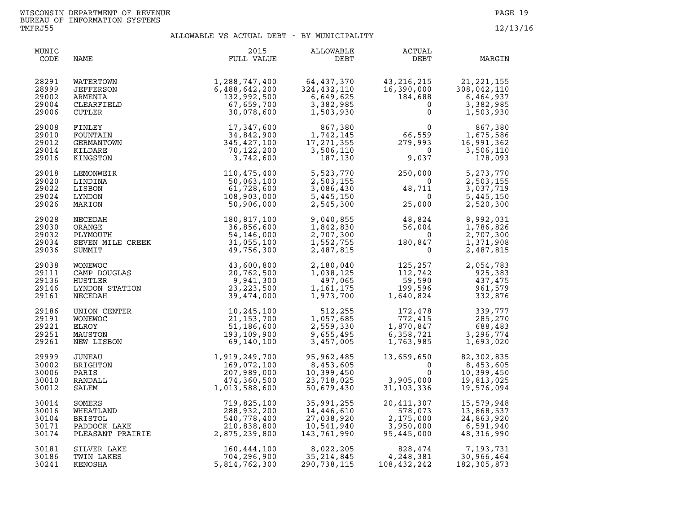| MUNIC<br>CODE                             | NAME                                                             | 2015<br>FULL VALUE                                                                                                                                                                                                                      | ALLOWABLE<br>DEBT                                                                                           | <b>ACTUAL</b><br>DEBT                                                                                                                                                                                | MARGIN                                                                                                                                      |
|-------------------------------------------|------------------------------------------------------------------|-----------------------------------------------------------------------------------------------------------------------------------------------------------------------------------------------------------------------------------------|-------------------------------------------------------------------------------------------------------------|------------------------------------------------------------------------------------------------------------------------------------------------------------------------------------------------------|---------------------------------------------------------------------------------------------------------------------------------------------|
| 28291<br>28999<br>29002<br>29004<br>29006 | WATERTOWN<br>JEFFERSON<br>ARMENIA<br>CLEARFIELD<br>CUTLER        | $1,288,747,400$<br>$6,488,642,200$<br>$132,992,500$<br>$67,659,700$<br>$30,078,600$<br>$34,842,900$<br>$345,427,100$<br>$70,122,200$<br>$3,742,600$                                                                                     | 64, 437, 370<br>324,432,110<br>6,649,625<br>3,382,985<br>1,503,930                                          | $\begin{smallmatrix} 43,216,215\ 16,390,000\ 184,688\ 0 \end{smallmatrix}$                                                                                                                           | 1,503,930                                                                                                                                   |
| 29008<br>29010<br>29012<br>29014<br>29016 | FINLEY<br>FOUNTAIN<br>GERMANTOWN<br>KILDARE<br>KINGSTON          |                                                                                                                                                                                                                                         | $\begin{array}{r} 867,380 \\ 1,742,145 \\ 17,271,355 \\ 3,506,110 \\ 187,130 \end{array}$                   | $66,559$<br>$279,993$<br>$9,037$<br>$1,675,586$<br>$2591,362$<br>$3,506,110$<br>$9,037$<br>$178,093$                                                                                                 |                                                                                                                                             |
| 29018<br>29020<br>29022<br>29024<br>29026 | LEMONWEIR<br>LINDINA<br>LISBON<br>LYNDON<br>MARION               | 110,475,400<br>50,063,100<br>61,728,600<br>108,903,000<br>50,906,000                                                                                                                                                                    | 5,523,770<br>2,503,155<br>3,086,430<br>5,445,150<br>2,545,300                                               | $250,000$<br>0<br>$48,711$<br>$25,000$                                                                                                                                                               | 5,273,770<br>2,503,155<br>3,037,719<br>5,445,150<br>2,520,300                                                                               |
| 29028<br>29030<br>29032<br>29034<br>29036 |                                                                  | MARION<br>NECEDAH<br>ORANGE<br>ORANGE<br>DIYMOUTH<br>SUYMOUTH<br>SUYMOUTH<br>SUYMOUTH<br>SUYMOUTH<br>SUYMOUTH<br>$54, 146, 000$<br>SUYMOUTH<br>$31, 055, 100$<br>SUMMIT<br>$49, 756, 300$                                               | 9,040,855<br>1,842,830<br>2,707,300<br>1,552,755<br>2,487,815                                               | $\begin{array}{r} 48,824\ 56,004\ 0\ 0\ 180,847\ 0 \end{array}$                                                                                                                                      | 8,992,031<br>1,786,826<br>2,707,300<br>1,371,908<br>2,487,815                                                                               |
| 29038<br>29111<br>29136<br>29146<br>29161 |                                                                  | WONEWOC<br>CAMP DOUGLAS<br>HUSTLER 20,762,500<br>HUSTLER 9,941,300<br>LYNDON STATION 23,223,500<br>NECEDAH 39,474,000                                                                                                                   |                                                                                                             | $\begin{array}{cccc} 2,180,040 & 125,257 & 2,054,783 \\ 1,038,125 & 112,742 & 925,383 \\ 497,065 & 59,590 & 437,475 \\ 1,161,175 & 199,596 & 961,579 \\ 1,973,700 & 1,640,824 & 332,876 \end{array}$ |                                                                                                                                             |
| 29186<br>29191<br>29221<br>29251<br>29261 | UNION CENTER<br><b>WONEWOC</b><br>ELROY<br>MAUSTON<br>NEW LISBON | 10,245,100<br>21, 153, 700<br>51,186,600<br>193,109,900<br>69,140,100                                                                                                                                                                   | 512,255<br>1,057,685<br>2,559,330<br>9,655,495<br>3,457,005                                                 | 172,478<br>772,415<br>1,870,847<br>6,358,721<br>1,763.985                                                                                                                                            | $\begin{array}{cc} 172,478 & 339,777\\ 772,415 & 285,270\\ 1,870,847 & 688,483\\ 6,358,721 & 3,296,774\\ 1,763,985 & 1,693,020 \end{array}$ |
| 29999<br>30002<br>30006<br>30010<br>30012 |                                                                  |                                                                                                                                                                                                                                         | 95,962,485<br>95,962,485<br>8,453,605<br>10,399,450<br>23,718,025<br>50,679,430<br>23,718,025<br>50,679,430 | 13,659,650<br>$\mathbf 0$<br>$\Omega$<br>3,905,000<br>31, 103, 336                                                                                                                                   | 82,302,835<br>8,453,605<br>10,399,450<br>19,813,025<br>19,576,094                                                                           |
| 30014<br>30016<br>30104<br>30171<br>30174 |                                                                  | UNEAU 1,919,249,700<br>BRIGHTON 169,072,100<br>PARIS 207,989,000<br>RANDALL 474,360,500<br>SALEM 1,013,588,600<br>SOMERS 719,825,100<br>WHEATLAND<br>BRISTIOL 288,932,200<br>PADDOCK LAKE 210,838,800<br>PLEASANT PRAIRIE 2,875,239,800 | 35,991,255<br>14,446,610<br>27,038,920<br>10,541,940<br>143,761,990                                         | 20,411,307<br>578,073<br>578,073<br>2,175,000<br>3,950,000<br>95,445,000                                                                                                                             | 15,579,948<br>13,868,537<br>24,863,920<br>6,591,940<br>48,316,990                                                                           |
| 30181<br>30186<br>30241                   | SILVER LAKE<br>TWIN LAKES<br>KENOSHA                             | 160,444,100<br>704,296,900<br>5,814,762,300                                                                                                                                                                                             | 8,022,205<br>35, 214, 845<br>290,738,115                                                                    | 4,248,381<br>108,432,242                                                                                                                                                                             | 828,474 7,193,731<br>248,381 30,966,464<br>30,966,464<br>182, 305, 873                                                                      |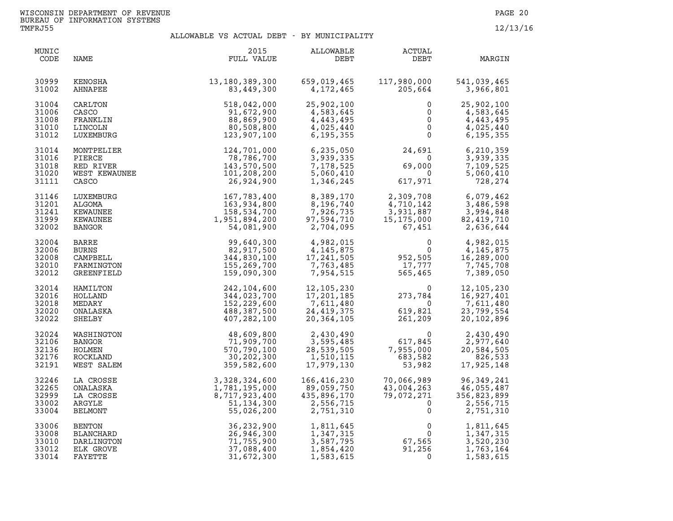| MUNIC<br>CODE                             | NAME                                                                    | 2015<br>FULL VALUE                                                                        | ALLOWABLE<br>DEBT                                                           | <b>ACTUAL</b><br>DEBT                                                                                        | MARGIN                                                              |
|-------------------------------------------|-------------------------------------------------------------------------|-------------------------------------------------------------------------------------------|-----------------------------------------------------------------------------|--------------------------------------------------------------------------------------------------------------|---------------------------------------------------------------------|
| 30999<br>31002                            | KENOSHA<br>AHNAPEE                                                      | 13,180,389,300<br>83,449,300                                                              | 659,019,465<br>4,172,465                                                    | 117,980,000<br>205,664                                                                                       | 541,039,465<br>3,966,801                                            |
| 31004<br>31006<br>31008<br>31010<br>31012 | CARLTON<br>CASCO<br>FRANKLIN<br>LINCOLN<br>LUXEMBURG                    | 518,042,000<br>91,672,900<br>88,869,900<br>80,508,800<br>123,907,100                      | 25,902,100<br>4,583,645<br>4,443,495<br>4,025,440<br>6,195,355              | $\mathbf{0}$<br>0<br>$\mathbf{0}$<br>$\overline{0}$<br>$\mathbf 0$                                           | 25,902,100<br>4,583,645<br>4,443,495<br>4,025,440<br>6, 195, 355    |
| 31014<br>31016<br>31018<br>31020<br>31111 | MONTPELIER<br>PIERCE<br>RED RIVER<br>WEST KEWAUNEE<br>CASCO<br>CASCO    | 124,701,000<br>78,786,700<br>143,570,500<br>101,208,200<br>26,924,900                     | 6,235,050<br>3,939,335<br>7,178,525<br>5,060,410<br>1,346,245               | 24,691<br>$\overline{0}$<br>69,000<br>$\overline{0}$<br>$0 \hspace{1.5mm} 0$ 617,971                         | 6,210,359<br>3,939,335<br>7,109,525<br>5,060,410<br>728,274         |
| 31146<br>31201<br>31241<br>31999<br>32002 | LUXEMBURG<br>ALGOMA<br>KEWAUNEE<br>KEWAUNEE<br>BANGOR                   | $167,783,400$<br>$163,934,800$<br>$158,534,700$<br>$1,951,894,200$<br>$54,081,900$        | 8,389,170<br>8,389,170<br>8,196,740<br>7,926,735<br>97,594,710<br>2,704,095 | 2,309,708<br>4,710,142<br>3,931,887<br>15,175,000<br>67,451<br>$2,3$<br>$4,5$<br>$3,9$<br>$15,1$             | 6,079,462<br>3,486,598<br>3,994,848<br>82, 419, 710<br>2,636,644    |
| 32004<br>32006<br>32008<br>32010<br>32012 | BARRE<br><b>BURNS</b><br>CAMPBELL<br>FARMINGTON<br><b>GREENFIELD</b>    | 99,640,300<br>82,917,500<br>344,830,100<br>155,269,700<br>159,090,300                     | 4,982,015<br>4,145,875<br>17,241,505<br>7,763,485<br>7,954,515              | $\mathbf 0$<br>$\overline{0}$<br>952,505<br>17,777<br>565,465                                                | 4,982,015<br>4, 145, 875<br>16,289,000<br>7,745,708<br>7,389,050    |
| 32014<br>32016<br>32018<br>32020<br>32022 | HAMILTON<br>HOLLAND<br>MEDARY<br>ONALASKA<br>SHELBY                     | 242,104,600<br>344,023,700<br>152,229,600<br>488,387,500<br>407,282,100                   | 12,105,230<br>17,201,185<br>7,611,480<br>24,419,375<br>20,364,105           | $\begin{smallmatrix}&&&0\273,784\0\619,821\261,209\end{smallmatrix}$<br>$\overline{0}$<br>619,821<br>261.209 | 12, 105, 230<br>16,927,401<br>7,611,480<br>23,799,554<br>20,102,896 |
| 32024<br>32106<br>32136<br>32176<br>32191 | WASHINGTON<br>BANGOR<br><b>HOLMEN</b><br>ROCKLAND<br>WEST SALEM         | 48,609,800<br>71,909,700<br>570,790,100<br>30,202,300<br>359,582,600                      | 2,430,490<br>3,595,485<br>28,539,505<br>1,510,115<br>17,979,130             | 0<br>617,845<br>7,955,000<br>683,582<br>53,982<br>7,955,000<br>683,582<br>53,982                             | 2,430,490<br>2,977,640<br>20,584,505<br>826,533<br>17,925,148       |
| 32246<br>32265<br>32999<br>33002<br>33004 | LA CROSSE<br>ONALASKA<br>LA CROSSE<br>ARGYLE<br>BELMONT                 | 3,328,324,600<br>1,781,195,000<br>8,717,923,400<br>51.134.300<br>51,134,300<br>55,026,200 | 166,416,230<br>89,059,750<br>435,896,170<br>2,556,715<br>2,751,310          | 70,066,989<br>43,004,263<br>79,072,271<br>0<br>$\mathsf{O}\xspace$                                           | 96, 349, 241<br>46,055,487<br>356,823,899<br>2,556,715<br>2,751,310 |
| 33006<br>33008<br>33010<br>33012<br>33014 | <b>BENTON</b><br><b>BLANCHARD</b><br>DARLINGTON<br>ELK GROVE<br>FAYETTE | 36,232,900<br>26,946,300<br>71,755,900<br>37,088,400<br>31,672,300                        | 1,811,645<br>1,347,315<br>3,587,795<br>1,854,420<br>1,583,615               | $0$<br>$67,565$<br>$91,256$                                                                                  | 1,811,645<br>1,347,315<br>3,520,230<br>1,763,164<br>1,583,615       |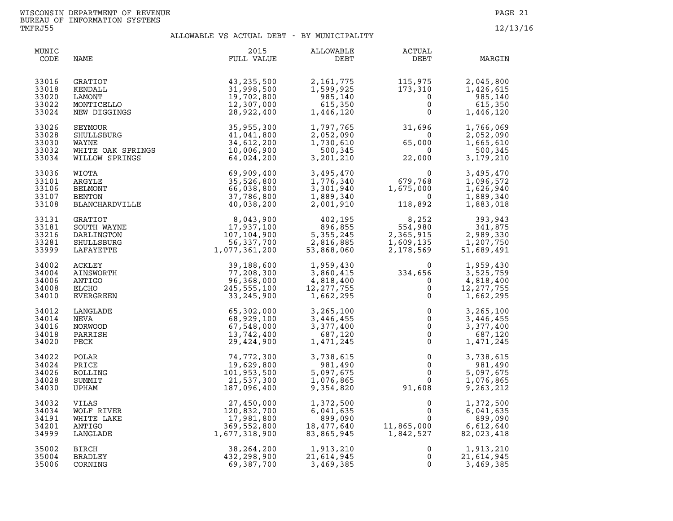| MUNIC<br>CODE                             | NAME                                                                   | 2015<br>FULL VALUE                                                    | ALLOWABLE<br>DEBT                                             | ACTUAL<br>DEBT                                            | MARGIN                                                        |
|-------------------------------------------|------------------------------------------------------------------------|-----------------------------------------------------------------------|---------------------------------------------------------------|-----------------------------------------------------------|---------------------------------------------------------------|
| 33016                                     | GRATIOT                                                                | 43,235,500                                                            | 2,161,775                                                     | 115,975                                                   | 2,045,800                                                     |
| 33018                                     | KENDALL                                                                | 31,998,500                                                            | 1,599,925                                                     | 173,310                                                   | 1,426,615                                                     |
| 33020                                     | LAMONT                                                                 | 19,702,800                                                            | 985,140                                                       | $\mathbf 0$                                               | 985,140                                                       |
| 33022                                     | MONTICELLO                                                             | 12,307,000                                                            | 615,350                                                       | $\overline{0}$                                            | 615,350                                                       |
| 33024                                     | NEW DIGGINGS                                                           | 28,922,400                                                            | 1,446,120                                                     | $\mathbf{0}$                                              | 1,446,120                                                     |
| 33026                                     | SEYMOUR<br>SHULLSBURG<br>WAYNE<br>WHITE OAK SPRINGS<br>WILLOW SPRINGS  | 35,955,300                                                            | 1,797,765                                                     | 31,696                                                    | 1,766,069                                                     |
| 33028                                     |                                                                        | 41,041,800                                                            | 2,052,090                                                     | $\overline{0}$                                            | 2,052,090                                                     |
| 33030                                     |                                                                        | 34,612,200                                                            | 1,730,610                                                     | 65,000                                                    | 1,665,610                                                     |
| 33032                                     |                                                                        | 10,006,900                                                            | 500,345                                                       | $\overline{0}$                                            | 500,345                                                       |
| 33034                                     |                                                                        | 64,024,200                                                            | 3,201,210                                                     | 22,000                                                    | 3, 179, 210                                                   |
| 33036<br>33101<br>33106<br>33107<br>33108 | WIOTA<br>ARGYLE<br>BELMONT<br>BENTON<br>BLANCHARDVILLE                 | 69,909,400<br>35,526,800<br>66,038,800<br>37,786,800<br>40,038,200    | 3,495,470<br>1,776,340<br>3,301,940<br>1,889,340<br>2,001,910 | $679,768$<br>1,675,000<br>118,892<br>1,675,000<br>118,892 | 3,495,470<br>1,096,572<br>1,626,940<br>1,889,340<br>1,883,018 |
| 33131<br>33181<br>33216<br>33281<br>33999 | <b>GRATIOT</b><br>SOUTH WAYNE<br>DARLINGTON<br>SHULLSBURG<br>LAFAYETTE | 8,043,900<br>17,937,100<br>107,104,900<br>56,337,700<br>1,077,361,200 | 402,195<br>$896,8555,355,2452,816,88553,868$                  | 8,252<br>554,980<br>2,365,915<br>1,609,135<br>2,178,569   | 393,943<br>341,875<br>2,989,330<br>1,207,750<br>51,689,491    |
| 34002                                     | ACKLEY                                                                 | 39,188,600                                                            | 1,959,430                                                     | $334,656$<br>0<br>0<br>0<br>0                             | 1,959,430                                                     |
| 34004                                     | AINSWORTH                                                              | 77,208,300                                                            | 3,860,415                                                     |                                                           | 3,525,759                                                     |
| 34006                                     | ANTIGO                                                                 | 96,368,000                                                            | 4,818,400                                                     |                                                           | 4,818,400                                                     |
| 34008                                     | ELCHO                                                                  | 245,555,100                                                           | 12, 277, 755                                                  |                                                           | 12, 277, 755                                                  |
| 34010                                     | EVERGREEN                                                              | 33,245,900                                                            | 1,662,295                                                     |                                                           | 1,662,295                                                     |
| 34012                                     | LANGLADE                                                               | 65,302,000                                                            | 3,265,100                                                     | $\overline{0}$                                            | 3,265,100                                                     |
| 34014                                     | NEVA                                                                   | 68,929,100                                                            | 3,446,455                                                     | $\overline{0}$                                            | 3,446,455                                                     |
| 34016                                     | NORWOOD                                                                | 67,548,000                                                            | 3,377,400                                                     | $\overline{0}$                                            | 3,377,400                                                     |
| 34018                                     | PARRISH                                                                | 13,742,400                                                            | 687,120                                                       | $\overline{0}$                                            | 687,120                                                       |
| 34020                                     | PECK                                                                   | 29,424,900                                                            | 1,471,245                                                     | $\overline{0}$                                            | 1,471,245                                                     |
| 34022                                     | POLAR                                                                  | 74,772,300                                                            | 3,738,615                                                     | $\mathbf 0$                                               | 3,738,615                                                     |
| 34024                                     | PRICE                                                                  | 19,629,800                                                            | 981,490                                                       | $\overline{0}$                                            | 981,490                                                       |
| 34026                                     | ROLLING                                                                | 101,953,500                                                           | 5,097,675                                                     | $\mathsf{O}\xspace$                                       | 5,097,675                                                     |
| 34028                                     | SUMMIT                                                                 | 21,537,300                                                            | 1,076,865                                                     | $\mathsf{O}$                                              | 1,076,865                                                     |
| 34030                                     | UPHAM                                                                  | 187,096,400                                                           | 9,354,820                                                     | 91,608                                                    | 9,263,212                                                     |
| 34032                                     | VILAS                                                                  | 27,450,000                                                            | 1,372,500                                                     | 0                                                         | 1,372,500                                                     |
| 34034                                     | WOLF RIVER                                                             | 120,832,700                                                           | 6,041,635                                                     | 0                                                         | 6,041,635                                                     |
| 34191                                     | WHITE LAKE                                                             | 17,981,800                                                            | 899,090                                                       | $\Omega$                                                  | 899,090                                                       |
| 34201                                     | ANTIGO                                                                 | 369,552,800                                                           | 18,477,640                                                    | 11,865,000<br>1,842,527                                   | 6,612,640                                                     |
| 34999                                     | LANGLADE                                                               | 1,677,318,900                                                         | 83,865,945                                                    | 11,865,000                                                | 82,023,418                                                    |
| 35002                                     | <b>BIRCH</b>                                                           | 38, 264, 200                                                          | 1,913,210                                                     | 0                                                         | 1,913,210                                                     |
| 35004                                     | BRADLEY                                                                | 432,298,900                                                           | 21,614,945                                                    | 0                                                         | 21,614,945                                                    |
| 35006                                     | CORNING                                                                | 69,387,700                                                            | 3,469,385                                                     | 0                                                         | 3,469,385                                                     |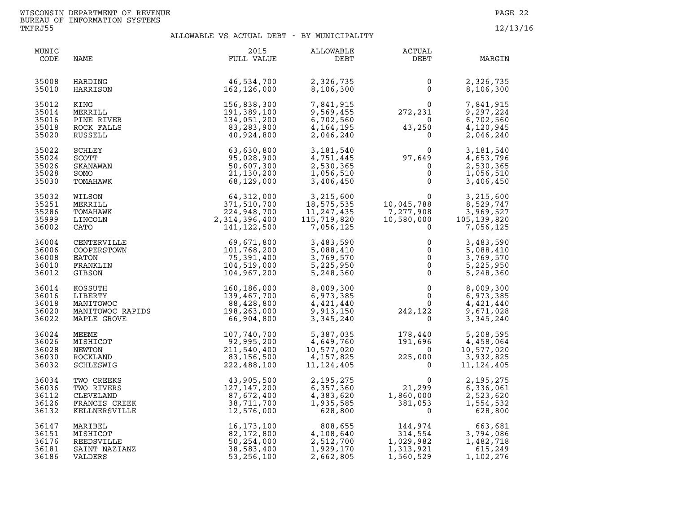| MUNIC<br>CODE                             | NAME                                                                    | 2015<br>FULL VALUE                                                                                                                                                                                                                                  | ALLOWABLE<br>DEBT                                                 | ACTUAL<br>DEBT                                                                              | MARGIN                                                                                                |
|-------------------------------------------|-------------------------------------------------------------------------|-----------------------------------------------------------------------------------------------------------------------------------------------------------------------------------------------------------------------------------------------------|-------------------------------------------------------------------|---------------------------------------------------------------------------------------------|-------------------------------------------------------------------------------------------------------|
| 35008<br>35010                            | HARDING<br>HARRISON                                                     | 46,534,700<br>162,126,000                                                                                                                                                                                                                           | 2,326,735<br>8,106,300                                            | 0<br>$\Omega$                                                                               | 2,326,735<br>8,106,300                                                                                |
| 35012<br>35014<br>35016<br>35018<br>35020 | KING<br>MERRILL<br>PINE RIVER<br>ROCK FALLS<br>RUSSELL                  | 156,838,300<br>191,389,100<br>134,051,200<br>83,283,900<br>40,924,800                                                                                                                                                                               | 7,841,915<br>9,569,455<br>6,702,560<br>4, 164, 195<br>2,046,240   | $\begin{array}{c} 0 \\ 272,231 \end{array}$<br>$\overline{0}$<br>0<br>43,250<br>$\mathbf 0$ | 7,841,915<br>9,297,224<br>6,702,560<br>4,120,945<br>2,046,240                                         |
| 35022<br>35024<br>35026<br>35028<br>35030 | <b>SCHLEY</b><br><b>SCOTT</b><br>SKANAWAN<br>SOMO<br>TOMAHAWK           | 63,630,800<br>95,028,900<br>50,607,300<br>21,130,200<br>68,129,000                                                                                                                                                                                  | 3,181,540<br>4,751,445<br>2,530,365<br>1,056,510<br>3,406,450     | $97,649$<br>0<br>0<br>0<br>0                                                                | 3,181,540<br>4,653,796<br>2,530,365<br>1,056,510<br>3,406,450                                         |
| 35032<br>35251<br>35286<br>35999<br>36002 | WILSON<br>MERRILL<br>TOMAHAWK<br>LINCOLN<br>CATO                        | 64,312,000<br>371,510,700<br>224,948,700<br>2,314,396,400<br>141, 122, 500                                                                                                                                                                          | 3,215,600<br>18,575,535<br>11,247,435<br>115,719,820<br>7,056,125 | $\mathbf 0$<br>10,045,788<br>7,277,908<br>10,580,000<br>$\Omega$                            | 3,215,600<br>8,529,747<br>3,969,527<br>105, 139, 820<br>7,056,125                                     |
| 36004<br>36006<br>36008<br>36010<br>36012 | CENTERVILLE<br>COOPERSTOWN<br>EATON<br>FRANKLIN<br>GIBSON               | 69,671,800<br>101,768,200<br>75,391,400<br>104,519,000<br>104,967,200                                                                                                                                                                               | 3,483,590<br>5,088,410<br>3,769,570<br>5,225,950<br>5,248,360     | 0<br>$\mathsf{O}\xspace$<br>$\overline{0}$<br>$\mathbf 0$<br>$\mathbf 0$                    | 3,483,590<br>5,088,410<br>3,769,570<br>5,225,950<br>5,248,360                                         |
| 36014<br>36016<br>36018<br>36020<br>36022 |                                                                         | $\begin{tabular}{l l l l} \texttt{KOSSUTH} & & & & 160,186,000 \\ \texttt{LIBERTY} & & & 139,467,700 \\ \texttt{MANITOWOC} & & 88,428,800 \\ \texttt{MANITOWOC RAPIDS} & & & 198,263,000 \\ \texttt{MAPLE GROVE} & & & 66,904,800 \\ \end{tabular}$ | 8,009,300<br>6,973,385<br>4,421,440<br>9,913,150<br>3,345,240     | $\overline{0}$<br>$0 \qquad \qquad$<br>$\mathbf{0}$<br>242,122                              | 8,009,300<br>6,973,385<br>4,421,440<br>9,671,028<br>$\begin{matrix} 22 \ 0 \end{matrix}$<br>3,345,240 |
| 36024<br>36026<br>36028<br>36030<br>36032 | MEEME<br>MISHICOT<br>NEWTON<br>ROCKLAND<br>SCHLESWIG                    | 107,740,700<br>92,995,200<br>211,540,400<br>83,156,500<br>222,488,100                                                                                                                                                                               | 5,387,035<br>4,649,760<br>10,577,020<br>4,157,825<br>11, 124, 405 | 178,440<br>191,696<br>$\overline{\mathbf{0}}$<br>225,000<br>$\Omega$                        | 5,208,595<br>4,458,064<br>10,577,020<br>3,932,825<br>11, 124, 405                                     |
| 36034<br>36036<br>36112<br>36126<br>36132 | TWO CREEKS<br>TWO RIVERS<br>CLEVELAND<br>FRANCIS CREEK<br>KELLNERSVILLE | 43,905,500<br>127,147,200<br>87,672,400<br>38,711,700<br>12,576,000                                                                                                                                                                                 | 2, 195, 275<br>6,357,360<br>4,383,620<br>1,935,585<br>628,800     | 21, 299<br>1,860,000<br>381,053<br>$\mathbf 0$                                              | 2, 195, 275<br>6,336,061<br>2,523,620<br>1,554,532<br>628,800                                         |
| 36147<br>36151<br>36176<br>36181<br>36186 | MARIBEL<br>MISHICOT<br>REEDSVILLE<br>SAINT NAZIANZ<br>VALDERS           | 16,173,100<br>82,172,800<br>50,254,000<br>38,583,400<br>53, 256, 100                                                                                                                                                                                | 808,655<br>4,108,640<br>2,512,700<br>1,929,170<br>2,662,805       | 144,974<br>314.554<br>314,554<br>1,029,982<br>1,313,921<br>1,560,529                        | 663,681<br>3,794,086<br>1,482,718<br>615,249<br>1,102,276                                             |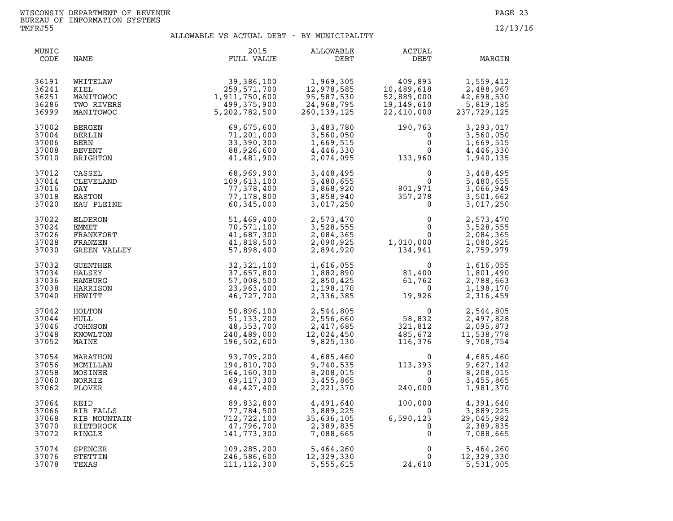| MUNIC<br>CODE                             | NAME                                                       | 2015<br>FULL VALUE                                                     | ALLOWABLE<br>DEBT                                              | ACTUAL<br>DEBT                                                                               | MARGIN                                                         |
|-------------------------------------------|------------------------------------------------------------|------------------------------------------------------------------------|----------------------------------------------------------------|----------------------------------------------------------------------------------------------|----------------------------------------------------------------|
| 36191                                     | WHITELAW                                                   | 39,386,100                                                             | 1,969,305                                                      | 409,893                                                                                      | 1,559,412                                                      |
| 36241                                     | KIEL                                                       | 259,571,700                                                            | 12,978,585                                                     | 10,489,618                                                                                   | 2,488,967                                                      |
| 36251                                     | MANITOWOC                                                  | 1,911,750,600                                                          | 95,587,530                                                     | 52,889,000                                                                                   | 42,698,530                                                     |
| 36286                                     | TWO RIVERS                                                 | 499,375,900                                                            | 24,968,795                                                     | 19,149,610                                                                                   | 5,819,185                                                      |
| 36999                                     | MANITOWOC                                                  | 5,202,782,500                                                          | 260, 139, 125                                                  | 22,410,000                                                                                   | 237, 729, 125                                                  |
| 37002                                     | BERGEN                                                     | 69,675,600                                                             | 3,483,780                                                      | 190,763                                                                                      | 3,293,017                                                      |
| 37004                                     | BERLIN                                                     | 71,201,000                                                             | 3,560,050                                                      | 0                                                                                            | 3,560,050                                                      |
| 37006                                     | BERN                                                       | 33,390,300                                                             | 1,669,515                                                      | $\mathbf 0$                                                                                  | 1,669,515                                                      |
| 37008                                     | <b>BEVENT</b>                                              | 88,926,600                                                             | 4,446,330                                                      | $\mathbf{0}$                                                                                 | 4,446,330                                                      |
| 37010                                     | BRIGHTON                                                   | 41,481,900                                                             | 2,074,095                                                      | 133,960                                                                                      | 1,940,135                                                      |
| 37012<br>37014<br>37016<br>37018<br>37020 | CASSEL<br>CLEVELAND<br>DAY<br>EASTON<br>EAU PLEINE         | 68,969,900<br>109,613,100<br>77,378,400<br>77,178,800<br>60,345,000    | 3,448,495<br>5,480,655<br>3,868,920<br>3,858,940<br>3,017,250  | $\begin{array}{c} 0 \\ 0 \\ 801,971 \\ 357,278 \end{array}$<br>$\overline{0}$<br>$\mathbf 0$ | 3,448,495<br>5,480,655<br>3,066,949<br>3,501,662<br>3,017,250  |
| 37022<br>37024<br>37026<br>37028<br>37030 | ELDERON<br>EMMET<br>FRANKFORT<br>FRANZEN<br>GREEN VALLEY   | 51,469,400<br>70,571,100<br>41,687,300<br>41,818,500<br>57,898,400     | 2,573,470<br>3,528,555<br>2,084,365<br>2,090,925<br>2,894,920  | $\mathbf 0$<br>0<br>$\overline{0}$<br>1,010,000<br>134,941                                   | 2,573,470<br>3,528,555<br>2,084,365<br>1,080,925<br>2,759,979  |
| 37032<br>37034<br>37036<br>37038<br>37040 | <b>GUENTHER</b><br>HALSEY<br>HAMBURG<br>HARRISON<br>HEWITT | 32,321,100<br>37,657,800<br>57,008,500<br>23,963,400<br>46,727,700     | 1,616,055<br>1,882,890<br>2,850,425<br>1,198,170<br>2,336,385  | $81,400$<br>$61,762$<br>$0$<br>19,926                                                        | 1,616,055<br>1,801,490<br>2,788,663<br>1,198,170<br>2,316,459  |
| 37042<br>37044<br>37046<br>37048<br>37052 | HOLTON<br>HULL<br>JOHNSON<br>KNOWLTON<br>MAINE             | 50,896,100<br>51, 133, 200<br>48,353,700<br>240,489,000<br>196,502,600 | 2,544,805<br>2,556,660<br>2,417,685<br>12,024,450<br>9,825,130 | 0<br>58,832<br>321,812<br>485,672<br>485,672<br>116,376                                      | 2,544,805<br>2,497,828<br>2,095,873<br>11,538,778<br>9,708,754 |
| 37054                                     | MARATHON                                                   | 93,709,200                                                             | 4,685,460                                                      | $\mathbf{0}$                                                                                 | 4,685,460                                                      |
| 37056                                     | MCMILLAN                                                   | 194,810,700                                                            | 9,740,535                                                      | 113,393                                                                                      | 9,627,142                                                      |
| 37058                                     | MOSINEE                                                    | 164,160,300                                                            | 8,208,015                                                      | $\overline{0}$                                                                               | 8,208,015                                                      |
| 37060                                     | NORRIE                                                     | 69,117,300                                                             | 3,455,865                                                      | $\Omega$                                                                                     | 3,455,865                                                      |
| 37062                                     | PLOVER                                                     | 44,427,400                                                             | 2,221,370                                                      | 240,000                                                                                      | 1,981,370                                                      |
| 37064                                     | REID                                                       | 89,832,800                                                             | 4,491,640                                                      | 100,000                                                                                      | 4,391,640                                                      |
| 37066                                     | RIB FALLS                                                  | 77,784,500                                                             | 3,889,225                                                      | $\overline{0}$                                                                               | 3,889,225                                                      |
| 37068                                     | RIB MOUNTAIN                                               | 712,722,100                                                            | 35,636,105                                                     | 6,590,123                                                                                    | 29,045,982                                                     |
| 37070                                     | RIETBROCK                                                  | 47,796,700                                                             | 2,389,835                                                      | $\mathbf 0$                                                                                  | 2,389,835                                                      |
| 37072                                     | RINGLE                                                     | 141,773,300                                                            | 7,088,665                                                      | $\mathbf{0}$                                                                                 | 7,088,665                                                      |
| 37074                                     | <b>SPENCER</b>                                             | 109,285,200                                                            | 5,464,260                                                      | $\mathbf 0$                                                                                  | 5,464,260                                                      |
| 37076                                     | STETTIN                                                    | 246,586,600                                                            | 12,329,330                                                     | $\Omega$                                                                                     | 12,329,330                                                     |
| 37078                                     | TEXAS                                                      | 111, 112, 300                                                          | 5,555,615                                                      | 24,610                                                                                       | 5,531,005                                                      |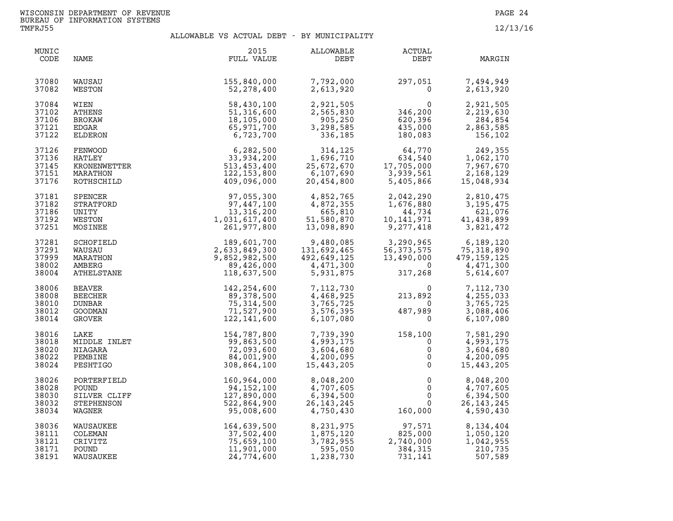| MUNIC<br>CODE | NAME           | 2015<br>FULL VALUE | ALLOWABLE<br>DEBT | <b>ACTUAL</b><br>DEBT | MARGIN       |
|---------------|----------------|--------------------|-------------------|-----------------------|--------------|
| 37080         | WAUSAU         | 155,840,000        | 7,792,000         | 297,051               | 7,494,949    |
| 37082         | WESTON         | 52,278,400         | 2,613,920         | $\mathbf{0}$          | 2,613,920    |
| 37084         | WIEN           | 58,430,100         | 2,921,505         | $\Omega$              | 2,921,505    |
| 37102         | <b>ATHENS</b>  | 51,316,600         | 2,565,830         | 346,200               | 2,219,630    |
| 37106         | BROKAW         | 18,105,000         | 905,250           | 620, 396              | 284,854      |
| 37121         | EDGAR          | 65,971,700         | 3,298,585         | 435,000               | 2,863,585    |
| 37122         | ELDERON        | 6,723,700          | 336,185           | 180,083               | 156,102      |
| 37126         | FENWOOD        | 6,282,500          | 314,125           | 64,770                | 249,355      |
| 37136         | HATLEY         | 33,934,200         | 1,696,710         | 634,540               | 1,062,170    |
| 37145         | KRONENWETTER   | 513,453,400        | 25,672,670        | 17,705,000            | 7,967,670    |
| 37151         | MARATHON       | 122, 153, 800      | 6,107,690         | 3,939,561             | 2,168,129    |
| 37176         | ROTHSCHILD     | 409,096,000        | 20,454,800        | 5,405,866             | 15,048,934   |
| 37181         | SPENCER        | 97,055,300         | 4,852,765         | 2,042,290             | 2,810,475    |
| 37182         | STRATFORD      | 97,447,100         | 4,872,355         | 1,676,880             | 3, 195, 475  |
| 37186         | UNITY          | 13, 316, 200       | 665,810           | 44,734                | 621,076      |
| 37192         | WESTON         | 1,031,617,400      | 51,580,870        | 10, 141, 971          | 41,438,899   |
| 37251         | MOSINEE        | 261,977,800        | 13,098,890        | 9,277,418             | 3,821,472    |
| 37281         | SCHOFIELD      | 189,601,700        | 9,480,085         | 3,290,965             | 6,189,120    |
| 37291         | WAUSAU         | 2,633,849,300      | 131,692,465       | 56, 373, 575          | 75, 318, 890 |
| 37999         | MARATHON       | 9,852,982,500      | 492,649,125       | 13,490,000            | 479,159,125  |
| 38002         | AMBERG         | 89,426,000         | 4,471,300         | $\overline{0}$        | 4,471,300    |
| 38004         | ATHELSTANE     | 118,637,500        | 5,931,875         | 317,268               | 5,614,607    |
| 38006         | BEAVER         | 142, 254, 600      | 7,112,730         | $\Omega$              | 7,112,730    |
| 38008         | <b>BEECHER</b> | 89,378,500         | 4,468,925         | 213,892               | 4,255,033    |
| 38010         | DUNBAR         | 75, 314, 500       | 3,765,725         | റ                     | 3,765,725    |
| 38012         | GOODMAN        | 71,527,900         | 3,576,395         | 487,989               | 3,088,406    |
| 38014         | GROVER         | 122,141,600        | 6,107,080         | $\overline{0}$        | 6,107,080    |
| 38016         | LAKE           | 154,787,800        | 7,739,390         | 158,100               | 7,581,290    |
| 38018         | MIDDLE INLET   | 99,863,500         | 4,993,175         | $\Omega$              | 4,993,175    |
| 38020         | NIAGARA        | 72,093,600         | 3,604,680         | $\mathsf{O}$          | 3,604,680    |
| 38022         | PEMBINE        | 84,001,900         | 4,200,095         | $\mathsf{O}$          | 4,200,095    |
| 38024         | PESHTIGO       | 308,864,100        | 15,443,205        | $\mathsf{O}$          | 15,443,205   |
| 38026         | PORTERFIELD    | 160,964,000        | 8,048,200         | $\mathbf 0$           | 8,048,200    |
| 38028         | POUND          | 94,152,100         | 4,707,605         | $\mathbf{0}$          | 4,707,605    |
| 38030         | SILVER CLIFF   | 127,890,000        | 6,394,500         | $\mathsf{O}$          | 6,394,500    |
| 38032         | STEPHENSON     | 522,864,900        | 26, 143, 245      | $\mathbf{0}$          | 26, 143, 245 |
| 38034         | WAGNER         | 95,008,600         | 4,750,430         | 160,000               | 4,590,430    |
| 38036         | WAUSAUKEE      | 164,639,500        | 8,231,975         | 97,571                | 8,134,404    |
| 38111         | COLEMAN        | 37,502,400         | 1,875,120         | 825,000               | 1,050,120    |
| 38121         | CRIVITZ        | 75,659,100         | 3,782,955         | 2,740,000             | 1,042,955    |
| 38171         | POUND          | 11,901,000         | 595,050           | 384,315               | 210,735      |
| 38191         | WAUSAUKEE      | 24,774,600         | 1,238,730         | 731,141               | 507,589      |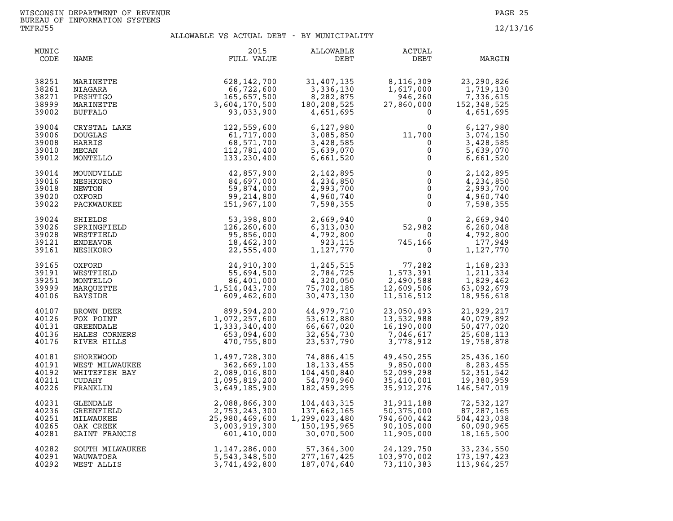| MUNIC<br>CODE                             | NAME                                                               | 2015<br>FULL VALUE                                                               | ALLOWABLE<br>DEBT                                           | <b>ACTUAL</b><br>DEBT                                                     | MARGIN                                                      |
|-------------------------------------------|--------------------------------------------------------------------|----------------------------------------------------------------------------------|-------------------------------------------------------------|---------------------------------------------------------------------------|-------------------------------------------------------------|
| 38251                                     | MARINETTE                                                          | 628,142,700                                                                      | 31,407,135                                                  | 8,116,309                                                                 | 23, 290, 826                                                |
| 38261                                     | NIAGARA                                                            | 66,722,600                                                                       | 3,336,130                                                   | 1,617,000                                                                 | 1,719,130                                                   |
| 38271                                     | PESHTIGO                                                           | 165,657,500                                                                      | 8,282,875                                                   | 946,260                                                                   | 7,336,615                                                   |
| 38999                                     | MARINETTE                                                          | 3,604,170,500                                                                    | 180, 208, 525                                               | 27,860,000                                                                | 152, 348, 525                                               |
| 39002                                     | <b>BUFFALO</b>                                                     | 93,033,900                                                                       | 4,651,695                                                   | $\overline{0}$                                                            | 4,651,695                                                   |
| 39004                                     | CRYSTAL LAKE                                                       | 122,559,600                                                                      | 6,127,980                                                   | $\Omega$                                                                  | 6,127,980                                                   |
| 39006                                     | <b>DOUGLAS</b>                                                     | 61,717,000                                                                       | 3,085,850                                                   | 11,700                                                                    | 3,074,150                                                   |
| 39008                                     | HARRIS                                                             | 68,571,700                                                                       | 3,428,585                                                   | $\overline{0}$                                                            | 3,428,585                                                   |
| 39010                                     | MECAN                                                              | 112,781,400                                                                      | 5,639,070                                                   | $\mathsf{O}\xspace$                                                       | 5,639,070                                                   |
| 39012                                     | MONTELLO                                                           | 133,230,400                                                                      | 6,661,520                                                   | $\mathsf{O}$                                                              | 6,661,520                                                   |
| 39014                                     | MOUNDVILLE                                                         | 42,857,900                                                                       | 2,142,895                                                   | $\begin{array}{c} 0 \\ 0 \\ 0 \\ 0 \\ 0 \end{array}$                      | 2,142,895                                                   |
| 39016                                     | NESHKORO                                                           | 84,697,000                                                                       | 4,234,850                                                   |                                                                           | 4,234,850                                                   |
| 39018                                     | NEWTON                                                             | 59,874,000                                                                       | 2,993,700                                                   |                                                                           | 2,993,700                                                   |
| 39020                                     | OXFORD                                                             | 99,214,800                                                                       | 4,960,740                                                   |                                                                           | 4,960,740                                                   |
| 39022                                     | PACKWAUKEE                                                         | 151,967,100                                                                      | 7,598,355                                                   |                                                                           | 7,598,355                                                   |
| 39024<br>39026<br>39028<br>39121<br>39161 | SHIELDS<br>SPRINGFIELD<br>WESTFIELD<br>ENDEAVOR<br>NESHKORO        | 53,398,800<br>126,260,600<br>95,856,000<br>18,462,300<br>22,555,400              | 2,669,940<br>6,313,030<br>4,792,800<br>923,115<br>1,127,770 | $\begin{array}{ccc} 30 & 52,982 \\ 0 & 745 \end{array}$<br>$\overline{0}$ | 2,669,940<br>6,260,048<br>4,792,800<br>177,949<br>1,127,770 |
| 39165                                     | OXFORD                                                             | $24,910,300$<br>$55,694,500$<br>$86,401,000$<br>$1,514,043,700$<br>$609,462,600$ | 1,245,515                                                   | 77,282<br>1,573,391<br>2,490,588                                          | 1,168,233                                                   |
| 39191                                     | WESTFIELD                                                          |                                                                                  | 2,784,725                                                   | 77,282                                                                    | 1,211,334                                                   |
| 39251                                     | MONTELLO                                                           |                                                                                  | 2, 764, 725<br>4, 320, 050<br>75, 702, 185                  | 1,573,391                                                                 | 1,829,462                                                   |
| 39999                                     | MARQUETTE                                                          |                                                                                  | 75,702,185                                                  | 12,609,506                                                                | 63,092,679                                                  |
| 40106                                     | <b>BAYSIDE</b>                                                     |                                                                                  | 30,473,130                                                  | 11,516,512                                                                | 18,956,618                                                  |
| 40107                                     | BROWN DEER                                                         | 899,594,200                                                                      | 44,979,710                                                  | 23,050,493                                                                | 21,929,217                                                  |
| 40126                                     | FOX POINT                                                          | 1,072,257,600                                                                    | 53,612,880                                                  | 13,532,988                                                                | 40,079,892                                                  |
| 40131                                     | <b>GREENDALE</b>                                                   | 1,333,340,400                                                                    | 66,667,020                                                  | 16,190,000                                                                | 50,477,020                                                  |
| 40136                                     | HALES CORNERS                                                      | 653,094,600                                                                      | 32,654,730                                                  | 7,046,617                                                                 | 25,608,113                                                  |
| 40176                                     | RIVER HILLS                                                        | 470,755,800                                                                      | 23,537,790                                                  | 3,778,912                                                                 | 19,758,878                                                  |
| 40181                                     | SHOREWOOD<br>WEST MILWAUKEE<br>WHITEFISH BAY<br>CUDAHY<br>FRANKLIN | 1,497,728,300                                                                    | 74,886,415                                                  | 49,450,255                                                                | 25,436,160                                                  |
| 40191                                     |                                                                    | 362,669,100                                                                      | 18, 133, 455                                                | 9,850,000                                                                 | 8,283,455                                                   |
| 40192                                     |                                                                    | 2,089,016,800                                                                    | 104,450,840                                                 | 52,099,298                                                                | 52, 351, 542                                                |
| 40211                                     |                                                                    | 1,095,819,200                                                                    | 54,790,960                                                  | 35,410,001                                                                | 19,380,959                                                  |
| 40226                                     |                                                                    | 3,649,185,900                                                                    | 182,459,295                                                 | 35,912,276                                                                | 146,547,019                                                 |
| 40231                                     | GLENDALE                                                           | 2,088,866,300                                                                    | 104,443,315                                                 | 31,911,188                                                                | 72,532,127                                                  |
| 40236                                     | GREENFIELD                                                         | 2,753,243,300                                                                    | 137,662,165                                                 | 50,375,000                                                                | 87, 287, 165                                                |
| 40251                                     | MILWAUKEE                                                          | 25,980,469,600                                                                   | 1,299,023,480                                               | 794,600,442                                                               | 504,423,038                                                 |
| 40265                                     | OAK CREEK                                                          | 3,003,919,300                                                                    | 150,195,965                                                 | 90,105,000                                                                | 60,090,965                                                  |
| 40281                                     | SAINT FRANCIS                                                      | 601,410,000                                                                      | 30,070,500                                                  | 11,905,000                                                                | 18,165,500                                                  |
| 40282<br>40291<br>40292                   | SOUTH MILWAUKEE<br>WAUWATOSA<br>WEST ALLIS                         | 1,147,286,000<br>5,543,348,500<br>3,741,492,800<br>3,741,492,800                 | 57, 364, 300<br>277, 167, 425<br>187,074,640                | 24,129,750<br>103,970,002<br>73,110,383                                   | 33, 234, 550<br>173, 197, 423<br>113,964,257                |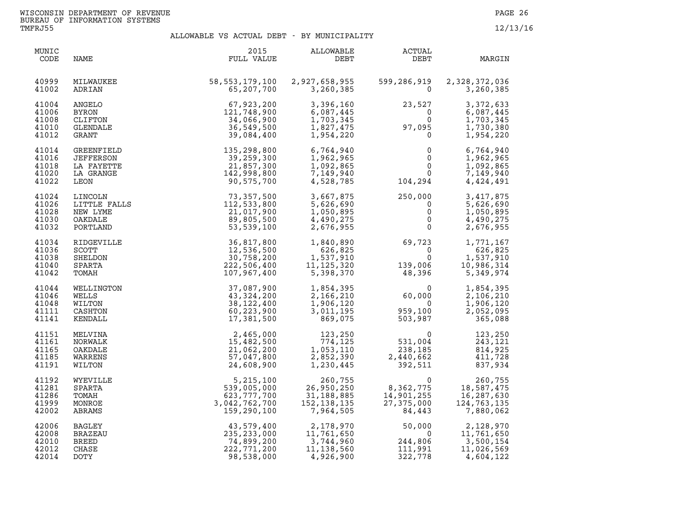| MUNIC<br>CODE                             | NAME                                                       | 2015<br>FULL VALUE                                                                                                                                                              | ALLOWABLE<br>DEBT                                                                                                   | ACTUAL<br>DEBT                                                                                                                        | MARGIN                                                                                                                               |
|-------------------------------------------|------------------------------------------------------------|---------------------------------------------------------------------------------------------------------------------------------------------------------------------------------|---------------------------------------------------------------------------------------------------------------------|---------------------------------------------------------------------------------------------------------------------------------------|--------------------------------------------------------------------------------------------------------------------------------------|
| 40999<br>41002                            | MILWAUKEE<br>ADRIAN                                        | 58, 553, 179, 100 2, 927, 658, 955<br>65,207,700                                                                                                                                | 3,260,385                                                                                                           | 599,286,919<br>$\Omega$                                                                                                               | 2,328,372,036<br>3,260,385                                                                                                           |
| 41004<br>41006<br>41008<br>41010<br>41012 | ANGELO<br><b>BYRON</b><br>CLIFTON<br>GLENDALE<br>GRANT     | 67,923,200<br>121,748,900<br>34,066,900<br>36,549,500<br>39,084,400                                                                                                             | 3,396,160<br>6,087,445<br>1,703,345<br>1,827,475<br>1,954,220                                                       | 23,527<br>$\begin{array}{c}0\\0\\97\, ,095\\0\end{array}$                                                                             | 3,372,633<br>6,087,445<br>1,703,345<br>1,730,380<br>1,954,220                                                                        |
| 41014<br>41016<br>41018<br>41020<br>41022 | GREENFIELD<br>JEFFERSON<br>LA FAYETTE<br>LA GRANGE<br>LEON | $39,084,400$<br>$135,298,800$<br>$39,259,300$<br>$21,857,300$<br>$142,998,800$<br>$90,575,700$<br>$73,357,500$<br>$112,533,800$<br>$21,017,900$<br>$89,805,500$<br>$53,539,100$ | 6,764,940<br>1,962,965<br>1,092,865<br>7,149,940<br>4,528,785                                                       | 0<br>$\Omega$<br>$\mathsf 0$<br>$\begin{smallmatrix}&&0\0&&0\104\,,294\end{smallmatrix}$                                              | 6,764,940<br>1,962,965<br>1,092,865<br>7,149,940<br>4,424,491                                                                        |
| 41024<br>41026<br>41028<br>41030<br>41032 | LINCOLN<br>LITTLE FALLS<br>NEW LYME<br>OAKDALE<br>PORTLAND |                                                                                                                                                                                 | 3,667,875<br>5,626,690<br>1,050,895<br>4,490,275<br>2,676,955                                                       | $250,000$<br>0<br>0<br>0<br>0                                                                                                         | 3,417,875<br>5,626,690<br>1,050,895<br>4,490,275<br>2,676,955                                                                        |
| 41034<br>41036<br>41038<br>41040<br>41042 | RIDGEVILLE<br>SCOTT<br>SHELDON<br>SPARTA<br>TOMAH          | 36,817,800<br>12,536,500<br>30,758,200<br>222,506,400<br>107,967,400                                                                                                            | 626,825<br>$1,537,910$<br>$11,125,320$<br>$5,398,370$                                                               | 1,840,890<br>626,825 0<br>1,537,910 0<br>1,125,320 139,006<br>$\begin{smallmatrix}&&&0\139\,,006\48\,,396\end{smallmatrix}$           | 1,771,167<br>626,825<br>1,537,910<br>10,986,314<br>5,349,974                                                                         |
| 41044<br>41046<br>41048<br>41111<br>41141 | WELLINGTON<br>WELLS<br>WILTON<br>CASHTON<br>KENDALL        | 37,087,900<br>43,324,200<br>38, 122, 400<br>60,223,900<br>17,381,500                                                                                                            | 1,854,395<br>2,166,210<br>1,906,120<br>3,011,195<br>869,075                                                         | $60,000$<br>$959,100$<br>$503,987$                                                                                                    | 1,854,395<br>2,106,210<br>1,906,120<br>2,052,095<br>365,088                                                                          |
| 41151<br>41161<br>41165<br>41185<br>41191 | MELVINA<br>NORWALK<br>OAKDALE<br>WARRENS<br>WILTON         | 2,465,000<br>15,482,500<br>21,062,200<br>57,047,800<br>24,608,900                                                                                                               | 1,053,110<br>2,852,390<br>1,230,445<br>1,230,445                                                                    | $\begin{array}{r} 123,250 \\ 774,125 \end{array}$ 531,<br>053.110 238.                                                                | $\begin{array}{ccc} & 0 & 123,250 \\ 531,004 & 243,121 \\ 238,185 & 814,925 \\ 2,440,662 & 411,728 \\ 392,511 & 837,934 \end{array}$ |
| 41192<br>41281<br>41286<br>41999<br>42002 | WYEVILLE<br>SPARTA<br>TOMAH<br>MONROE<br>ABRAMS            | 5,215,100<br>539,005,000<br>623,777,700<br>3,042,762,700<br>159,290,100                                                                                                         | 260,755<br>26,950,250<br>31,188,885<br>152, 138, 135<br>7,964,505                                                   | $\begin{array}{cc} & 0 & 260,755 \ 8,362,775 & 18,587,475 \ 14,901,255 & 16,287,630 \ 27,375,000 & 124,763,135 \end{array}$<br>84,443 | 7,880,062                                                                                                                            |
| 42006<br>42008<br>42010<br>42012<br>42014 | BAGLEY<br>BRAZEAU<br><b>BREED</b><br>CHASE<br>DOTY         | 43,579,400<br>235, 233, 000<br>74,899,200<br>222,771,200<br>98,538,000                                                                                                          | 2, 178, 970 50, 000<br>11, 761, 650 0<br>3, 744, 960 244, 806<br>11, 129, 560 111, 991<br>11, 138, 560<br>4,926,900 | 50,000<br>111,991<br>322,778                                                                                                          | 2,128,970<br>11,761,650<br>3,500,154<br>11,026,569<br>4,604,122                                                                      |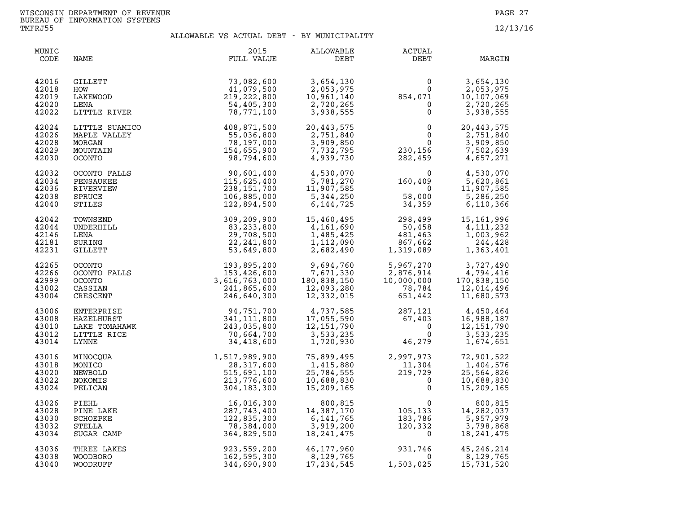| MUNIC<br>CODE                             | NAME                                                              | 2015<br>FULL VALUE                                                                                                                                                | ALLOWABLE<br>DEBT                                                                                                   | ACTUAL<br>DEBT                                                                                                                                              | MARGIN                                                            |
|-------------------------------------------|-------------------------------------------------------------------|-------------------------------------------------------------------------------------------------------------------------------------------------------------------|---------------------------------------------------------------------------------------------------------------------|-------------------------------------------------------------------------------------------------------------------------------------------------------------|-------------------------------------------------------------------|
| 42016<br>42018<br>42019<br>42020<br>42022 | GILLETT<br>HOW<br>LAKEWOOD<br>LENA<br>LITTLE RIVER                | 73,082,600<br>41,079,500<br>219, 222, 800<br>54,405,300<br>78,771,100                                                                                             | 3,654,130<br>2,053,975<br>$\begin{array}{c} 10,961,140 \\ 2,720,265 \\ 3,938 \end{array}$                           | $854,071$<br>0<br>0<br>0<br>0                                                                                                                               | 3,654,130<br>2,053,975<br>10,107,069<br>2,720,265<br>3,938,555    |
| 42024<br>42026<br>42028<br>42029<br>42030 | LITTLE SUAMICO<br>MAPLE VALLEY<br>MORGAN<br>MOUNTAIN<br>OCONTO    | MICO<br>EY 55, 036, 800<br>55, 036, 800<br>78, 197, 000<br>154, 655, 900<br>98, 794, 600                                                                          | 20,443,575<br>2,751,840<br>3,909,850<br>7,732,795<br>4,939,730                                                      | $\begin{matrix}0&&2\\0&&\\0&&\\0&&\\230,156\\282,459\end{matrix}$                                                                                           | 20,443,575<br>2,751,840<br>3,909,850<br>7,502,639<br>4,657,271    |
| 42032<br>42034<br>42036<br>42038<br>42040 | OCONTO FALLS<br>PENSAUKEE<br>RIVERVIEW<br>SPRUCE<br>STILES        | 90,601,400<br>115,625,400<br>238,151,700<br>106,885,000<br>122,894,500<br>309,209,900<br>83,233,800<br>29,708,500<br>22,241,800<br>53,649,800<br>53,649,800       | 4,530,070<br>5,781,270<br>11,907,585<br>5,344,250<br>6,144,725                                                      | $\begin{array}{ccc} & 0 & 4,530,070\ 160,409 & 5,620,861\ 0 & 11,907,585\ 58,000 & 5,286,250\ 34,359 & 6,110,366\ \end{array}$                              |                                                                   |
| 42042<br>42044<br>42146<br>42181<br>42231 | TOWNSEND<br>UNDERHILL<br>LENA<br>SURING<br>GILLETT                | 309,209,900<br>83.233.800                                                                                                                                         | 15,460,495<br>4,161,690<br>1,485,425<br>1,112,090<br>2,682,490                                                      | $298,499$<br>50,458<br>481,463<br>867,662<br>1,319,089                                                                                                      | 15,161,996<br>4,111,232<br>1,003,962<br>244,428<br>1,363,401      |
| 42265<br>42266<br>42999<br>43002<br>43004 | OCONTO<br>OCONTO FALLS<br><b>OCONTO</b><br>CASSIAN<br>CRESCENT    | LS<br>$193,895,200$<br>$153,426,600$<br>$3,616,763,000$<br>$241,865,600$<br>$246,640,300$                                                                         | 9,694,760<br>7,671,330<br>180,838,150<br>12,093,280<br>12,332,015                                                   | 5,967,270 3,727,490<br>2,876,914 4,794,416<br>10,000,000 170,838,150<br>78,784 12,014,496<br>651,442 11,680,573                                             |                                                                   |
| 43006<br>43008<br>43010<br>43012<br>43014 | ENTERPRISE<br>HAZELHURST<br>LAKE TOMAHAWK<br>LITTLE RICE<br>LYNNE | $94, 751, 700$<br>341, 111, 800<br>243, 035, 800<br>70, 664, 700<br>34, 418, 600                                                                                  |                                                                                                                     | $\begin{array}{cccc} 4,737,585 & & 287,121 \ 17,055,590 & & 67,403 \ 12,151,790 & & & 0 \ 3,533,235 & & & 0 \ 1,720,930 & & & 46,279 \end{array}$<br>46,279 | 4,450,464<br>16,988,187<br>12, 151, 790<br>3,533,235<br>1,674,651 |
| 43016<br>43018<br>43020<br>43022<br>43024 | MINOCOUA<br>MONICO<br>NEWBOLD<br>NOKOMIS<br>PELICAN               |                                                                                                                                                                   | 75,899,495<br>$1,415,880$<br>$25,784,555$<br>$10,688,830$<br>$15,209,165$<br>25,784,555<br>10,688,830<br>15,209,165 | 2,997,973<br>$2, 997, 973$<br>11, 304<br>219, 729<br>0                                                                                                      | 72,901,522<br>1,404,576<br>25,564,826<br>10,688,830<br>15,209,165 |
| 43026<br>43028<br>43030<br>43032<br>43034 | PIEHL<br>PINE LAKE<br>SCHOEPKE<br>STELLA<br>SUGAR CAMP            | 1,517,989,900<br>28,317,600<br>515,691,100<br>213,776,600<br>304,183,300<br>287,743,400<br>287,743,400<br>122,835,300<br>78,384,000<br>364,829,500<br>364,829,500 | 800,815<br>14,387,170<br>6,141,765<br>3,919,200<br>18,241,475                                                       | $\begin{smallmatrix}&&&0\105,133\183,786\120,332\0\end{smallmatrix}$                                                                                        | 800,815<br>14,282,037<br>5,957,979<br>3,798,868<br>18, 241, 475   |
| 43036<br>43038<br>43040                   | THREE LAKES<br><b>WOODBORO</b><br>WOODRUFF                        | 923,559,200<br>162,595,300<br>344,690,900                                                                                                                         | 46,177,960<br>$46, 111, 500$<br>$8, 129, 765$<br>17, 234, 545                                                       | $931,746$<br>0<br>$\overline{0}$<br>1,503,025                                                                                                               | 45, 246, 214<br>8,129,765<br>15,731,520                           |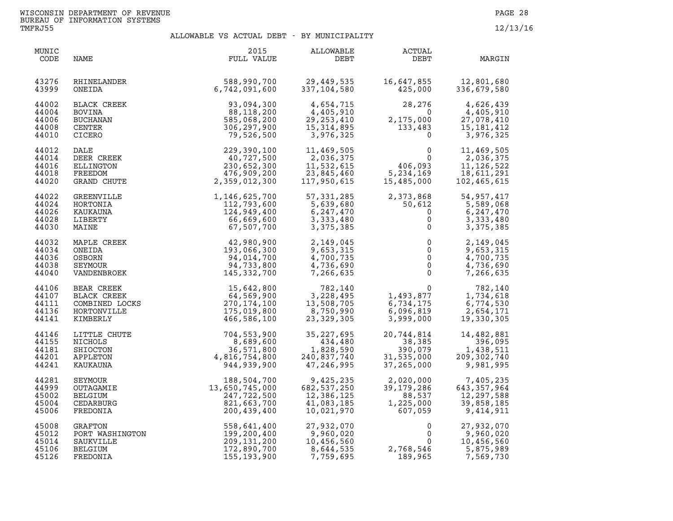| MUNIC<br>CODE                             | NAME                                                            | 2015<br>FULL VALUE                                                         | ALLOWABLE<br>DEBT                                                  | <b>ACTUAL</b><br>DEBT                                     | MARGIN                                                               |
|-------------------------------------------|-----------------------------------------------------------------|----------------------------------------------------------------------------|--------------------------------------------------------------------|-----------------------------------------------------------|----------------------------------------------------------------------|
| 43276                                     | RHINELANDER                                                     | 588,990,700                                                                | 29,449,535                                                         | 16,647,855                                                | 12,801,680                                                           |
| 43999                                     | ONEIDA                                                          | 6,742,091,600                                                              | 337,104,580                                                        | 425,000                                                   | 336,679,580                                                          |
| 44002                                     | BLACK CREEK                                                     | 93,094,300                                                                 | 4,654,715                                                          | 28,276                                                    | 4,626,439                                                            |
| 44004                                     | <b>BOVINA</b>                                                   | 88,118,200                                                                 | 4,405,910                                                          | $\overline{0}$                                            | 4,405,910                                                            |
| 44006                                     | <b>BUCHANAN</b>                                                 | 585,068,200                                                                | 29, 253, 410                                                       | 2,175,000                                                 | 27,078,410                                                           |
| 44008                                     | CENTER                                                          | 306,297,900                                                                | 15, 314, 895                                                       | 133,483                                                   | 15,181,412                                                           |
| 44010                                     | CICERO                                                          | 79,526,500                                                                 | 3,976,325                                                          | $\Omega$                                                  | 3,976,325                                                            |
| 44012<br>44014<br>44016<br>44018<br>44020 | DALE<br>DEER CREEK<br>ELLINGTON<br>FREEDOM<br>GRAND CHUTE       | 229,390,100<br>40,727,500<br>230,652,300<br>476,909,200<br>2,359,012,300   | 11,469,505<br>2,036,375<br>11,532,615<br>23,845,460<br>117,950,615 | $\Omega$<br>406,093<br>5,234,169<br>15,485,000            | 11,469,505<br>2,036,375<br>11, 126, 522<br>18,611,291<br>102,465,615 |
| 44022                                     | GREENVILLE                                                      | 1,146,625,700                                                              | 57, 331, 285                                                       | 2,373,868                                                 | 54,957,417                                                           |
| 44024                                     | HORTONIA                                                        | 112,793,600                                                                | 5,639,680                                                          | 50,612                                                    | 5,589,068                                                            |
| 44026                                     | KAUKAUNA                                                        | 124,949,400                                                                | 6,247,470                                                          | $\mathbf 0$                                               | 6,247,470                                                            |
| 44028                                     | LIBERTY                                                         | 66,669,600                                                                 | 3,333,480                                                          | $\mathbf 0$                                               | 3,333,480                                                            |
| 44030                                     | MAINE                                                           | 67,507,700                                                                 | 3,375,385                                                          | $\mathsf{O}$                                              | 3,375,385                                                            |
| 44032                                     | MAPLE CREEK                                                     | 42,980,900                                                                 | 2,149,045                                                          | $\mathbf 0$                                               | 2,149,045                                                            |
| 44034                                     | ONEIDA                                                          | 193,066,300                                                                | 9,653,315                                                          | $\mathsf{O}$                                              | 9,653,315                                                            |
| 44036                                     | OSBORN                                                          | 94,014,700                                                                 | 4,700,735                                                          | $\mathsf{O}$                                              | 4,700,735                                                            |
| 44038                                     | SEYMOUR                                                         | 94,733,800                                                                 | 4,736,690                                                          | $\mathbf 0$                                               | 4,736,690                                                            |
| 44040                                     | VANDENBROEK                                                     | 145,332,700                                                                | 7,266,635                                                          | $\mathbf{0}$                                              | 7,266,635                                                            |
| 44106                                     | BEAR CREEK                                                      | 15,642,800                                                                 | 782,140                                                            | $\mathbf{0}$                                              | 782,140                                                              |
| 44107                                     | <b>BLACK CREEK</b>                                              | 64,569,900                                                                 | 3,228,495                                                          | 1,493,877                                                 | 1,734,618                                                            |
| 44111                                     | COMBINED LOCKS                                                  | 270, 174, 100                                                              | 13,508,705                                                         | 6,734,175                                                 | 6,774,530                                                            |
| 44136                                     | HORTONVILLE                                                     | 175,019,800                                                                | 8,750,990                                                          | 6,096,819                                                 | 2,654,171                                                            |
| 44141                                     | KIMBERLY                                                        | 466,586,100                                                                | 23,329,305                                                         | 3,999,000                                                 | 19,330,305                                                           |
| 44146                                     | LITTLE CHUTE                                                    | 704,553,900                                                                | 35, 227, 695                                                       | 20,744,814                                                | 14,482,881                                                           |
| 44155                                     | NICHOLS                                                         | 8,689,600                                                                  | 434,480                                                            | 38,385                                                    | 396,095                                                              |
| 44181                                     | SHIOCTON                                                        | 36,571,800                                                                 | 1,828,590                                                          | 390,079                                                   | 1,438,511                                                            |
| 44201                                     | APPLETON                                                        | 4,816,754,800                                                              | 240,837,740                                                        | 31,535,000                                                | 209, 302, 740                                                        |
| 44241                                     | KAUKAUNA                                                        | 944,939,900                                                                | 47,246,995                                                         | 37,265,000                                                | 9,981,995                                                            |
| 44281<br>44999<br>45002<br>45004<br>45006 | SEYMOUR<br>OUTAGAMIE<br><b>BELGIUM</b><br>CEDARBURG<br>FREDONIA | 188,504,700<br>13,650,745,000<br>247,722,500<br>821,663,700<br>200,439,400 | 9,425,235<br>682,537,250<br>12,386,125<br>41,083,185<br>10,021,970 | 2,020,000<br>39,179,286<br>88,537<br>1,225,000<br>607,059 | 7,405,235<br>643, 357, 964<br>12,297,588<br>39,858,185<br>9,414,911  |
| 45008                                     | GRAFTON                                                         | 558,641,400                                                                | 27,932,070                                                         | $\mathbf{0}$                                              | 27,932,070                                                           |
| 45012                                     | PORT WASHINGTON                                                 | 199,200,400                                                                | 9,960,020                                                          | $\Omega$                                                  | 9,960,020                                                            |
| 45014                                     | SAUKVILLE                                                       | 209,131,200                                                                | 10,456,560                                                         | $\Omega$                                                  | 10,456,560                                                           |
| 45106                                     | BELGIUM                                                         | 172,890,700                                                                | 8,644,535                                                          | 2,768,546                                                 | 5,875,989                                                            |
| 45126                                     | FREDONIA                                                        | 155,193,900                                                                | 7,759,695                                                          | 189,965                                                   | 7,569,730                                                            |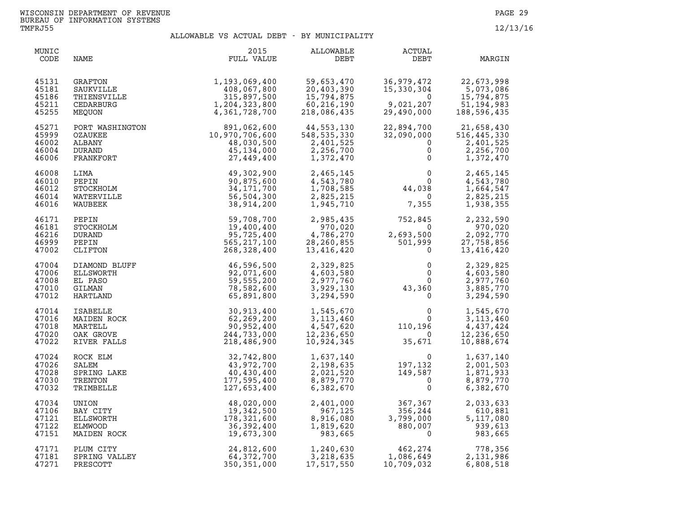| MUNIC<br>CODE                             | NAME                                                                                                                                         | 2015<br>FULL VALUE                                                            | ALLOWABLE<br>DEBT                                                  | ACTUAL<br>DEBT                                                                                                     | MARGIN                                                               |
|-------------------------------------------|----------------------------------------------------------------------------------------------------------------------------------------------|-------------------------------------------------------------------------------|--------------------------------------------------------------------|--------------------------------------------------------------------------------------------------------------------|----------------------------------------------------------------------|
| 45131<br>45181<br>45186<br>45211<br>45255 | GRAFTON<br>SAUKVILLE<br>THIENSVILLE<br>CEDARBURG<br>MEQUON                                                                                   | 1,193,069,400<br>408,067,800<br>315,897,500<br>1,204,323,800<br>4,361,728,700 | 59,653,470<br>20,403,390<br>15,794,875<br>60,216,190<br>218,096    | 36,979,472<br>15,330,304<br>$\overline{0}$<br>9,021,207<br>29,490,000                                              | 22,673,998<br>5,073,086<br>15,794,875<br>51, 194, 983<br>188,596,435 |
| 45271<br>45999<br>46002<br>46004<br>46006 | PORT WASHINGTON<br>OZAUKEE<br>ALBANY<br><b>DURAND</b><br>FRANKFORT                                                                           | 891,062,600<br>10,970,706,600<br>48,030,500<br>45, 134, 000<br>27,449,400     | 44,553,130<br>548, 535, 330<br>2,401,525<br>2,256,700<br>1,372,470 | 22,894,700<br>32,090,000<br>$\mathbf{0}$<br>$\mathbf 0$<br>0                                                       | 21,658,430<br>516,445,330<br>2,401,525<br>2,256,700<br>1,372,470     |
| 46008<br>46010<br>46012<br>46014<br>46016 | LIMA<br>PEPIN<br>STOCKHOLM<br>WATERVILLE<br>WAUBEEK                                                                                          | 49,302,900<br>90,875,600<br>34, 171, 700<br>56,504,300<br>38,914,200          | 2,465,145<br>4,543,780<br>1,708,585<br>2,825,215<br>1,945,710      | $\begin{array}{c}0\\0\\44,038\\0\\7\end{array}$                                                                    | 2,465,145<br>4,543,780<br>1,664,547<br>2,825,215<br>1,938,355        |
| 46171<br>46181<br>46216<br>46999<br>47002 | PEPIN<br>STOCKHOLM<br><b>DURAND</b><br>PEPIN<br>CLIFTON                                                                                      | 59,708,700<br>19,400,400<br>95,725,400<br>565, 217, 100<br>268,328,400        | 2,985,435<br>970,020<br>4,786,270<br>28, 260, 855<br>13,416,420    | 752,845<br>0<br>2,693,500<br>501,999<br>$\mathbf 0$                                                                | 2,232,590<br>970,020<br>2,092,770<br>27,758,856<br>13,416,420        |
| 47004<br>47006<br>47008<br>47010<br>47012 |                                                                                                                                              | 46,596,500<br>92,071,600<br>59,555,200<br>78,582,600<br>65,891,800            | 2,329,825<br>4,603,580<br>2,977,760<br>3,929,130<br>3,294,590      | $\begin{smallmatrix}0&&0\0&&0\0&43,360\end{smallmatrix}$<br>$0 \qquad \qquad$<br>0<br>$\mathsf{O}$                 | 2,329,825<br>4,603,580<br>2,977,760<br>3,885,770<br>3,294,590        |
| 47014<br>47016<br>47018<br>47020<br>47022 | DIAMOND BLUFF<br>ELLSWORTH<br>EL PASO<br>GILMAN<br>HARTLAND<br>ISABELLE<br>MAIDEN ROCK<br>MAIDEN ROCK<br>MARTELL<br>OAK GROVE<br>RIVER FALLS | 30,913,400<br>62,269,200<br>90,952,400<br>244,733,000<br>218,486,900          | 1,545,670<br>3, 113, 460<br>4,547,620<br>12,236,650<br>10,924,345  | $\begin{array}{c} 0 \\ 0 \\ 110, 196 \\ 0 \\ 35, 671 \end{array}$<br>$\begin{smallmatrix}&&0\&&0\end{smallmatrix}$ | 1,545,670<br>3, 113, 460<br>4,437,424<br>12,236,650<br>10,888,674    |
| 47024<br>47026<br>47028<br>47030<br>47032 | ROCK ELM<br>SALEM<br>SPRING LAKE<br>TRENTON<br>TRIMBELLE                                                                                     | 32,742,800<br>43,972,700<br>40,430,400<br>177,595,400<br>127,653,400          | 1,637,140<br>2,198,635<br>2,021,520<br>8,879,770<br>6,382,670      | 0<br>197,132<br>149,587<br>0<br>0                                                                                  | 1,637,140<br>2,001,503<br>1,871,933<br>8,879,770<br>6,382,670        |
| 47034<br>47106<br>47121<br>47122<br>47151 | UNION<br>BAY CITY<br>ELLSWORTH<br><b>ELMWOOD</b><br>MAIDEN ROCK                                                                              | 48,020,000<br>19,342,500<br>178,321,600<br>36,392,400<br>19,673,300           | 2,401,000<br>967,125<br>8,916,080<br>1,819,620<br>983,665          | 367,367<br>356,244<br>367, 367<br>356, 244<br>3, 799, 000<br>880, 007<br>0<br>3,799,000<br>880,007                 | 2,033,633<br>610,881<br>5,117,080<br>939,613<br>983,665              |
| 47171<br>47181<br>47271                   | PLUM CITY<br>SPRING VALLEY<br>PRESCOTT                                                                                                       | 24,812,600<br>64,372,700<br>350, 351, 000                                     | 1,240,630<br>3,218,635<br>17,517,550                               | 462,274<br>1,086,649<br>10,709,032                                                                                 | 778,356<br>2,131,986<br>6,808,518                                    |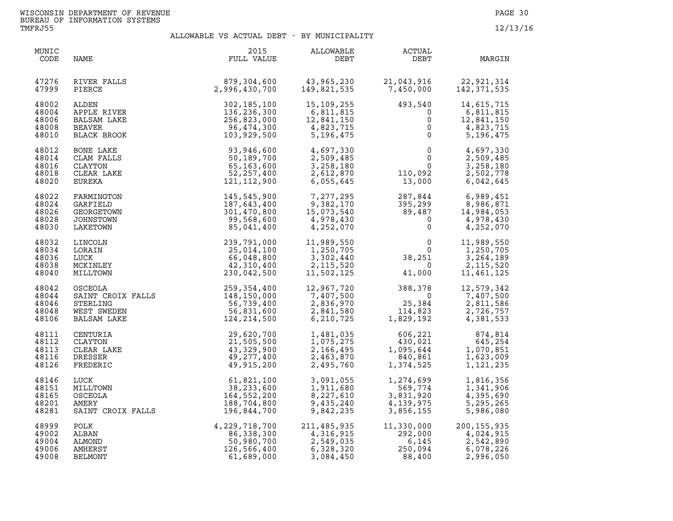| MUNIC<br>CODE                             | NAME                                                                                                                                                                                                                                                                     | 2015<br>FULL VALUE                                                                                                                                                                                                                                                                                      | ALLOWABLE<br>DEBT                                                                                                                                                                                                                                                              | ACTUAL<br>DEBT                                                                                                                                                                                                                                                                                                                                                  | MARGIN                                                          |
|-------------------------------------------|--------------------------------------------------------------------------------------------------------------------------------------------------------------------------------------------------------------------------------------------------------------------------|---------------------------------------------------------------------------------------------------------------------------------------------------------------------------------------------------------------------------------------------------------------------------------------------------------|--------------------------------------------------------------------------------------------------------------------------------------------------------------------------------------------------------------------------------------------------------------------------------|-----------------------------------------------------------------------------------------------------------------------------------------------------------------------------------------------------------------------------------------------------------------------------------------------------------------------------------------------------------------|-----------------------------------------------------------------|
| 47276<br>47999                            | RIVER FALLS<br>PIERCE                                                                                                                                                                                                                                                    | 879,304,600  43,965,230  21,043,916  22,921,314<br>2,996,430,700  149,821,535  7,450,000  142,371,535                                                                                                                                                                                                   |                                                                                                                                                                                                                                                                                |                                                                                                                                                                                                                                                                                                                                                                 |                                                                 |
| 48002<br>48004<br>48006<br>48008<br>48010 | ALDEN<br>APPLE RIVER<br>BALSAM LAKE<br>BEAVER<br>BLACK BROOK                                                                                                                                                                                                             | 302, 185, 100<br>136, 236, 300<br>256, 823, 000<br>96, 474, 300<br>103, 929, 500<br>5, 196, 475                                                                                                                                                                                                         | 15, 109, 255<br>6, 811, 815<br>12, 841, 150<br>4, 823, 715<br>5, 196, 475<br>0                                                                                                                                                                                                 | $\overline{0}$                                                                                                                                                                                                                                                                                                                                                  | 14,615,715<br>6,811,815<br>12,841,150<br>4,823,715<br>5,196,475 |
| 48012<br>48014<br>48016<br>48018<br>48020 | BONE LAKE<br>CLAM FALLS<br>CLAYTON<br>CLEAR LAKE<br>EUREKA<br>FADMINGEON                                                                                                                                                                                                 | 93,946,600<br>$50,189,700$<br>65, 163,600<br>52, 257,400<br>121, 112,900                                                                                                                                                                                                                                | 4,697,330<br>2,509,485                                                                                                                                                                                                                                                         | $\begin{array}{cccc} 4\, , \, 697 \, , \, 330 \\ 2\, , \, 509 \, , \, 485 \\ 3\, , \, 258 \, , \, 180 \\ 2\, , \, 612 \, , \, 870 \\ 6\, , \, 055 \, , \, 645 \\ \end{array} \qquad \qquad \begin{array}{cccc} 0 \\ 0 \\ 110 \, , \, 092 \\ 13 \, , \, 000 \\ \end{array} \qquad \qquad \begin{array}{cccc} 4\, , \, 697 \, , \, 330 \\ 2\, , \, 509 \, , \, 4$ |                                                                 |
| 48022<br>48024<br>48026<br>48028<br>48030 | FARMINGTON<br>GARFIELD<br>GEORGETOWN<br>JOHNSTOWN<br>LAKETOWN                                                                                                                                                                                                            | 145,545,900<br>187,643,400<br>301,470,800<br>99,568,600<br>85,041,400                                                                                                                                                                                                                                   | $\begin{array}{cccc} 7,277,295 & 287,844 & 6,989,451 \\ 9,382,170 & 395,299 & 8,986,871 \\ 15,073,540 & 89,487 & 14,984,053 \\ 4,978,430 & 0 & 4,978,430 \\ 4,252,070 & 0 & 4,252,070 \end{array}$                                                                             |                                                                                                                                                                                                                                                                                                                                                                 |                                                                 |
| 48032<br>48034<br>48036<br>48038<br>48040 | LINCOLN<br>LORAIN<br>LUCK<br>MCKINLEY<br>MILLTOWN                                                                                                                                                                                                                        | $239, 791, 000\n25, 014, 100\n66, 048, 800\n42, 310, 400\n230, 042, 500$                                                                                                                                                                                                                                | 11,989,550<br>1,250,705<br>$\begin{array}{c} 1,250,77 \\ 3,302,440 \\ 2,115,520 \\ 11,502,125 \end{array}$                                                                                                                                                                     | $\begin{array}{cccc} 11,989,550 & 0 & 11,989,550 \\ 1,250,705 & 0 & 1,250,705 \\ 3,302,440 & 38,251 & 3,264,189 \\ 2,115,520 & 0 & 2,115,520 \\ 11,502,125 & 41,000 & 11,461,125 \end{array}$                                                                                                                                                                   |                                                                 |
| 48042<br>48044<br>48046<br>48048<br>48106 | 0SCEOLA 259,354,400<br>SAINT CROIX FALLS 148,150,000<br>STERLING 56,739,400<br>WEST SWEDEN 56,831,600<br>BALSAM LAKE 124,214,500                                                                                                                                         |                                                                                                                                                                                                                                                                                                         | $\begin{array}{cccc} 12,967,720 \\ 7,407,500 \\ 2,836,970 \\ 6,210,725 \end{array} \qquad \begin{array}{cccc} 388,378 \\ 0 \\ 25,384 \\ 14,823 \\ 1,829,192 \end{array} \qquad \begin{array}{cccc} 12,579,342 \\ 7,407,500 \\ 2,811,586 \\ 2,726,757 \\ 4,381,533 \end{array}$ |                                                                                                                                                                                                                                                                                                                                                                 |                                                                 |
| 48111<br>48112<br>48113<br>48116<br>48126 |                                                                                                                                                                                                                                                                          | 29,620,700<br>21,505,500<br>43,329,900<br>49,277,400<br>49,915,200                                                                                                                                                                                                                                      |                                                                                                                                                                                                                                                                                | $\begin{array}{cccc} 1,481,035 & 606,221 & 874,814 \\ 1,075,275 & 430,021 & 645,254 \\ 2,166,495 & 1,095,644 & 1,070,851 \\ 2,463,870 & 840,861 & 1,623,009 \\ 2,495,760 & 1,374,525 & 1,121,235 \end{array}$                                                                                                                                                   |                                                                 |
| 48146<br>48151<br>48165<br>48201<br>48281 | CENTURIA<br>CLAYTON<br>CLAYTON<br>CLEAR LAKE<br>DRESSER<br>DRESSER<br>AP, 277, 400<br>FREDERIC<br>LUCK<br>LUCK<br>G1, 821, 100<br>MILLITOWN<br>OSCEOLA<br>AMERY<br>AMERY<br>AMERY<br>AMERY<br>18, 704, 800<br>SAINT CROIX FALLS<br>196, 233, 600<br>AMERY<br>188, 704, 8 |                                                                                                                                                                                                                                                                                                         |                                                                                                                                                                                                                                                                                | 3,091,055<br>1,911,680<br>8,227,610<br>9,435,240<br>9,842,235<br>3,856,155                                                                                                                                                                                                                                                                                      | 1,816,356<br>1,341,906<br>4,395,690<br>5,295,265<br>5,986,080   |
| 48999<br>49002<br>49004<br>49006<br>49008 | POLK<br>ALBAN<br>ALMOND<br>AMHERST<br>BELMONT                                                                                                                                                                                                                            | $\begin{array}{cccc} 4\, , 229\, , 718\, , 700\quad & 211\, , 485\, , 935\quad & 11\, , 330\, , 000\quad & 200\, , 155\, , 935\quad & 86\, , 338\, , 300\quad & 4\, , 316\, , 915\quad & 292\, , 000\quad & 4\, , 024\, , 915\ 50\, , 980\, , 700\quad & 2\, , 549\, , 035\quad & 6\, , 145\quad & 2\,$ |                                                                                                                                                                                                                                                                                |                                                                                                                                                                                                                                                                                                                                                                 |                                                                 |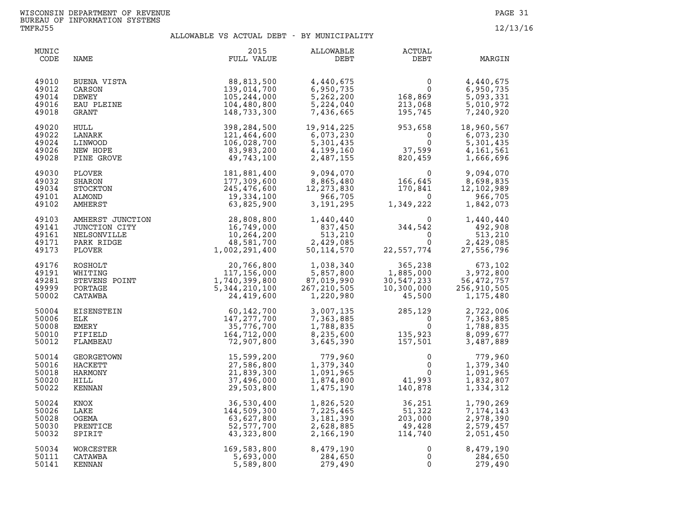| MUNIC<br>CODE                             | NAME                                                                                                                                                                                                                                                           | 2015<br>FULL VALUE                                                                                        | ALLOWABLE<br>DEBT                                                                                                                                 | ACTUAL<br>DEBT                                                                                                                                                                                                     | MARGIN                                                         |
|-------------------------------------------|----------------------------------------------------------------------------------------------------------------------------------------------------------------------------------------------------------------------------------------------------------------|-----------------------------------------------------------------------------------------------------------|---------------------------------------------------------------------------------------------------------------------------------------------------|--------------------------------------------------------------------------------------------------------------------------------------------------------------------------------------------------------------------|----------------------------------------------------------------|
| 49010<br>49012<br>49014<br>49016<br>49018 | BUENA VISTA<br>CARSON<br>DEWEY<br>EAU PLEINE<br>GRANT                                                                                                                                                                                                          | 88,813,500<br>139,014,700<br>105,244,000<br>104,480,800<br>148,733,300                                    | 4,440,675<br>6,950,735<br>5,262,200<br>5,224,040<br>7,436,665                                                                                     | $\begin{smallmatrix}&&&0\0&168,869\213,068\195,745\end{smallmatrix}$                                                                                                                                               | 4,440,675<br>6,950,735<br>5,093,331<br>5,010,972<br>7,240,920  |
| 49020<br>49022<br>49024<br>49026<br>49028 | HULL<br>LANARK<br>LINWOOD<br>NEW HOPE<br>PINE GROVE                                                                                                                                                                                                            | 398,284,500<br>121,464,600<br>106,028,700<br>83,983,200<br>49,743,100                                     | 19,914,225<br>6,073,230                                                                                                                           | $19,914,225$<br>$6,073,230$<br>$5,301,435$<br>$4,199,160$<br>$2,487,155$<br>$37,599$<br>$820,459$                                                                                                                  | 18,960,567<br>6,073,230<br>5,301,435<br>4,161,561<br>1,666,696 |
| 49030<br>49032<br>49034<br>49101<br>49102 | PLOVER<br>SHARON<br>STOCKTON<br>ALMOND<br>AMHERST                                                                                                                                                                                                              | 181,881,400<br>177,309,600<br>245,476,600<br>19,334,100                                                   | 9,094,070<br>8,865,480<br>12,273,830<br>966,705<br>3,191,295                                                                                      | $\begin{array}{lllllllllllllllllllll} 9,094,070 & 0 & 9,094,070 \\ 8,865,480 & 166,645 & 8,698,835 \\ 12,273,830 & 170,841 & 12,102,989 \\ 966,705 & 0 & 966,705 \\ 3,191,295 & 1,349,222 & 1,842,073 \end{array}$ |                                                                |
| 49103<br>49141<br>49161<br>49171<br>49173 | AMHERST JUNCTION<br>JUNCTION CITY<br>NELSONVILLE<br>PARK RIDGE                                                                                                                                                                                                 | 63, 825, 900<br>UNCTION<br>28, 808, 800<br>CITY<br>16, 749, 000<br>16, 264, 200<br>48, 581, 700<br>1, 002 | $\begin{array}{cccc} 1,440,440 & & & 0\\ 837,450 & & 344,542\\ 513,210 & & & 0\\ 2,429,085 & & & 0\\ 50,114,570 & & 22,557,774 & & 2 \end{array}$ |                                                                                                                                                                                                                    | 1,440,440<br>$492,210$<br>513,210<br>2,429,085<br>27,556,796   |
| 49176<br>49191<br>49281<br>49999<br>50002 |                                                                                                                                                                                                                                                                | 20,766,800<br>117,156,000<br>1,740,399,800<br>5, 344, 210, 100<br>24,419,600                              | 1,038,340<br>5,857,800<br>87,019,990<br>267,210,505<br>1,220,980                                                                                  | $365, 238$<br>$1, 885, 000$<br>$30, 547, 233$<br>$10, 300, 000$<br>$45, 500$                                                                                                                                       | 673,102<br>3,972,800<br>56,472,757<br>256,910,505<br>1,175,480 |
| 50004<br>50006<br>50008<br>50010<br>50012 | WHITING<br>STEVENS POINT<br>PORTAGE<br>CATAWBA<br>ISENSTEIN<br>K<br>K<br>ERY<br>FIELD<br>MBEAU<br>CETOWN<br>ETT<br>NUMBEAU<br>THE CONN<br>THE CONN<br>THE CONN<br>THE CONN<br>THE CONN<br>THE CONN<br>THE CONN<br>THE CONN<br>THE CONN<br>THE CONN<br>THE CONN | 60,142,700<br>147, 277, 700<br>35,776,700<br>164,712,000<br>72,907,800                                    |                                                                                                                                                   | $3,007,135$<br>$7,363,885$<br>$1,788,835$<br>$8,235,600$<br>$3,645,390$<br>$135,923$<br>$157,501$                                                                                                                  | 2,722,006<br>7,363,885<br>1,788,835<br>8,099,677<br>3,487,889  |
| 50014<br>50016<br>50018<br>50020<br>50022 | HARMONY<br>HILL<br>KENNAN                                                                                                                                                                                                                                      | 15,599,200<br>27,586,800<br>21,839,300<br>37,496,000<br>29,503,800                                        | 779,960<br>1,379,340<br>1,091,965<br>1,874,800<br>1,475,190                                                                                       | $\begin{array}{c}0\\0\\0\\41,993\\140,878\end{array}$                                                                                                                                                              | 779,960<br>1,379,340<br>1,091,965<br>1,832,807<br>1,334,312    |
| 50024<br>50026<br>50028<br>50030<br>50032 | KNOX<br>LAKE<br>OGEMA<br>PRENTICE<br>SPIRIT                                                                                                                                                                                                                    | 36,530,400<br>144,509,300<br>63,627,800<br>52,577,700<br>43,323,800                                       | 1,826,520<br>7,225,465<br>3,181,390<br>2,628,885<br>2,166,190                                                                                     | $36,251$<br>$51,322$<br>$203,000$<br>$49,428$<br>$114,740$<br>$, 500$<br>$49, 428$<br>$114, 740$                                                                                                                   | 1,790,269<br>7,174,143<br>2,978,390<br>2,579,457<br>2,051,450  |
| 50034<br>50111<br>50141                   | WORCESTER<br>CATAWBA<br>KENNAN                                                                                                                                                                                                                                 | 169,583,800<br>5,693,000<br>5,589,800                                                                     | 8,479,190<br>284,650<br>279,490                                                                                                                   | 0<br>$\mathsf{O}$<br>$\mathbf 0$                                                                                                                                                                                   | 8,479,190<br>284,650<br>279,490                                |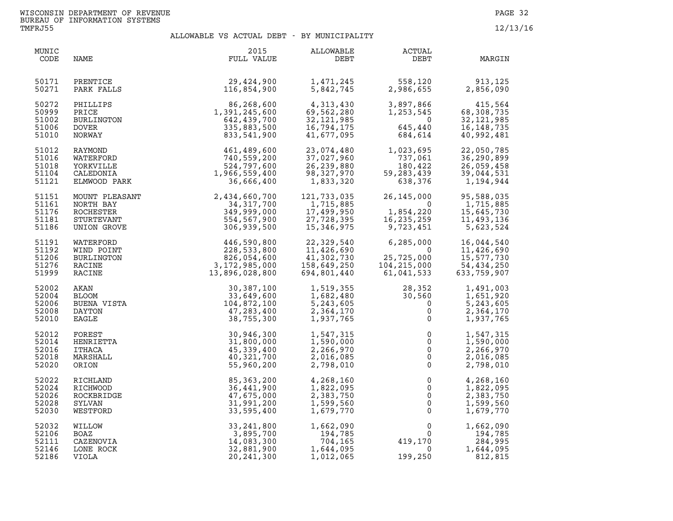| MUNIC<br>CODE                             | NAME                                                      | 2015<br>FULL VALUE                                                                                                 | ALLOWABLE<br>DEBT                                                    | ACTUAL<br>DEBT                                                   | MARGIN                                                              |
|-------------------------------------------|-----------------------------------------------------------|--------------------------------------------------------------------------------------------------------------------|----------------------------------------------------------------------|------------------------------------------------------------------|---------------------------------------------------------------------|
| 50171                                     | PRENTICE                                                  | 29,424,900                                                                                                         | 1,471,245                                                            | 558,120                                                          | 913,125                                                             |
| 50271                                     | PARK FALLS                                                | 116,854,900                                                                                                        | 5,842,745                                                            | 2,986,655                                                        | 2,856,090                                                           |
| 50272                                     | PHILLIPS                                                  | 86,268,600                                                                                                         | 4,313,430                                                            | 3,897,866                                                        | 415,564                                                             |
| 50999                                     | PRICE                                                     | 1,391,245,600                                                                                                      | 69,562,280                                                           | 1,253,545                                                        | 68,308,735                                                          |
| 51002                                     | BURLINGTON                                                | 642,439,700                                                                                                        | 32,121,985                                                           | $\overline{0}$                                                   | 32, 121, 985                                                        |
| 51006                                     | <b>DOVER</b>                                              | 335,883,500                                                                                                        | 16,794,175                                                           | 645,440                                                          | 16, 148, 735                                                        |
| 51010                                     | NORWAY                                                    | 833,541,900                                                                                                        | 41,677,095                                                           | 684,614                                                          | 40,992,481                                                          |
| 51012<br>51016<br>51018<br>51104<br>51121 |                                                           | RAYMOND<br>WATERFORD<br>140,559,200<br>YORKVILLE 524,797,600<br>CALEDONIA 1,966,559,400<br>ELMWOOD PARK 36,666,400 | 23,074,480<br>37,027,960<br>26,239,880<br>98,327,970<br>1,833,320    | 1,023,695<br>737,061<br>180,422<br>59, 283, 439<br>638,376       | 22,050,785<br>36,290,899<br>26,059,458<br>39,044,531<br>1,194,944   |
| 51151                                     | MOUNT PLEASANT                                            | 2,434,660,700                                                                                                      | 121,733,035                                                          | 26, 145, 000                                                     | 95,588,035                                                          |
| 51161                                     | NORTH BAY                                                 | 34, 317, 700                                                                                                       | 1,715,885                                                            | $\overline{0}$                                                   | 1,715,885                                                           |
| 51176                                     | ROCHESTER                                                 | 349,999,000                                                                                                        | 17,499,950                                                           | 1,854,220<br>16,235,259<br>9,723,451                             | 15,645,730                                                          |
| 51181                                     | STURTEVANT                                                | 554,567,900                                                                                                        | 27,728,395                                                           | 1,854,220                                                        | 11,493,136                                                          |
| 51186                                     | UNION GROVE                                               | 306,939,500                                                                                                        | 15,346,975                                                           | 16,235,259                                                       | 5,623,524                                                           |
| 51191<br>51192<br>51206<br>51276<br>51999 | WATERFORD<br>WIND POINT<br>BURLINGTON<br>RACINE<br>RACINE | 446,590,800<br>228,533,800<br>826,054,600<br>3,172,985,000<br>13,896,028,800                                       | 22,329,540<br>11,426,690<br>41,302,730<br>158,649,250<br>694,801,440 | 6,285,000<br>$\Omega$<br>25,725,000<br>104,215,000<br>61,041,533 | 16,044,540<br>11,426,690<br>15,577,730<br>54,434,250<br>633,759,907 |
| 52002                                     | AKAN                                                      | 30,387,100                                                                                                         | 1,519,355                                                            | 28,352                                                           | 1,491,003                                                           |
| 52004                                     | BLOOM                                                     | 33,649,600                                                                                                         | 1,682,480                                                            | 30,560                                                           | 1,651,920                                                           |
| 52006                                     | BUENA VISTA                                               | 104,872,100                                                                                                        | 5,243,605                                                            | $\overline{0}$                                                   | 5,243,605                                                           |
| 52008                                     | DAYTON                                                    | 47,283,400                                                                                                         | 2,364,170                                                            | $\mathsf{O}$                                                     | 2,364,170                                                           |
| 52010                                     | EAGLE                                                     | 38,755,300                                                                                                         | 1,937,765                                                            | $\overline{0}$                                                   | 1,937,765                                                           |
| 52012                                     | FOREST                                                    | 30,946,300                                                                                                         | 1,547,315                                                            | $\mathsf 0$                                                      | 1,547,315                                                           |
| 52014                                     | HENRIETTA                                                 | 31,800,000                                                                                                         | 1,590,000                                                            | $\Omega$                                                         | 1,590,000                                                           |
| 52016                                     | ITHACA                                                    | 45,339,400                                                                                                         | 2,266,970                                                            | $\overline{0}$                                                   | 2,266,970                                                           |
| 52018                                     | MARSHALL                                                  | 40,321,700                                                                                                         | 2,016,085                                                            | $\mathsf 0$                                                      | 2,016,085                                                           |
| 52020                                     | ORION                                                     | 55,960,200                                                                                                         | 2,798,010                                                            | $\mathsf 0$                                                      | 2,798,010                                                           |
| 52022                                     | RICHLAND                                                  | 85, 363, 200                                                                                                       | 4,268,160                                                            | 0                                                                | 4,268,160                                                           |
| 52024                                     | RICHWOOD                                                  | 36,441,900                                                                                                         | 1,822,095                                                            | $\mathsf 0$                                                      | 1,822,095                                                           |
| 52026                                     | ROCKBRIDGE                                                | 47,675,000                                                                                                         | 2,383,750                                                            | $\mathsf{O}\xspace$                                              | 2,383,750                                                           |
| 52028                                     | SYLVAN                                                    | 31,991,200                                                                                                         | 1,599,560                                                            | $\check{\mathbf{0}}$                                             | 1,599,560                                                           |
| 52030                                     | WESTFORD                                                  | 33,595,400                                                                                                         | 1,679,770                                                            | $\mathbf 0$                                                      | 1,679,770                                                           |
| 52032                                     | <b>MILLOW</b>                                             | 33, 241, 800                                                                                                       | 1,662,090                                                            | 0                                                                | 1,662,090                                                           |
| 52106                                     | BOAZ                                                      | 3,895,700                                                                                                          | 194,785                                                              | $\mathbf{0}$                                                     | 194,785                                                             |
| 52111                                     | CAZENOVIA                                                 | 14,083,300                                                                                                         | 704,165                                                              | 419,170                                                          | 284,995                                                             |
| 52146                                     | LONE ROCK                                                 | 32,881,900                                                                                                         | 1,644,095                                                            | $\mathbf 0$                                                      | 1,644,095                                                           |
| 52186                                     | VIOLA                                                     | 20, 241, 300                                                                                                       | 1,012,065                                                            | 199,250                                                          | 812,815                                                             |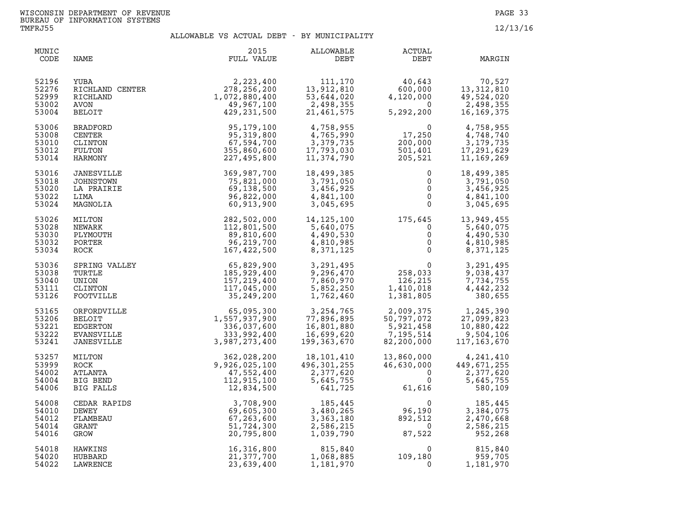| MUNIC<br>CODE                             | NAME                                                                        | 2015<br>FULL VALUE                                                                                                                                                                                                                        | ALLOWABLE<br>DEBT                                                                                                                                                                                                                                                | ACTUAL<br>DEBT                                                                                                                                                                                | MARGIN                                                         |
|-------------------------------------------|-----------------------------------------------------------------------------|-------------------------------------------------------------------------------------------------------------------------------------------------------------------------------------------------------------------------------------------|------------------------------------------------------------------------------------------------------------------------------------------------------------------------------------------------------------------------------------------------------------------|-----------------------------------------------------------------------------------------------------------------------------------------------------------------------------------------------|----------------------------------------------------------------|
| 52196<br>52276<br>52999<br>53002<br>53004 |                                                                             | XUBA 2,223,400<br>RICHLAND CENTER 278,256,200<br>RICHLAND 1,072,880,400<br>AVON 49,967,100<br>BELOIT 429,231,500<br>CENTER 95,179,100<br>CENTER 95,319,800<br>CLINTON 95,319,800<br>NULTON 555,860,600<br>IARMONY 227,495,800<br>NESVILLE | 53,644,∪∠∪<br>2,498,355<br>21,461,575                                                                                                                                                                                                                            | $\begin{array}{cccc} 111,170 & & 40,643 \\ 13,912,810 & & 600,000 \\ 53,644,020 & & 4,120,000 \\ 2,498,355 & & 0 \\ 21,461,575 & & 5,292,200 \end{array}$                                     | 70,527<br>13,312,810<br>49,524,020<br>2.499.02<br>16, 169, 375 |
| 53006<br>53008<br>53010<br>53012<br>53014 |                                                                             |                                                                                                                                                                                                                                           | 4,758,955<br>4,765,990<br>3,379,735<br>17,793,030<br>11,374,790                                                                                                                                                                                                  | $\begin{array}{cc} & 0 & 4\, , 758\, , 955\ 17\, , 250 & 4\, , 748\, , 740\ 200\, , 000 & 3\, , 179\, , 735\ 501\, , 401 & 17\, , 291\, , 629\ 205\, , 521 & 11\, , 169\, , 269\ \end{array}$ |                                                                |
| 53016<br>53018<br>53020<br>53022<br>53024 | JANESVILLE<br>JOHNSTOWN<br>LA PRAIRIE<br>LIMA<br>MAGNOLIA                   | 369,987,700<br>75,821,000<br>69,138,500<br>96,822,000<br>60,913,900                                                                                                                                                                       | 18,499,385<br>3,791,050<br>3,456,925<br>4,841,100<br>3,045,695                                                                                                                                                                                                   | $\begin{array}{c} 0 \\ 0 \\ 0 \\ 0 \\ 0 \end{array}$                                                                                                                                          | 18,499,385<br>3,791,050<br>3,456,925<br>4,841,100<br>3,045,695 |
| 53026<br>53028<br>53030<br>53032<br>53034 | MILTON<br>NEWARK<br>PLYMOUTH<br>PORTER<br>ROCK                              |                                                                                                                                                                                                                                           | $\begin{array}{cccc} 282, 502, 000 & 14, 125, 100 & 175, 645 & 13, 949, 455 \\ 112, 801, 500 & 5, 640, 075 & 0 & 5, 640, 075 \\ 89, 810, 600 & 4, 490, 530 & 0 & 4, 490, 530 \\ 96, 219, 700 & 4, 810, 985 & 0 & 4, 810, 985 \\ 167, 422, 500 & 8, 371, 125 & 0$ |                                                                                                                                                                                               |                                                                |
| 53036<br>53038<br>53040<br>53111<br>53126 |                                                                             | SPRING VALLEY<br>TURTLE<br>TURTLE<br>UNION 185,929,400<br>CLINTON 157,219,400<br>FOOTVILLE<br>TOOTVILLE<br>TOOTVILLE<br>TOOTVILLE<br>TOOTVILLE<br>TOOTVILLE<br>25,249,200                                                                 |                                                                                                                                                                                                                                                                  | 3, 291, 495<br>9, 296, 470<br>7, 860, 970<br>5, 852, 250<br>1, 762, 460<br>1, 381, 805                                                                                                        | 3,291,495<br>9,038,437<br>7,734,755<br>4,442,232<br>380,655    |
| 53165<br>53206<br>53221<br>53222<br>53241 | ORFORDVILLE<br><b>BELOIT</b><br>EDGERTON<br>EVANSVILLE<br><b>JANESVILLE</b> | 1,557,937,900<br>3,987,273,400                                                                                                                                                                                                            | $\begin{array}{lll} 65,095,300 && 3,254,765 \\ 557,937,900 && 77,896,895 \\ 336,037,600 && 16,801,880 \\ 333,992,400 && 16,699,620 \\ 987,273,400 && 199,363,670 \end{array}$                                                                                    | 2,009,375<br>50,797,072<br>5,921,458<br>7,195,514<br>82,200,000<br>117,163,670                                                                                                                |                                                                |
| 53257<br>53999<br>54002<br>54004<br>54006 | MILTON<br>ROCK<br>ATLANTA<br>BIG BEND<br>BIG FALLS                          | 362,028,200<br>9,926,025,100<br>47,552,400<br>112,915,100<br>12,834,500                                                                                                                                                                   | 18,101,410<br>$2,301,255$<br>2,377,620<br>5,645,755                                                                                                                                                                                                              | 13,860,000<br>46,630,000<br>$46,630,000$<br>0<br>0<br>61,616                                                                                                                                  | 4,241,410<br>449,671,255<br>2,377,620<br>5,645,755<br>580,109  |
| 54008<br>54010<br>54012<br>54014<br>54016 | CEDAR RAPIDS<br>DEWEY<br>FLAMBEAU<br>GRANT<br>GROW                          | 3,708,900<br>69,605,300<br>67,263,600<br>51,724,300<br>20,795,800                                                                                                                                                                         | 3,480,265<br>3,363,180<br>2,586,215<br>1,039,790                                                                                                                                                                                                                 | $185,445$<br>$7480,265$<br>$7363,180$<br>$7586,215$<br>$790$<br>$87,522$<br>$87,522$                                                                                                          | 185,445<br>3,384,075<br>2,470,668<br>2,586,215<br>952,268      |
| 54018<br>54020<br>54022                   | HAWKINS<br>HUBBARD<br>LAWRENCE                                              | 16,316,800<br>21,377,700<br>23,639,400                                                                                                                                                                                                    | $815,840$<br>1,068,885<br>1,181,970<br>1,068,885<br>1,181,970                                                                                                                                                                                                    | $\Omega$                                                                                                                                                                                      | $0$ 815,840<br>109,180 959,705<br>1,181,970                    |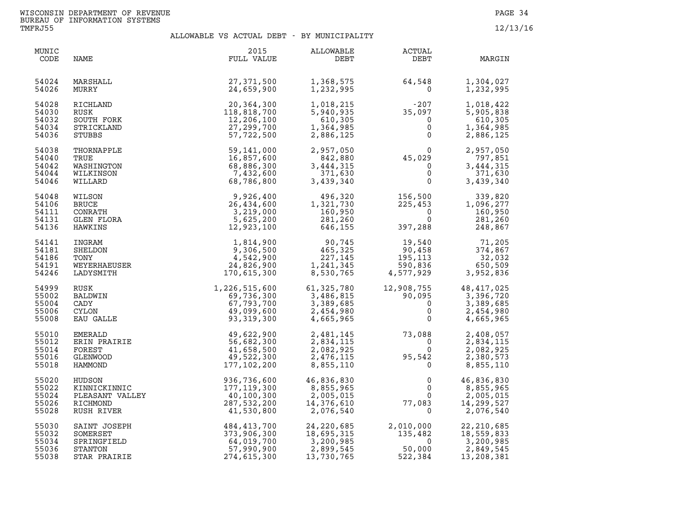| MUNIC<br>CODE                             | NAME                                                               | 2015<br>FULL VALUE                                                                                                            | ALLOWABLE<br>DEBT                                                | <b>ACTUAL</b><br>DEBT                                                  | MARGIN                                                                               |
|-------------------------------------------|--------------------------------------------------------------------|-------------------------------------------------------------------------------------------------------------------------------|------------------------------------------------------------------|------------------------------------------------------------------------|--------------------------------------------------------------------------------------|
| 54024<br>54026                            | MARSHALL<br>MURRY                                                  | 27,371,500<br>24,659,900                                                                                                      | 1,368,575<br>1,232,995                                           | 64,548<br>$\Omega$                                                     | 1,304,027<br>1,232,995                                                               |
| 54028<br>54030<br>54032<br>54034<br>54036 | RICHLAND<br>RUSK                                                   | 20,364,300<br>118,818,700                                                                                                     | 1,018,215<br>5,940,935<br>610, 305<br>1,364,985<br>2,886,125     | $-207$<br>35,097<br>0<br>0<br>0                                        | 1,018,422<br>5,905,838<br>610,305<br>1,364,985<br>2,886,125                          |
| 54038<br>54040<br>54042<br>54044<br>54046 |                                                                    |                                                                                                                               | 2,957,050<br>842,880<br>3,444,315<br>371,630<br>3,439,340        | $45,029$<br>0<br>0<br>0<br>0                                           | 2,957,050<br>797,851<br>3,444,315<br>371,630<br>3,439,340                            |
| 54048<br>54106<br>54111<br>54131<br>54136 |                                                                    |                                                                                                                               | 496,320<br>1,321,730<br>160,950<br>281,260<br>646,155            | 156,500<br>225,453<br>$\overline{0}$<br>$\overline{0}$<br>397,288      | 339,820<br>1,096,277<br>160,950<br>281,260<br>248,867                                |
| 54141<br>54181<br>54186<br>54191<br>54246 |                                                                    |                                                                                                                               | 90,745<br>465,325<br>227,145<br>1,241,345<br>8,530,765           | 19,540<br>90,458<br>195,113<br>590,836<br>4,577,929                    | 71,205<br>374,867<br>32,032<br>650,509<br>3,952,836                                  |
| 54999<br>55002<br>55004<br>55006<br>55008 | CADY<br><b>CYLON</b><br>EAU GALLE                                  | $1,226,515,600$<br>$69,736,300$<br>$67,793,700$<br>$49,099,600$<br>$93,319,300$                                               | 61,325,780<br>3,486,815<br>3,389,685<br>2,454,980<br>4,665,965   | $\begin{bmatrix} 90,095 \\ 90,095 \\ 0 \\ 0 \\ 0 \end{bmatrix}$        | 12,908,755 48,417,025<br>90,095 90,095 90,095<br>3,389,685<br>2,454,980<br>4,665,965 |
| 55010<br>55012<br>55014<br>55016<br>55018 | EMERALD<br>ERIN PRAIRIE<br>FOREST<br>GLENWOOD<br>HAMMOND           | 49,622,900<br>56,682,300<br>41,658,500<br>49,522,300<br>177, 102, 200                                                         | 2,481,145<br>2,834,115<br>2,082,925<br>2,476,115<br>8,855,110    | $73,088$<br>0<br>95,542<br>95,542<br>95,542                            | 2,408,057<br>2,834,115<br>2,082,925<br>2,380,573<br>8,855,110                        |
| 55020<br>55022<br>55024<br>55026<br>55028 |                                                                    | HUDSON 936,736,600<br>KINNICKINNIC 936,736,600<br>PLEASANT VALLEY 40,100,300<br>RICHMOND 287,532,200<br>RUSH RIVER 41,530,800 | 46,836,830<br>8,855,965<br>2,005,015<br>14,376,610<br>2,076,540  | $\mathsf 0$<br>$\mathbf{0}$<br>77,083<br>$\Omega$                      | 46,836,830<br>8,855,965<br>2,005,015<br>14,299,527<br>2,076,540                      |
| 55030<br>55032<br>55034<br>55036<br>55038 | SAINT JOSEPH<br>SOMERSET<br>SPRINGFIELD<br>STANTON<br>STAR PRAIRIE | 484, 413, 700<br>373, 906, 300<br>64, 019, 700<br>57, 990, 900<br>274, 615, 300                                               | 24,220,685<br>18,695,315<br>3,200,985<br>2,899,545<br>13,730,765 | 2,010,000<br>135,482<br>50.000<br>2,010,000<br>135,482<br>0<br>522,384 | 22, 210, 685<br>18,559,833<br>3,200,985<br>2,849,545<br>13,208,381                   |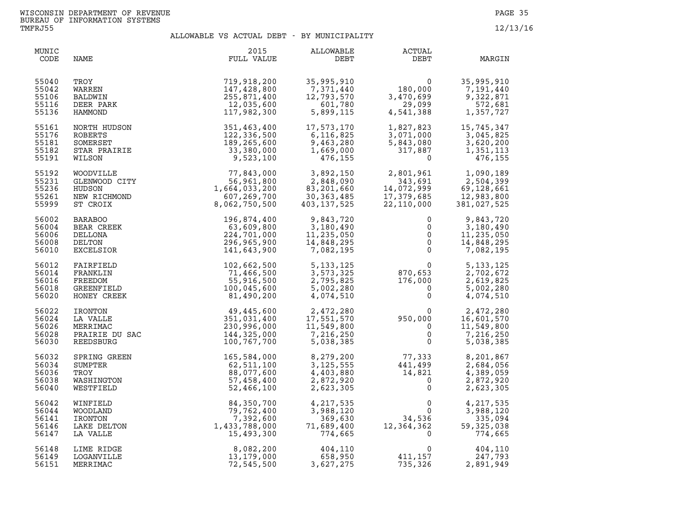| MUNIC<br>CODE                             | NAME                                                                                | 2015<br>FULL VALUE                                                                                                   | ALLOWABLE<br>DEBT                                                            | <b>ACTUAL</b><br>DEBT                                                                                  | MARGIN                                                            |
|-------------------------------------------|-------------------------------------------------------------------------------------|----------------------------------------------------------------------------------------------------------------------|------------------------------------------------------------------------------|--------------------------------------------------------------------------------------------------------|-------------------------------------------------------------------|
| 55040<br>55042<br>55106<br>55116<br>55136 | TROY<br>WARREN<br>BALDWIN<br>DEER PARK<br>HAMMOND                                   | 719,918,200<br>147,428,800<br>255,871,400<br>12,035,600<br>117,982,300                                               | 35,995,910<br>7,371,440<br>$12,793,570$<br>$601,780$<br>5.899.11             | 0<br>180,000<br>3,470,699<br>29,099<br>4,541,388<br>3,470,699<br>4,541,388                             | 35,995,910<br>7,191,440<br>9,322,871<br>572,681<br>1,357,727      |
| 55161<br>55176<br>55181<br>55182<br>55191 | NORTH HUDSON<br><b>ROBERTS</b><br>SOMERSET                                          | 351,463,400<br>122,336,500<br>189,265,600                                                                            | $17,573,173$<br>6,116,825<br>120,280<br>9,463,280<br>1,669,000<br>476,155    | $1, 827, 823$<br>$3, 071, 000$<br>$5, 843, 080$<br>$317, 887$<br>$0$<br>$\Omega$                       | 15,745,347<br>3,045,825<br>3,620,200<br>1,351,113<br>476,155      |
| 55192<br>55231<br>55236<br>55261<br>55999 |                                                                                     | 33,380,000<br>WOODVILLE<br>GLENWOOD CITY<br>GLENWOOD CITY<br>HUDSON<br>HUDSON<br>NEW RICHMOND<br>ST CROIX<br>BABARCC | 5,892,150<br>2,848,090<br>83,201,660<br>30,363,485<br>403,137                | 2,801,961<br>343,691<br>$14,072,999$<br>$17,379,685$<br>$22,110,000$                                   | 1,090,189<br>2,504,399<br>69,128,661<br>12,983,800<br>381,027,525 |
| 56002<br>56004<br>56006<br>56008<br>56010 | <b>BARABOO</b><br>BEAR CREEK<br>DELLONA<br>DELTON<br><b>EXCELSIOR</b>               | 196,874,400<br>63,609,800<br>224,701,000<br>296,965,900<br>141,643,900                                               | 9,843,720<br>3,180,490<br>11,235,050<br>$\frac{14,010,1}{7,082,195}$         | $\mathbf{0}$<br>$\begin{bmatrix} 0 \\ 0 \\ 0 \\ 0 \end{bmatrix}$<br>0                                  | 9,843,720<br>3,180,490<br>11,235,050<br>14,848,295<br>7,082,195   |
| 56012<br>56014<br>56016<br>56018<br>56020 | FAIRFIELD<br>FRANKLIN<br>FREEDOM<br>GREENFIELD<br>HONEY CREEK                       | 102,662,500<br>71,466,500<br>55,916,500<br>100,045,600<br>81,490,200                                                 | 5, 133, 125<br>3,573,325<br>2,795,825<br>5,002,280<br>4,074,510              | $0$<br>$870,653$<br>$176,000$<br>$0$<br>0                                                              | 5, 133, 125<br>2,702,672<br>2,619,825<br>5,002,280<br>4,074,510   |
| 56022<br>56024<br>56026<br>56028<br>56030 | HONEY CREEK<br>IRONTON<br>LA VALLE<br>MERRIMAC<br>PRAIRIE DU SAC<br>DERAIRIE DU SAC | 49,445,600<br>351,031,400<br>230,996,000<br>144,325,000<br>100,767,700                                               | 2,472,280<br>17,551,570<br>11,549,800<br>7,216.250<br>7,216,250<br>5,038,385 | $950,000\n0\n0\n0\n0$                                                                                  | 2,472,280<br>16,601,570<br>11,549,800<br>7,216,250<br>5,038,385   |
| 56032<br>56034<br>56036<br>56038<br>56040 | SPRING GREEN<br>SUMPTER<br>TROY<br>WASHINGTON<br>WESTFIELD                          | 165,584,000<br>62,511,100<br>88,077,600<br>57,458,400<br>52,466,100                                                  | 8,279,200<br>3, 125, 555<br>4,403,880<br>2,872,920<br>2,623,305              | $77,333\n441,499\n14,821\n0\n0$                                                                        | 8,201,867<br>2,684,056<br>4,389,059<br>2,872,920<br>2,623,305     |
| 56042<br>56044<br>56141<br>56146<br>56147 | WINFIELD<br>WOODLAND<br>IRONTON<br>LAKE DELTON<br>LA VALLE                          | $-2,466,100$<br>$84,350,700$<br>$79,762,400$<br>$7,392,600$<br>$1,433,788,000$<br>$15,493,300$                       | 4,217,535<br>3,988,120<br>369,630<br>71,689,400<br>774,665                   | $\begin{smallmatrix}&&&0\\&&&0\\&&34\, ,536\\12\, ,364\, ,362\\&&0\end{smallmatrix}$<br>$\overline{0}$ | 4,217,535<br>3,988,120<br>335,094<br>59, 325, 038<br>774,665      |
| 56148<br>56149<br>56151                   | LIME RIDGE<br>LOGANVILLE<br>MERRIMAC                                                | 8,082,200<br>13,179,000<br>72,545,500                                                                                | 404,110<br>658,950<br>3,627,275                                              | $\Omega$<br>411,157<br>735,326                                                                         | 404,110<br>247,793<br>2,891,949                                   |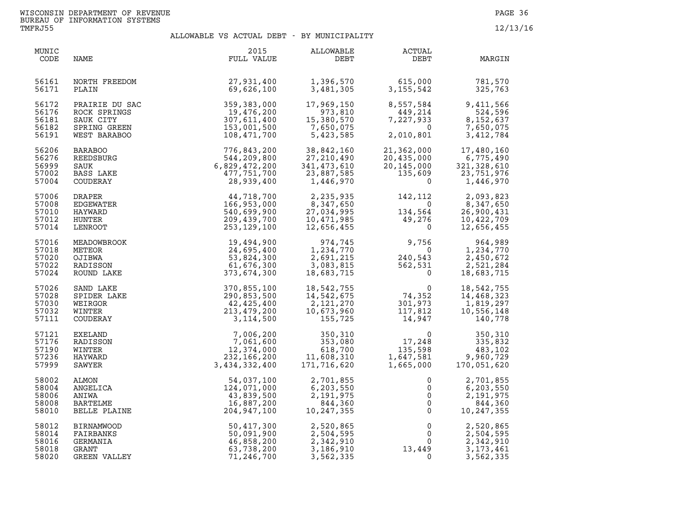| MUNIC<br>CODE                             | NAME                                                                        | 2015<br>FULL VALUE                                                               | ALLOWABLE<br>DEBT                                                             | ACTUAL<br>DEBT                                                            | MARGIN                                                              |
|-------------------------------------------|-----------------------------------------------------------------------------|----------------------------------------------------------------------------------|-------------------------------------------------------------------------------|---------------------------------------------------------------------------|---------------------------------------------------------------------|
| 56161<br>56171                            | NORTH FREEDOM<br>PLAIN                                                      | 27,931,400<br>69,626,100                                                         | 1,396,570<br>3,481,305                                                        | 615,000<br>3,155,542                                                      | 781,570<br>325,763                                                  |
| 56172<br>56176<br>56181<br>56182<br>56191 | PRAIRIE DU SAC<br>ROCK SPRINGS<br>SAUK CITY<br>SPRING GREEN<br>WEST BARABOO | 359, 383, 000<br>19, 476, 200<br>307, 611, 400<br>153, 001, 500<br>108, 471, 700 | 17,969,150<br>973,810<br>15,380,570<br>7,650,075<br>5,423,585                 | 8,557,584<br>449,214<br>7,227,933<br>$\overline{\mathbf{0}}$<br>2,010,801 | 9,411,566<br>524,596<br>8,152,637<br>7,650,075<br>3,412,784         |
| 56206<br>56276<br>56999<br>57002<br>57004 | <b>BARABOO</b><br>REEDSBURG<br>SAUK<br>BASS LAKE<br>COUDERAY                | 776,843,200<br>544,209,800<br>6,829,472,200<br>477,751,700<br>28,939,400         | 38,842,160<br>27,210,490<br>341,473,610<br>23,887,585<br>1,446,970            | 21,362,000<br>20,435,000<br>20,145,000<br>135,609<br>$\Omega$             | 17,480,160<br>6,775,490<br>321, 328, 610<br>23,751,976<br>1,446,970 |
| 57006<br>57008<br>57010<br>57012<br>57014 | DRAPER<br>EDGEWATER<br>HAYWARD<br>HUNTER<br>LENROOT                         | 44,718,700<br>166,953,000<br>540,699,900<br>209,439,700<br>253,129,100           | 2,235,935<br>2,235,935<br>8,347,650<br>27,034,995<br>10,471,985<br>12,656,455 | $142, 112$<br>$134, 564$<br>$49, 276$<br>$0$                              | 2,093,823<br>8,347,650<br>26,900,431<br>10,422,709<br>12,656,455    |
| 57016<br>57018<br>57020<br>57022<br>57024 | MEADOWBROOK<br>METEOR<br>OJIBWA<br>RADISSON<br>ROUND LAKE                   | 19,494,900<br>24,695,400<br>53,824,300<br>61,676,300<br>373,674,300              | 974,745<br>1,234,770<br>2,691,215<br>3,083,815<br>18,683,715                  | $9,756$<br>0<br>240,543<br>562,531<br>0                                   | 964,989<br>1,234,770<br>2,450,672<br>2,521,284<br>18,683,715        |
| 57026<br>57028<br>57030<br>57032<br>57111 | SAND LAKE<br>SPIDER LAKE<br>WEIRGOR<br>WINTER<br>COUDERAY                   | 370,855,100<br>290,853,500<br>42,425,400<br>213,479,200<br>3,114,500             | 18,542,755<br>14,542,675<br>2,121,270<br>10,673,960<br>155,725                | $74,352$<br>301,973<br>117,812<br>14,947                                  | 18,542,755<br>14,468,323<br>1,819,297<br>10,556,148<br>140,778      |
| 57121<br>57176<br>57190<br>57236<br>57999 | EXELAND<br>RADISSON<br>WINTER<br>HAYWARD<br>SAWYER                          | 7,006,200<br>7,061,600<br>12,374,000<br>232,166,200<br>3,434,332,400             | 350,310<br>353,080<br>618,700<br>11,608,310<br>171,716,620                    | $\overline{0}$<br>17,248<br>$135,598$<br>1,647,581<br>1,665,000 1         | 350,310<br>335,832<br>483,102<br>9,960,729<br>170,051,620           |
| 58002<br>58004<br>58006<br>58008<br>58010 | ALMON<br>ANGELICA<br>ANIWA<br>BARTELME<br>BELLE PLAINE                      | 54,037,100<br>124,071,000<br>43,839,500<br>16,887,200<br>204,947,100             | 2,701,855<br>6, 203, 550<br>2,191,975<br>844,360<br>10,247,355                | 0<br>$\mathsf{O}$<br>$\mathsf{O}\xspace$<br>$\overline{0}$<br>$\mathbf 0$ | 2,701,855<br>6,203,550<br>2,191,975<br>844,360<br>10,247,355        |
| 58012<br>58014<br>58016<br>58018<br>58020 | <b>BIRNAMWOOD</b><br>FAIRBANKS<br>GERMANIA<br>GRANT<br>GREEN VALLEY         | 50,417,300<br>50,091,900<br>46,858,200<br>63,738,200<br>71,246,700               | 2,520,865<br>2,504,595<br>2,342,910<br>3,186,910<br>3,562,335                 | $\mathsf{O}$<br>$\mathbf 0$<br>0<br>13,449<br>$\mathbf 0$                 | 2,520,865<br>2,504,595<br>2,342,910<br>3, 173, 461<br>3,562,335     |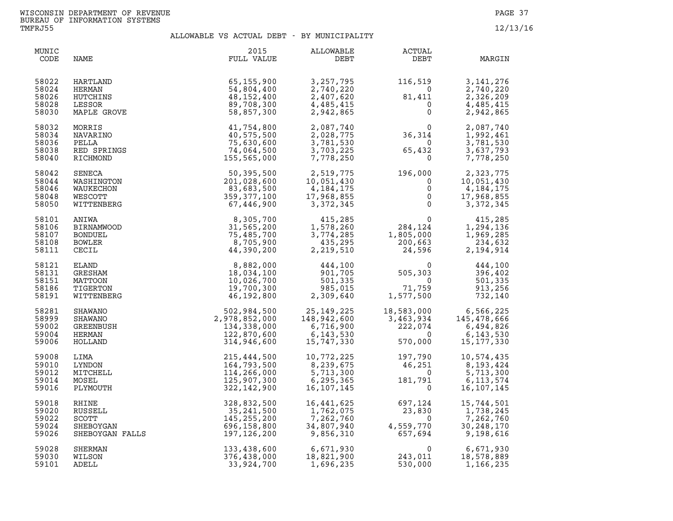| MUNIC<br>CODE                             | NAME                                                            | 2015<br>FULL VALUE                                                        | ALLOWABLE<br>DEBT                                                   | ACTUAL<br>DEBT                                            | MARGIN                                                             |
|-------------------------------------------|-----------------------------------------------------------------|---------------------------------------------------------------------------|---------------------------------------------------------------------|-----------------------------------------------------------|--------------------------------------------------------------------|
| 58022                                     | HARTLAND                                                        | 65,155,900                                                                | 3,257,795                                                           | 116,519                                                   | 3, 141, 276                                                        |
| 58024                                     | HERMAN                                                          | 54,804,400                                                                | 2,740,220                                                           | $\Omega$                                                  | 2,740,220                                                          |
| 58026                                     | HUTCHINS                                                        | 48,152,400                                                                | 2,407,620                                                           | 81,411                                                    | 2,326,209                                                          |
| 58028                                     | LESSOR                                                          | 89,708,300                                                                | 4,485,415                                                           | $\mathbf 0$                                               | 4,485,415                                                          |
| 58030                                     | MAPLE GROVE                                                     | 58,857,300                                                                | 2,942,865                                                           | $\Omega$                                                  | 2,942,865                                                          |
| 58032                                     | MORRIS                                                          | 41,754,800                                                                | 2,087,740                                                           | 0                                                         | 2,087,740                                                          |
| 58034                                     | NAVARINO                                                        | 40,575,500                                                                | 2,028,775                                                           | 36,314                                                    | 1,992,461                                                          |
| 58036                                     | PELLA                                                           | 75,630,600                                                                | 3,781,530                                                           | $\Omega$                                                  | 3,781,530                                                          |
| 58038                                     | RED SPRINGS                                                     | 74,064,500                                                                | 3,703,225                                                           | 65,432                                                    | 3,637,793                                                          |
| 58040                                     | RICHMOND                                                        | 155,565,000                                                               | 7,778,250                                                           | $\mathbf 0$                                               | 7,778,250                                                          |
| 58042                                     | SENECA                                                          | 50,395,500                                                                | 2,519,775                                                           | 196,000                                                   | 2,323,775                                                          |
| 58044                                     | WASHINGTON                                                      | 201,028,600                                                               | 10,051,430                                                          | 0                                                         | 10,051,430                                                         |
| 58046                                     | WAUKECHON                                                       | 83,683,500                                                                | 4, 184, 175                                                         | $\mathsf 0$                                               | 4, 184, 175                                                        |
| 58048                                     | WESCOTT                                                         | 359, 377, 100                                                             | 17,968,855                                                          | $\mathbf 0$                                               | 17,968,855                                                         |
| 58050                                     | WITTENBERG                                                      | 67,446,900                                                                | 3,372,345                                                           | $\overline{0}$                                            | 3,372,345                                                          |
| 58101<br>58106<br>58107<br>58108<br>58111 | ANIWA<br><b>BIRNAMWOOD</b><br><b>BONDUEL</b><br>BOWLER<br>CECIL | 8,305,700<br>31,565,200<br>75,485,700<br>8,705,900<br>44,390,200          | 415,285<br>1,578,260<br>3,774,285<br>435,295<br>2,219,510           | $284,124$<br>$284,124$<br>200,663<br>24,596               | 415,285<br>1,294,136<br>1,969,285<br>234,632<br>2,194,914          |
| 58121                                     | ELAND                                                           | 8,882,000                                                                 | 444,100                                                             | $\Omega$                                                  | 444,100                                                            |
| 58131                                     | GRESHAM                                                         | 18,034,100                                                                | 901,705                                                             | 505,303                                                   | 396,402                                                            |
| 58151                                     | MATTOON                                                         | 10,026,700                                                                | 501, 335                                                            | $\Omega$                                                  | 501,335                                                            |
| 58186                                     | TIGERTON                                                        | 19,700,300                                                                | 985,015                                                             | 71,759                                                    | 913,256                                                            |
| 58191                                     | WITTENBERG                                                      | 46,192,800                                                                | 2,309,640                                                           | 1,577,500                                                 | 732,140                                                            |
| 58281<br>58999<br>59002<br>59004<br>59006 | <b>SHAWANO</b><br>SHAWANO<br>GREENBUSH<br>HERMAN<br>HOLLAND     | 502,984,500<br>2,978,852,000<br>134,338,000<br>122,870,600<br>314,946,600 | 25, 149, 225<br>148,942,600<br>6,716,900<br>6,143,530<br>15,747,330 | 18,583,000<br>3,463,934<br>222,074<br>$\Omega$<br>570,000 | 6,566,225<br>145,478,666<br>6,494,826<br>6,143,530<br>15, 177, 330 |
| 59008                                     | LIMA                                                            | 215,444,500                                                               | 10,772,225                                                          | 197,790                                                   | 10,574,435                                                         |
| 59010                                     | LYNDON                                                          | 164,793,500                                                               | 8,239,675                                                           | 46,251                                                    | 8,193,424                                                          |
| 59012                                     | MITCHELL                                                        | 114,266,000                                                               | 5,713,300                                                           | $\overline{\mathbf{0}}$                                   | 5,713,300                                                          |
| 59014                                     | MOSEL                                                           | 125,907,300                                                               | 6, 295, 365                                                         | 181,791                                                   | 6, 113, 574                                                        |
| 59016                                     | PLYMOUTH                                                        | 322, 142, 900                                                             | 16,107,145                                                          | $\Omega$                                                  | 16, 107, 145                                                       |
| 59018                                     | RHINE                                                           | 328,832,500                                                               | 16,441,625                                                          | 697,124                                                   | 15,744,501                                                         |
| 59020                                     | RUSSELL                                                         | 35,241,500                                                                | 1,762,075                                                           | 23,830                                                    | 1,738,245                                                          |
| 59022                                     | SCOTT                                                           | 145, 255, 200                                                             | 7,262,760                                                           | $\overline{0}$                                            | 7,262,760                                                          |
| 59024                                     | SHEBOYGAN                                                       | 696,158,800                                                               | 34,807,940                                                          | 4,559,770                                                 | 30,248,170                                                         |
| 59026                                     | SHEBOYGAN FALLS                                                 | 197,126,200                                                               | 9,856,310                                                           | 657,694                                                   | 9,198,616                                                          |
| 59028                                     | SHERMAN                                                         | 133,438,600                                                               | 6,671,930                                                           | $\Omega$                                                  | 6,671,930                                                          |
| 59030                                     | WILSON                                                          | 376,438,000                                                               | 18,821,900                                                          | 243,011                                                   | 18,578,889                                                         |
| 59101                                     | ADELL                                                           | 33,924,700                                                                | 1,696,235                                                           | 530,000                                                   | 1,166,235                                                          |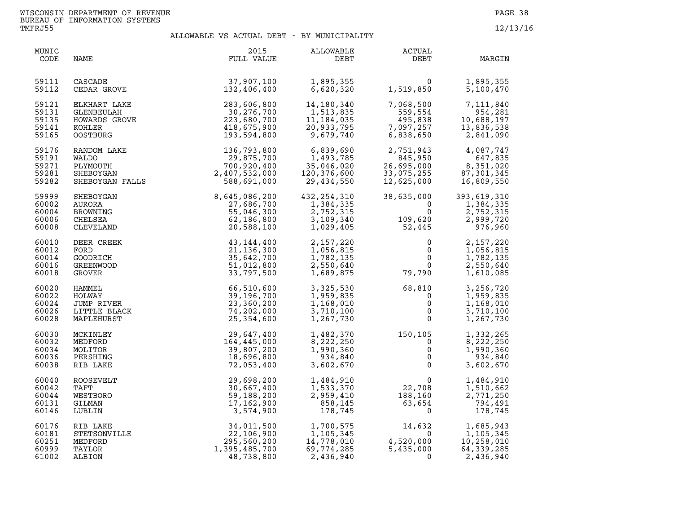| MUNIC<br>CODE                             | NAME                                                             | 2015<br>FULL VALUE                                                                                                                                                | ALLOWABLE<br>DEBT                                                                                                                                                                                          | <b>ACTUAL</b><br>DEBT                                                             | MARGIN                                                          |
|-------------------------------------------|------------------------------------------------------------------|-------------------------------------------------------------------------------------------------------------------------------------------------------------------|------------------------------------------------------------------------------------------------------------------------------------------------------------------------------------------------------------|-----------------------------------------------------------------------------------|-----------------------------------------------------------------|
| 59111<br>59112                            | CASCADE<br>CEDAR GROVE                                           | $37,907,100$<br>$132.406$ $400$                                                                                                                                   | 1,895,355<br>6,620,320                                                                                                                                                                                     | $0$<br>1,519,850                                                                  | 1,895,355<br>5,100,470                                          |
| 59121<br>59131<br>59135<br>59141<br>59165 |                                                                  | ELKHART LAKE<br>CLENBEULAH<br>HOWARDS GROVE<br>HOWARDS GROVE<br>223,680,700<br>COSTBURG<br>223,680,700<br>223,680,700<br>218,675,900<br>193,594,800               | 14,180,340<br>1,513,835<br>1,184,035<br>20,933,795<br>9,679,740                                                                                                                                            | 7,068,500<br>559,554<br>$495,838$<br>7,097,257<br>6,838,650<br>6,838,650          | 7,111,840<br>954,281<br>10,688,197<br>13,836,538<br>2,841,090   |
| 59176<br>59191<br>59271<br>59281<br>59282 | RANDOM LAKE<br>WALDO<br>PLYMOUTH<br>SHEBOYGAN<br>SHEBOYGAN FALLS | $\begin{array}{r} 136,793,800 \\ 29,875,700 \\ 700,920,400 \\ 2,407,532,000 \\ \text{LLS} \qquad \begin{array}{r} 532,000 \\ 588,691,000 \end{array} \end{array}$ | 6,839,690<br>$1,493,785$<br>$35,045,020$<br>35,046,020<br>120,376,600<br>29,434,550                                                                                                                        | 2,751,943<br>845,950<br>26,695,000<br>33,075,255<br>12,625,000                    | 4,087,747<br>647,835<br>8,351,020<br>87, 301, 345<br>16,809,550 |
| 59999<br>60002<br>60004<br>60006<br>60008 | SHEBOYGAN<br>AURORA<br>BROWNING<br>CHELSEA<br>CLEVELAND          | 8,645,086,200<br>27,686,700<br>55,046,300<br>62,186,800<br>20,588,100                                                                                             | 432, 254, 310<br>1,384,335<br>2,752,315<br>3,109,340<br>1,029,405                                                                                                                                          | 38,635,000<br>$\overline{0}$<br>$\mathsf{O}$<br>109,620<br>52,445<br>52,445       | 393,619,310<br>1,384,335<br>2,752,315<br>2,999,720<br>976,960   |
| 60010<br>60012<br>60014<br>60016<br>60018 | DEER CREEK<br>FORD<br>GOODRICH<br>GREENWOOD<br>GROVER            | 43,144,400<br>21, 136, 300<br>35,642,700<br>51,012,800<br>33,797,500                                                                                              | 2,157,220<br>1,056,815<br>1,782,135<br>2,550,640<br>1,689,875                                                                                                                                              | $\mathbf 0$<br>$\overline{0}$<br>0<br>$\Omega$<br>79,790                          | 2,157,220<br>1,056,815<br>1,782,135<br>2,550,640<br>1,610,085   |
| 60020<br>60022<br>60024<br>60026<br>60028 | HAMMEL<br>HOLWAY<br>JUMP RIVER<br>LITTLE BLACK<br>MAPLEHURST     | 66,510,600<br>39,196,700<br>23,360,200<br>74,202,000<br>25, 354, 600                                                                                              | 3,325,530<br>1,959,835<br>1,168,010<br>3,710,100<br>1,267,730                                                                                                                                              | 68,810<br>$\overline{\mathbf{0}}$<br>$\mathbf 0$<br>$\mathbf 0$<br>$\overline{0}$ | 3,256,720<br>1,959,835<br>1,168,010<br>3,710,100<br>1,267,730   |
| 60030<br>60032<br>60034<br>60036<br>60038 | MCKINLEY<br>MEDFORD<br>MOLITOR<br>PERSHING<br>RIB LAKE           | 29,647,400<br>164,445,000<br>39,807,200<br>18,696,800<br>72,053,400                                                                                               | 1,482,370<br>8,222,250<br>1,990,360<br>934,840<br>3,602,670                                                                                                                                                | $150, 105$<br>0<br>0<br>0<br>0                                                    | 1,332,265<br>8,222,250<br>1,990,360<br>934,840<br>3,602,670     |
| 60040<br>60042<br>60044<br>60131<br>60146 | <b>ROOSEVELT</b><br>TAFT<br>WESTBORO<br>GILMAN<br>LUBLIN         | 29,698,200<br>30,667,400<br>59,188,200<br>17,162,900<br>3,574,900                                                                                                 | 1,484,910<br>1,533,370<br>2,959,410<br>858,145<br>178,745                                                                                                                                                  | 0<br>$22,708$<br>$188,160$<br>$63,654$<br>0                                       | 1,484,910<br>1,510,662<br>2,771,250<br>794,491<br>178,745       |
| 60176<br>60181<br>60251<br>60999<br>61002 | RIB LAKE<br>STETSONVILLE<br>MEDFORD<br>TAYLOR<br>ALBION          | 295,560,200<br>1,395,485,700<br>48,738,800                                                                                                                        | 34,011,500<br>22,106,900<br>295,560,200<br>295,560,200<br>395,485,700<br>395,485,700<br>395,485,700<br>395,485,700<br>395,435,000<br>395,435,000<br>395,435,000<br>396,774,285<br>396,435,000<br>2,436,940 | 14,632<br>$\Omega$                                                                | 1,685,943<br>1,105,345<br>10,258,010<br>64,339,285<br>2,436,940 |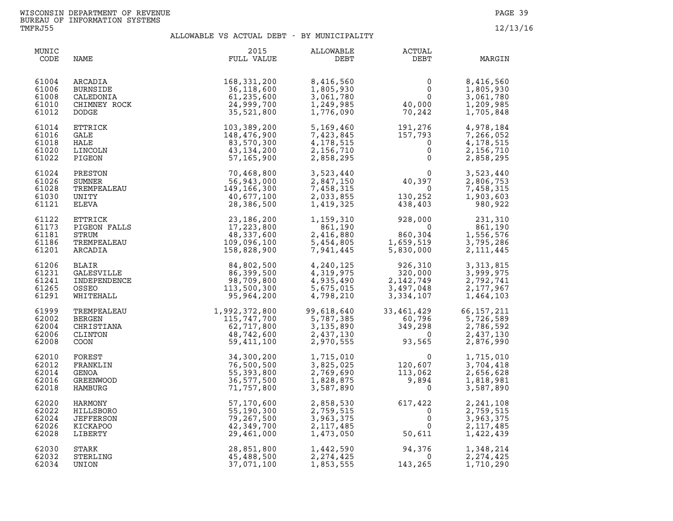| MUNIC<br>CODE                             | NAME  | 2015<br>FULL VALUE                                                                                                                                                                                                                                                     | ALLOWABLE<br>DEBT                                               | ACTUAL<br>DEBT                                                                                                                                                      | MARGIN                                                          |
|-------------------------------------------|-------|------------------------------------------------------------------------------------------------------------------------------------------------------------------------------------------------------------------------------------------------------------------------|-----------------------------------------------------------------|---------------------------------------------------------------------------------------------------------------------------------------------------------------------|-----------------------------------------------------------------|
| 61004<br>61006<br>61008<br>61010<br>61012 |       | READIR 168, 331, 200<br>CALEDONIA 36, 331, 200<br>CALEDONIA 36, 118, 600<br>CHIMNEY ROCK 24, 999, 700<br>DODGE<br>DODGE 24, 999, 700<br>DODGE 103, 389, 200<br>GALE<br>TIRCOLN 13, 389, 200<br>HALE<br>TIRCOLN 43, 176, 900<br>FIGEON 43, 134, 200<br>                 | 8,416,560<br>1,805,930<br>3,061,780<br>1,249,985<br>1,776,090   | $\begin{smallmatrix}&&0\0&&0\0&0\0&0\0&70\,242\end{smallmatrix}$                                                                                                    | 8,416,560<br>1,805,930<br>3,061,780<br>1,209,985<br>1,705,848   |
| 61014<br>61016<br>61018<br>61020<br>61022 |       |                                                                                                                                                                                                                                                                        | 5,169,460<br>7,423,845<br>4, 178, 515<br>2,156,710<br>2,858,295 | $191, 276$<br>$157, 793$<br>$0$<br>$0$                                                                                                                              | 4,978,184<br>7,266,052<br>4,178,515<br>2,156,710<br>2,858,295   |
| 61024<br>61026<br>61028<br>61030<br>61121 |       |                                                                                                                                                                                                                                                                        | 3,523,440<br>2,847,150<br>7,458,315<br>2,033,855<br>1,419,325   | $\begin{array}{c} 0 \\ 40,397 \\ 0 \\ 130,252 \\ 438,403 \end{array}$                                                                                               | 3,523,440<br>2,806,753<br>7,458,315<br>1,903,603<br>980,922     |
| 61122<br>61173<br>61181<br>61186<br>61201 |       |                                                                                                                                                                                                                                                                        |                                                                 | $\begin{array}{cccc} 1,159,310 & & 928,000 \\ 861,190 & & 0 \\ 2,416,880 & & 860,304 & 1 \\ 5,454,805 & & 1,659,519 & 3 \\ 7,941,445 & & 5,830,000 & 2 \end{array}$ | 231,310<br>861,190<br>1,556,576<br>3,795,286<br>2, 111, 445     |
| 61206<br>61231<br>61241<br>61265<br>61291 |       |                                                                                                                                                                                                                                                                        |                                                                 | 4, 240, 125<br>4, 319, 975<br>4, 935, 490<br>5, 675, 015<br>4, 798, 210<br>3, 334, 107                                                                              | 3, 313, 815<br>3,999,975<br>2,792,741<br>2,177,967<br>1,464,103 |
| 61999<br>62002<br>62004<br>62006<br>62008 |       |                                                                                                                                                                                                                                                                        |                                                                 | 99,618,640 33,461,429 66,157,211<br>5,787,385 60,796 5,726,589<br>3,135,890 349,298 2,786,592<br>2,437,130 0 2,437,130<br>2,970,555 93,565 2,876,990                |                                                                 |
| 62010<br>62012<br>62014<br>62016<br>62018 |       |                                                                                                                                                                                                                                                                        |                                                                 | $1, 715, 010$<br>$3, 825, 025$<br>$2, 769, 690$<br>$1, 828, 875$<br>$3, 587, 890$<br>$0$<br>$103, 062$<br>$9, 894$<br>$0$                                           | 1,715,010<br>3,704,418<br>2,656,628<br>1,818,981<br>3,587,890   |
| 62020<br>62022<br>62024<br>62026<br>62028 |       | 35, 304, 200<br>TREMPEALEAU<br>TREMPEALEAU<br>CRESTIANA<br>CRISTITANA<br>CRISTITANA<br>COON<br>STREMEALEAU<br>CRISTITANA<br>CRESTIANA<br>COON<br>STREMEALEAU<br>COON<br>STREMEALEAU<br>TREMPEALEAU<br>COON<br>STREMEALEAU<br>TREMPEALEAU<br>COON<br>STREMEALEAU<br>TRE |                                                                 | $617, 422$<br>0<br>0<br>0<br>50,611<br>$\begin{matrix}0\\0\\0\\50,611\end{matrix}$                                                                                  | 2,241,108<br>2,759,515<br>3,963,375<br>2, 117, 485<br>1,422,439 |
| 62030<br>62032<br>62034                   | UNION | 37,071,100                                                                                                                                                                                                                                                             | 1,853,555                                                       | $94,376$<br>0<br>143.265<br>143,265                                                                                                                                 | 1,348,214<br>2, 274, 425<br>1,710,290                           |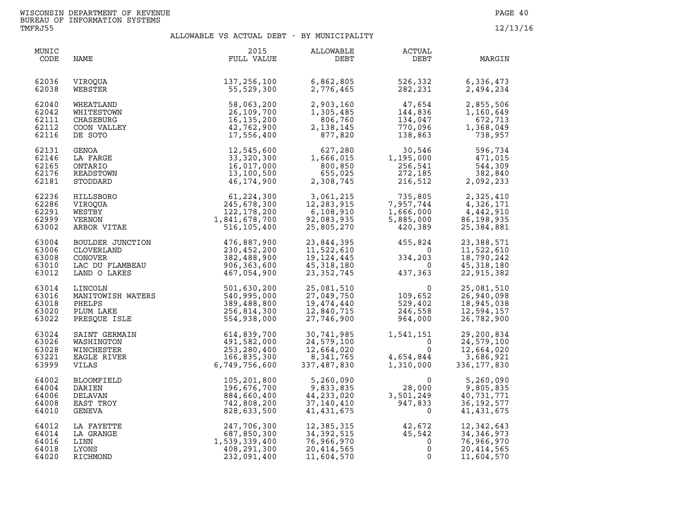| MUNIC<br>CODE                             | NAME                                                                                       | 2015<br>FULL VALUE                                                         | ALLOWABLE<br>DEBT                                                    | <b>ACTUAL</b><br>DEBT                                                  | MARGIN                                                                                                        |
|-------------------------------------------|--------------------------------------------------------------------------------------------|----------------------------------------------------------------------------|----------------------------------------------------------------------|------------------------------------------------------------------------|---------------------------------------------------------------------------------------------------------------|
| 62036<br>62038                            | VIROQUA<br>WEBSTER                                                                         | 137,256,100<br>55,529,300                                                  | 6,862,805<br>2,776,465                                               | 526,332<br>282,231                                                     | 6,336,473<br>2,494,234                                                                                        |
| 62040                                     | WHEATLAND                                                                                  | 58,063,200                                                                 | 2,903,160                                                            | $47,654$<br>144.836                                                    | 2,855,506                                                                                                     |
| 62042                                     | WHITESTOWN                                                                                 | 26,109,700                                                                 | 1,305,485                                                            | 144,836                                                                | 1,160,649                                                                                                     |
| 62111                                     | CHASEBURG                                                                                  | 16, 135, 200                                                               | 806,760                                                              | 134,047                                                                | 672,713                                                                                                       |
| 62112                                     | COON VALLEY                                                                                | 42,762,900                                                                 | 2, 138, 145                                                          | 770,096                                                                | 1,368,049                                                                                                     |
| 62116                                     | DE SOTO                                                                                    | 17,556,400                                                                 | 877,820                                                              | 138,863                                                                | 738,957                                                                                                       |
| 62131                                     | GENOA                                                                                      | 12,545,600                                                                 | 627,280                                                              | 30,546                                                                 | 596,734                                                                                                       |
| 62146                                     | LA FARGE                                                                                   | 33,320,300                                                                 | 1,666,015                                                            | 1, 195, 000                                                            | 471,015                                                                                                       |
| 62165                                     | ONTARIO                                                                                    | 16,017,000                                                                 | 800,850                                                              | 256,541                                                                | 544,309                                                                                                       |
| 62176                                     | READSTOWN                                                                                  | 13,100,500                                                                 | 655,025                                                              | 272,185                                                                | 382,840                                                                                                       |
| 62181                                     | STODDARD                                                                                   | 46,174,900                                                                 | 2,308,745                                                            | 216,512                                                                | 2,092,233                                                                                                     |
| 62236<br>62286<br>62291<br>62999<br>63002 | HILLSBORO<br>VIROQUA<br>WESTBY<br>VERNON<br>ARBOR VITAE                                    | 61,224,300<br>245,678,300<br>122, 178, 200<br>1,841,678,700<br>516,105,400 | 3,061,215<br>12,283,915<br>6, 108, 910<br>92,083,935<br>25,805,270   | د∪8,135<br>7,957,744,<br>1 أممك أ<br>1,666,000<br>5,885,000<br>420,389 | 2,325,410<br>$\frac{2}{3}, \frac{3}{2}, \frac{4}{17}$<br>4, 326, 171<br>4,442,910<br>86,198,935<br>25,384,881 |
| 63004<br>63006<br>63008<br>63010<br>63012 | BOULDER JUNCTION<br>CLOVERLAND<br>CLOVERLAND<br>CONOVER<br>LAC DU FLAMBEAU<br>LAND O LAKES | 476,887,900<br>230,452,200<br>382,488,900<br>906,363,600<br>467,054,900    | 23,844,395<br>11,522,610<br>19,124,445<br>45, 318, 180<br>23,352,745 | 455,824<br>$\overline{0}$<br>334,203<br>$\overline{0}$<br>437,363      | 23,388,571<br>11,522,610<br>18,790,242<br>45, 318, 180<br>22,915,382                                          |
| 63014<br>63016<br>63018<br>63020<br>63022 | LINCOLN<br>MANITOWISH WATERS<br>PHELPS<br>PLUM LAKE<br>PRESQUE ISLE                        | 501,630,200<br>540,995,000<br>389,488,800<br>256,814,300<br>554,938,000    | 25,081,510<br>27,049,750<br>19,474,440<br>12,840,715<br>27,746,900   | 0<br>109,652<br>529,402<br>246,558<br>964,000                          | 25,081,510<br>26,940,098<br>18,945,038<br>12,594,157<br>26,782,900                                            |
| 63024                                     | SAINT GERMAIN                                                                              | 614,839,700                                                                | 30,741,985                                                           | 1,541,151                                                              | 29,200,834                                                                                                    |
| 63026                                     | WASHINGTON                                                                                 | 491,582,000                                                                | 24,579,100                                                           | $\overline{0}$                                                         | 24,579,100                                                                                                    |
| 63028                                     | WINCHESTER                                                                                 | 253,280,400                                                                | 12,664,020                                                           | $\mathbf 0$                                                            | 12,664,020                                                                                                    |
| 63221                                     | EAGLE RIVER                                                                                | 166,835,300                                                                | 8,341,765                                                            | 4,654,844<br>1,310,000                                                 | 3,686,921                                                                                                     |
| 63999                                     | VILAS                                                                                      | 6,749,756,600                                                              | 337,487,830                                                          | 1,310,000                                                              | 336, 177, 830                                                                                                 |
| 64002                                     | <b>BLOOMFIELD</b>                                                                          | 105,201,800                                                                | 5,260,090                                                            | $\Omega$                                                               | 5,260,090                                                                                                     |
| 64004                                     | DARIEN                                                                                     | 196,676,700                                                                | 9,833,835                                                            | 28,000                                                                 | 9,805,835                                                                                                     |
| 64006                                     | DELAVAN                                                                                    | 884,660,400                                                                | 44,233,020                                                           | 3,501,249                                                              | 40,731,771                                                                                                    |
| 64008                                     | EAST TROY                                                                                  | 742,808,200                                                                | 37,140,410                                                           | 947,833                                                                | 36, 192, 577                                                                                                  |
| 64010                                     | GENEVA                                                                                     | 828,633,500                                                                | 41,431,675                                                           | $\mathbf 0$                                                            | 41,431,675                                                                                                    |
| 64012                                     | LA FAYETTE                                                                                 | 247,706,300                                                                | 12,385,315                                                           | 42,672                                                                 | 12,342,643                                                                                                    |
| 64014                                     | LA GRANGE                                                                                  | 687,850,300                                                                | 34, 392, 515                                                         | 45,542                                                                 | 34, 346, 973                                                                                                  |
| 64016                                     | LINN                                                                                       | 1,539,339,400                                                              | 76,966,970                                                           | $\mathbf 0$                                                            | 76,966,970                                                                                                    |
| 64018                                     | LYONS                                                                                      | 408,291,300                                                                | 20,414,565                                                           | $\mathbf 0$                                                            | 20,414,565                                                                                                    |
| 64020                                     | RICHMOND                                                                                   | 232,091,400                                                                | 11,604,570                                                           | $\mathbf 0$                                                            | 11,604,570                                                                                                    |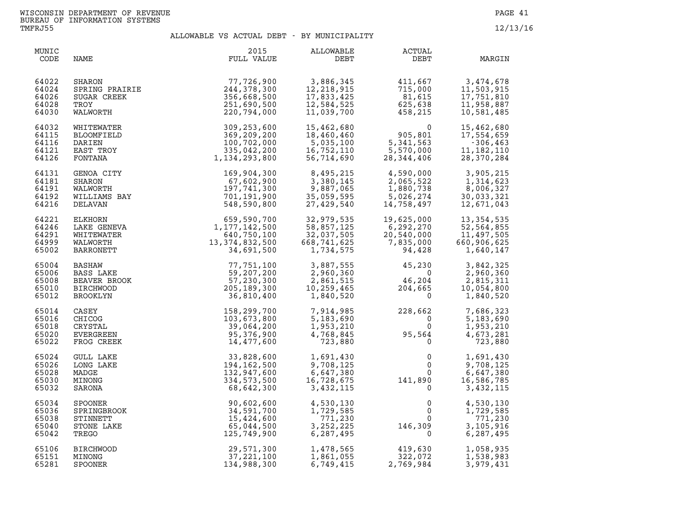| MUNIC<br>CODE                             | NAME                                                        | 2015<br>FULL VALUE                                                        | ALLOWABLE<br>DEBT                                                                              | ACTUAL<br>DEBT                                                                                                                                                                   | MARGIN                                                                |
|-------------------------------------------|-------------------------------------------------------------|---------------------------------------------------------------------------|------------------------------------------------------------------------------------------------|----------------------------------------------------------------------------------------------------------------------------------------------------------------------------------|-----------------------------------------------------------------------|
| 64022<br>64024<br>64026<br>64028<br>64030 | SPRING PRAIRIE<br>SUGAR CREEK<br>TROY<br>WALWORTH<br>WITTTT | 77,726,900<br>244,378,300<br>356,668,500<br>251,690,500<br>220,794,000    | 3,886,345<br>12,218,915<br>17,833,425<br>12,584,525<br>11,039,700                              | $411,667$<br>$715,000$<br>$81,615$<br>$625,638$<br>$458,215$                                                                                                                     | 3,474,678<br>11,503,915<br>17,751,810<br>11,958,887<br>10,581,485     |
| 64032<br>64115<br>64116<br>64121<br>64126 | WHITEWATER<br>BLOOMFIELD<br>DARIEN<br>EAST TROY<br>FONTANA  | 309,253,600<br>369,209,200<br>100,702,000<br>335,042,200<br>1,134,293,800 | 15,462,680<br>18,460,460<br>5,035,100<br>16,752,110<br>56,714,690                              | 0<br>905,801<br>5,341,563<br>5,570,000<br>28,344,406                                                                                                                             | 15,462,680<br>17,554,659<br>$-306, 463$<br>11, 182, 110<br>28,370,284 |
| 64131<br>64181<br>64191<br>64192<br>64216 |                                                             |                                                                           | 8,495,215<br>3,380,145<br>9,887,065<br>35,059,595<br>27,429,540                                | 4,590,000<br>4,590,000<br>2,065,522<br>1,880,738<br>5,026,274<br>1,758.497<br>14,758,497                                                                                         | 3,905,215<br>1,314,623<br>8,006,327<br>30,033,321<br>12,671,043       |
| 64221<br>64246<br>64291<br>64999<br>65002 |                                                             |                                                                           | 32,979,535<br>$\begin{array}{r} 58,857,122\\ 32,037,505\\ 668,741,625\\ 1,734,575 \end{array}$ | 19,625,000<br>$\begin{array}{r} -6,292,270\ 20,540,000\ 7,835,000\ 94,428 \end{array}$                                                                                           | 13, 354, 535<br>52,564,855<br>11,497,505<br>660,906,625<br>1,640,147  |
| 65004<br>65006<br>65008<br>65010<br>65012 |                                                             |                                                                           | 3,887,555<br>2,960,360<br>2,861,515<br>10,259,465<br>1,840,520                                 | $\begin{array}{ccc} 45,230 & \qquad & 3,842,325 \\ 0 & \qquad & 2,960,360 \\ 46,204 & \qquad & 2,815,311 \\ 204,665 & \qquad & 10,054,800 \\ 0 & \qquad & 1,840,520 \end{array}$ |                                                                       |
| 65014<br>65016<br>65018<br>65020<br>65022 |                                                             |                                                                           | 7,914,985<br>5,183,690<br>1,953,210<br>4,768,845<br>723,880                                    | $228,662$<br>0<br>95,564<br>0                                                                                                                                                    | 7,686,323<br>5,183,690<br>1,953,210<br>4,673,281<br>723,880           |
| 65024<br>65026<br>65028<br>65030<br>65032 | MINONG<br>SARONA                                            | 334,573,500<br>68,642,300                                                 | 1,691,430<br>9,708,125<br>6,647,380<br>16,728,675<br>3,432,115                                 | $\begin{smallmatrix} & & & 0\ & & & & 0\ & & & & 0\ & & & & 0\ & 141,890\ & & & & & 0\end{smallmatrix}$                                                                          | 1,691,430<br>9,708,125<br>6,647,380<br>16,586,785<br>3,432,115        |
| 65034<br>65036<br>65038<br>65040<br>65042 | SPOONER<br>SPRINGBROOK<br>STINNETT<br>STONE LAKE<br>TREGO   | 90,602,600<br>34,591,700<br>15,424,600<br>65,044,500<br>125,749,900       | 4,530,130<br>1,729,585<br>771,230<br>3, 252, 225<br>6,287,495                                  | $\begin{smallmatrix}&&0\0&&0\0&0\146\, ,309\0&0\end{smallmatrix}$                                                                                                                | 4,530,130<br>1,729,585<br>771,230<br>3,105,916<br>6,287,495           |
| 65106<br>65151<br>65281                   | <b>BIRCHWOOD</b><br>MINONG<br>SPOONER                       | 29,571,300<br>37, 221, 100<br>134,988,300                                 | 1,478,565<br>1,861,055<br>6,749,415                                                            | 419,630<br>322,072<br>2,769,984                                                                                                                                                  | 1,058,935<br>1,538,983<br>3,979,431                                   |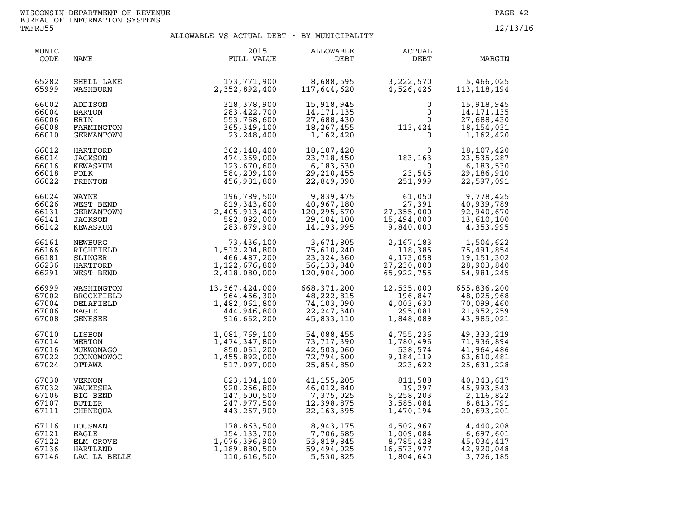| MUNIC<br>CODE                             | NAME                                                    | 2015<br>FULL VALUE                                                            | ALLOWABLE<br>DEBT                                                   | ACTUAL<br>DEBT                                                          | MARGIN                                                                |
|-------------------------------------------|---------------------------------------------------------|-------------------------------------------------------------------------------|---------------------------------------------------------------------|-------------------------------------------------------------------------|-----------------------------------------------------------------------|
| 65282                                     | SHELL LAKE                                              | 173,771,900                                                                   | 8,688,595                                                           | 3, 222, 570                                                             | 5,466,025                                                             |
| 65999                                     | WASHBURN                                                | 2,352,892,400                                                                 | 117,644,620                                                         | 4,526,426                                                               | 113, 118, 194                                                         |
| 66002<br>66004<br>66006<br>66008<br>66010 | ADDISON<br>BARTON<br>ERIN<br>FARMINGTON<br>GERMANTOWN   | 318,378,900<br>283,422,700<br>553,768,600<br>365, 349, 100<br>23,248,400      | 15,918,945<br>14, 171, 135<br>27,688,430<br>18,267,455<br>1,162,420 | $\mathbf{0}$<br>113,424<br>$0 \qquad \qquad$<br>$\overline{0}$          | 15,918,945<br>14, 171, 135<br>27,688,430<br>18, 154, 031<br>1,162,420 |
| 66012<br>66014<br>66016<br>66018<br>66022 | HARTFORD<br>JACKSON<br>KEWASKUM<br>POLK<br>TRENTON      | 362,148,400<br>474,369,000<br>123,670,600<br>584,209,100<br>456,981,800       | 18,107,420<br>23,718,450<br>6,183,530<br>29, 210, 455<br>22,849,090 | 183, 163<br>$\overline{\mathbf{0}}$<br>23,545<br>251,999                | 18,107,420<br>23,535,287<br>6,183,530<br>29,186,910<br>22,597,091     |
| 66024<br>66026<br>66131<br>66141<br>66142 | WAYNE<br>WEST BEND<br>GERMANTOWN<br>JACKSON<br>KEWASKUM | 196,789,500<br>819, 343, 600<br>2,405,913,400<br>582,082,000<br>283,879,900   | 9,839,475<br>40,967,180<br>120,295,670<br>29,104,100<br>14,193,995  | 61,050<br>27,391<br>27,355,000<br>15,494,000<br>15,494,000<br>9,840,000 | 9,778,425<br>40,939,789<br>92,940,670<br>13,610,100<br>4,353,995      |
| 66161                                     | NEWBURG                                                 | 73,436,100                                                                    | 3,671,805                                                           | 2,167,183                                                               | 1,504,622                                                             |
| 66166                                     | RICHFIELD                                               | 1,512,204,800                                                                 | 75,610,240                                                          | 118,386                                                                 | 75,491,854                                                            |
| 66181                                     | SLINGER                                                 | 466,487,200                                                                   | 23, 324, 360                                                        | 4,173,058                                                               | 19, 151, 302                                                          |
| 66236                                     | HARTFORD                                                | 1,122,676,800                                                                 | 56,133,840                                                          | 27,230,000                                                              | 28,903,840                                                            |
| 66291                                     | WEST BEND                                               | 2,418,080,000                                                                 | 120,904,000                                                         | 65,922,755                                                              | 54,981,245                                                            |
| 66999                                     | WASHINGTON                                              | 13, 367, 424, 000                                                             | 668, 371, 200                                                       | 12,535,000                                                              | 655,836,200                                                           |
| 67002                                     | <b>BROOKFIELD</b>                                       | 964,456,300                                                                   | 48,222,815                                                          | 196,847                                                                 | 48,025,968                                                            |
| 67004                                     | DELAFIELD                                               | 1,482,061,800                                                                 | 74,103,090                                                          | 4,003,630                                                               | 70,099,460                                                            |
| 67006                                     | EAGLE                                                   | 444,946,800                                                                   | 22, 247, 340                                                        | 295,081                                                                 | 21,952,259                                                            |
| 67008                                     | GENESEE                                                 | 916,662,200                                                                   | 45,833,110                                                          | 1,848,089                                                               | 43,985,021                                                            |
| 67010<br>67014<br>67016<br>67022<br>67024 | LISBON<br>MERTON<br>MUKWONAGO<br>OCONOMOWOC<br>OTTAWA   | 1,081,769,100<br>1,474,347,800<br>850,061,200<br>1,455,892,000<br>517,097,000 | 54,088,455<br>73,717,390<br>42,503,060<br>72,794,600<br>25,854,850  | 4,755,236<br>1,780,496<br>538,574<br>9,184,119<br>223,622               | 49, 333, 219<br>71,936,894<br>41,964,486<br>63,610,481<br>25,631,228  |
| 67030                                     | VERNON                                                  | 823,104,100                                                                   | 41, 155, 205                                                        | 811,588                                                                 | 40,343,617                                                            |
| 67032                                     | WAUKESHA                                                | 920,256,800                                                                   | 46,012,840                                                          | 19,297                                                                  | 45,993,543                                                            |
| 67106                                     | BIG BEND                                                | 147,500,500                                                                   | 7,375,025                                                           | 5,258,203                                                               | 2,116,822                                                             |
| 67107                                     | <b>BUTLER</b>                                           | 247,977,500                                                                   | 12,398,875                                                          | 3,585,084                                                               | 8,813,791                                                             |
| 67111                                     | CHENEQUA                                                | 443,267,900                                                                   | 22, 163, 395                                                        | 1,470,194                                                               | 20,693,201                                                            |
| 67116                                     | DOUSMAN                                                 | 178,863,500                                                                   | 8,943,175                                                           | 4,502,967                                                               | 4,440,208                                                             |
| 67121                                     | <b>EAGLE</b>                                            | 154, 133, 700                                                                 | 7,706,685                                                           | 1,009,084                                                               | 6,697,601                                                             |
| 67122                                     | ELM GROVE                                               | 1,076,396,900                                                                 | 53,819,845                                                          | 8,785,428                                                               | 45,034,417                                                            |
| 67136                                     | HARTLAND                                                | 1,189,880,500                                                                 | 59,494,025                                                          | 16,573,977                                                              | 42,920,048                                                            |
| 67146                                     | LAC LA BELLE                                            | 110,616,500                                                                   | 5,530,825                                                           | 1,804,640                                                               | 3,726,185                                                             |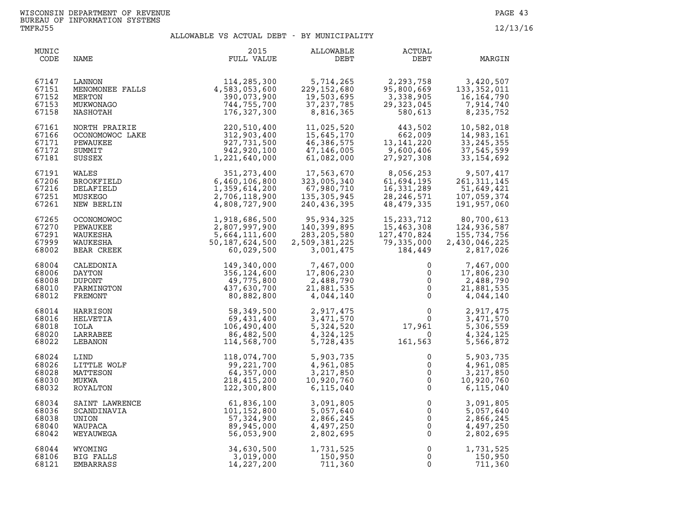| MUNIC<br>CODE                             | NAME                                                                            | 2015<br>FULL VALUE                                                                | ALLOWABLE<br>DEBT                                                     | ACTUAL<br>DEBT                                                                                        | MARGIN                                                                 |
|-------------------------------------------|---------------------------------------------------------------------------------|-----------------------------------------------------------------------------------|-----------------------------------------------------------------------|-------------------------------------------------------------------------------------------------------|------------------------------------------------------------------------|
| 67147<br>67151<br>67152<br>67153<br>67158 | MENOMONEE FALLS<br>MENOMONEE FALLS<br>MERTON<br>MERTON<br>MUKWONAGO<br>NASHOTAH | 114,285,300<br>4,583,053,600<br>390,073,900<br>744,755,700<br>176,327,300         | 5,714,265<br>229, 152, 680<br>19,503,695<br>37, 237, 785<br>8,816,365 | 2,293,758<br>95,800,669<br>3,338,905<br>29, 323, 045<br>580,613                                       | 3,420,507<br>133, 352, 011<br>16,164,790<br>7,914,740<br>8,235,752     |
| 67161<br>67166<br>67171<br>67172<br>67181 | NORTH PRAIRIE<br>OCONOMOWOC LAKE<br>PEWAUKEE<br>SUMMIT<br>SUSSEX                | 220,510,400<br>312,903,400<br>927,731,500<br>942,920,100<br>1,221,640,000         | 11,025,520<br>15,645,170<br>46,386,575<br>47,146,005<br>61,082,000    | 443,502<br>662,009<br>13,141,220<br>9,600,406<br>27,927,308<br>27,927,308                             | 10,582,018<br>14,983,161<br>33, 245, 355<br>37,545,599<br>33, 154, 692 |
| 67191<br>67206<br>67216<br>67251<br>67261 | WALES<br>BROOKFIELD<br>DELAFIELD<br>MUSKEGO<br>NEW BERLIN                       | 351, 273, 400<br>6,460,106,800<br>1,359,614,200<br>2,706,118,900<br>4,808,727,900 | 17,563,670<br>323,005,340<br>67,980,710<br>135,305,945<br>240,436,395 | 8,056,253<br>61,694,195<br>16,331,289<br>28, 246, 571<br>48,479,335                                   | 9,507,417<br>261, 311, 145<br>51,649,421<br>107,059,374<br>191,957,060 |
| 67265                                     | OCONOMOWOC                                                                      | 1,918,686,500                                                                     | 95,934,325                                                            | 15,233,712                                                                                            | 80,700,613                                                             |
| 67270                                     | PEWAUKEE                                                                        | 2,807,997,900                                                                     | 140,399,895                                                           | 15,463,308                                                                                            | 124,936,587                                                            |
| 67291                                     | WAUKESHA                                                                        | 5,664,111,600                                                                     | 283, 205, 580                                                         | 127,470,824                                                                                           | 155,734,756                                                            |
| 67999                                     | WAUKESHA                                                                        | 50, 187, 624, 500                                                                 | 2,509,381,225                                                         | 79,335,000                                                                                            | 2,430,046,225                                                          |
| 68002                                     | BEAR CREEK                                                                      | 60,029,500                                                                        | 3,001,475                                                             | 184,449                                                                                               | 2,817,026                                                              |
| 68004                                     | CALEDONIA                                                                       | 149,340,000                                                                       | 7,467,000<br>17,806,230<br>2,488,790<br>21,881,535<br>4,044,140       | $\mathbf{0}$                                                                                          | 7,467,000                                                              |
| 68006                                     | DAYTON                                                                          | 356,124,600                                                                       |                                                                       | $\mathsf{O}$                                                                                          | 17,806,230                                                             |
| 68008                                     | DUPONT                                                                          | 49,775,800                                                                        |                                                                       | $\mathsf{O}\xspace$                                                                                   | 2,488,790                                                              |
| 68010                                     | FARMINGTON                                                                      | 437,630,700                                                                       |                                                                       | $\overline{0}$                                                                                        | 21,881,535                                                             |
| 68012                                     | FREMONT                                                                         | 80,882,800                                                                        |                                                                       | $\mathbf 0$                                                                                           | 4,044,140                                                              |
| 68014<br>68016<br>68018<br>68020<br>68022 | HARRISON<br>HELVETIA<br>IOLA<br>LARRABEE<br>LEBANON                             | 58,349,500<br>69,431,400<br>106,490,400<br>86,482,500<br>114,568,700              | 2,917,475<br>3,471,570<br>5,324,520<br>4,324,125<br>5,728,435         | $\begin{smallmatrix}&&0\\&&0\\17,961\end{smallmatrix}$<br>$\begin{matrix}0\\0\end{matrix}$<br>161,563 | 2,917,475<br>3,471,570<br>5,306,559<br>4,324,125<br>5,566,872          |
| 68024                                     | LIND                                                                            | 118,074,700                                                                       | 5,903,735                                                             | 0                                                                                                     | 5,903,735                                                              |
| 68026                                     | LITTLE WOLF                                                                     | 99,221,700                                                                        | 4,961,085                                                             | $\mathsf{O}$                                                                                          | 4,961,085                                                              |
| 68028                                     | MATTESON                                                                        | 64,357,000                                                                        | 3,217,850                                                             | $\mathsf{O}\xspace$                                                                                   | 3,217,850                                                              |
| 68030                                     | MUKWA                                                                           | 218,415,200                                                                       | 10,920,760                                                            | $\overline{0}$                                                                                        | 10,920,760                                                             |
| 68032                                     | ROYALTON                                                                        | 122,300,800                                                                       | 6, 115, 040                                                           | $\overline{0}$                                                                                        | 6, 115, 040                                                            |
| 68034                                     | SAINT LAWRENCE                                                                  | 61,836,100                                                                        | 3,091,805                                                             | $\mathsf{O}\xspace$                                                                                   | 3,091,805                                                              |
| 68036                                     | SCANDINAVIA                                                                     | 101, 152, 800                                                                     | 5,057,640                                                             | $\mathbf{0}$                                                                                          | 5,057,640                                                              |
| 68038                                     | UNION                                                                           | 57,324,900                                                                        | 2,866,245                                                             | $\mathsf 0$                                                                                           | 2,866,245                                                              |
| 68040                                     | WAUPACA                                                                         | 89,945,000                                                                        | 4,497,250                                                             | $\overline{0}$                                                                                        | 4,497,250                                                              |
| 68042                                     | WEYAUWEGA                                                                       | 56,053,900                                                                        | 2,802,695                                                             | $\mathbf 0$                                                                                           | 2,802,695                                                              |
| 68044                                     | WYOMING                                                                         | 34,630,500                                                                        | 1,731,525                                                             | $\mathsf{O}$                                                                                          | 1,731,525                                                              |
| 68106                                     | BIG FALLS                                                                       | 3,019,000                                                                         | 1,731,525<br>150,950                                                  | $\mathbf 0$                                                                                           | 150,950                                                                |
| 68121                                     | EMBARRASS                                                                       | 14, 227, 200                                                                      | 711,360                                                               | $\Omega$                                                                                              | 711,360                                                                |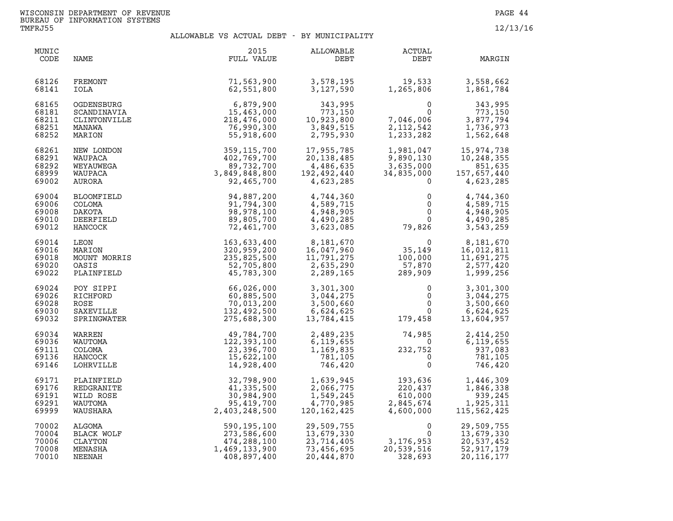| MUNIC<br>CODE                             | NAME                                                          | 2015<br>FULL VALUE                                                                                                                                                                                                                                           | ALLOWABLE<br>DEBT                                                            | ACTUAL<br>DEBT                                                                | MARGIN                                                                         |
|-------------------------------------------|---------------------------------------------------------------|--------------------------------------------------------------------------------------------------------------------------------------------------------------------------------------------------------------------------------------------------------------|------------------------------------------------------------------------------|-------------------------------------------------------------------------------|--------------------------------------------------------------------------------|
| 68126<br>68141                            | FREMONT<br>IOLA                                               | 71,563,900<br>62,551,800                                                                                                                                                                                                                                     | 3,578,195<br>3,127,590                                                       | 19,533<br>1,265,806                                                           | 3,558,662<br>1,861,784                                                         |
| 68165<br>68181<br>68211<br>68251<br>68252 | OGDENSBURG<br>SCANDINAVIA<br>CLINTONVILLE<br>MANAWA<br>MARION | 6,879,900<br>15,463,000<br>218,476,000<br>76,990,300<br>55,918,600                                                                                                                                                                                           | 343,995<br>773,150<br>773,150<br>10,923,800<br>3,849,515<br>2,795,930        | $\Omega$<br>$\overline{0}$<br>7,046,006<br>2,112,542<br>1,233,282             | 343,995<br>773,150<br>3,877,794<br>1,736,973<br>1,562,648                      |
| 68261<br>68291<br>68292<br>68999<br>69002 | NEW LONDON<br>WAUPACA<br>WEYAUWEGA<br>WAUPACA<br>AURORA       | 359, 115, 700<br>402, 769, 700<br>89, 732, 700<br>89, 732, 700<br>3, 849, 848, 800<br>92, 465, 700<br>94, 887, 200<br>94, 887, 200<br>98, 978, 100<br>89, 805, 700<br>72, 461, 700<br>72, 461, 700<br>72, 461, 700<br>235, 825, 500<br>52, 705, 800<br>45, 7 | 17,955,785<br>20,138,485<br>4,486,635<br>192,492,440<br>4,623,285            | 1,981,047<br>9,890,130<br>3,635,000<br>34,835,000<br>$\Omega$                 | 15,974,738<br>10,248,355<br>851,635<br>157,657,440<br>4,623,285                |
| 69004<br>69006<br>69008<br>69010<br>69012 | BLOOMFIELD<br>COLOMA<br>DAKOTA<br>DEERFIELD<br>HANCOCK        |                                                                                                                                                                                                                                                              | 4,744,360<br>4,589,715<br>4,948,905<br>4,490,285<br>3,623,085                | 0<br>$\overline{0}$<br>79,826                                                 | 4,744,360<br>4,589,715<br>4,948,905<br>$\frac{1}{2}$<br>4,490,285<br>3,543,259 |
| 69014<br>69016<br>69018<br>69020<br>69022 | LEON<br>MARION<br>MOUNT MORRIS<br>OASIS<br>PLAINFIELD         |                                                                                                                                                                                                                                                              | 8,181,670<br>8,181,670<br>16,047,960<br>11,791,275<br>2,635,290<br>2,289,165 | $\begin{array}{c} 0 \\ 35,149 \\ 100,000 \\ 57,870 \\ 289,909 \end{array}$    | 8,181,670<br>16,012,811<br>11,691,275<br>2,577,420<br>1,999,256                |
| 69024<br>69026<br>69028<br>69030<br>69032 | POY SIPPI<br>RICHFORD<br>ROSE<br>SAXEVILLE<br>SPRINGWATER     | 66,026,000<br>60,885,500<br>70,013,200<br>132,492,500<br>275,688,300                                                                                                                                                                                         | 3,301,300<br>3,044,275<br>3,500,660<br>6,624,625<br>13,784,415               | $\mathbf 0$<br>$\mathsf{O}$<br>$0 \qquad \qquad$<br>$\overline{0}$<br>179,458 | 3,301,300<br>3,044,275<br>3,500,660<br>6,624,625<br>13,604,957                 |
| 69034<br>69036<br>69111<br>69136<br>69146 | WARREN<br>WAUTOMA<br>COLOMA<br>HANCOCK<br>LOHRVILLE           | 49,784,700<br>122,393,100<br>23,396,700<br>15,622,100<br>14,928,400                                                                                                                                                                                          | 2,489,235<br>6,119,655<br>1,169,835<br>781,105<br>746,420                    | 74,985<br>0<br>232,752<br>0<br>$\begin{array}{c} 0 \\ 752 \\ 0 \end{array}$   | 2,414,250<br>6,119,655<br>937,083<br>781,105<br>746,420                        |
| 69171<br>69176<br>69191<br>69291<br>69999 | PLAINFIELD<br>REDGRANITE<br>WILD ROSE<br>WAUTOMA<br>WAUSHARA  | 32,798,900<br>41,335,500<br>30,984,900<br>95,419,700<br>2,403,248,500                                                                                                                                                                                        | 1,639,945<br>2,066,775<br>1,549,245<br>4,770,985<br>120,162,425              | 193,636<br>220,437<br>610,000<br>4,600,000                                    | 1,446,309<br>1,846,338<br>939,245<br>1,925,311<br>115,562,425                  |
| 70002<br>70004<br>70006<br>70008<br>70010 | ALGOMA<br>BLACK WOLF<br>CLAYTON<br>MENASHA<br>NEENAH          | 590,195,100<br>273,586,600<br>474,288,100<br>1,469,133,900<br>408,897,400                                                                                                                                                                                    | 29,509,755<br>13,679,330<br>23,714,405<br>73,456,695<br>20,444,870           | $\Omega$<br>0<br>3,176,953<br>20,539,516<br>328,693                           | 29,509,755<br>13,679,330<br>20,537,452<br>52,917,179<br>20, 116, 177           |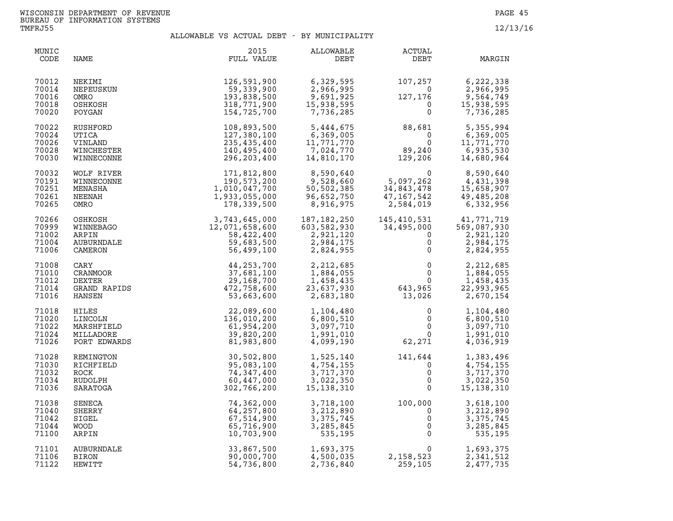| MUNIC<br>CODE                             | NAME                                              | 2015<br>FULL VALUE                                                                                                                                                                                                                                                                                    | <b>ALLOWABLE</b><br>DEBT                                                                   | ACTUAL<br>DEBT                                                                           | MARGIN                                                                                                     |
|-------------------------------------------|---------------------------------------------------|-------------------------------------------------------------------------------------------------------------------------------------------------------------------------------------------------------------------------------------------------------------------------------------------------------|--------------------------------------------------------------------------------------------|------------------------------------------------------------------------------------------|------------------------------------------------------------------------------------------------------------|
| 70012<br>70014<br>70016<br>70018<br>70020 | NEKIMI<br>NEPEUSKUN<br>OMRO<br>OSHKOSH<br>POYGAN  | 126,591,900<br>59,339,900<br>193,838,500<br>318,771,900<br>154,725,700                                                                                                                                                                                                                                | 6,329,595<br>6,329,595<br>2,966,995<br>9,691,925<br>15,938,595<br>7,736,285                | $107, 257$<br>0<br>$127, 176$<br>0<br>0<br>$\overline{0}$<br>$127, 176$<br>0             | 6,222,338<br>2,966,995<br>9,564,749<br>15,938,595<br>7,736,285                                             |
| 70022<br>70024<br>70026<br>70028<br>70030 | RUSHFORD<br>UTICA<br>VINLAND                      | 108,893,500<br>127,380,100<br>235,435,400                                                                                                                                                                                                                                                             | 5,444,675<br>6,369,005<br>6,369,005<br>11,771,770<br>7,024,770<br>14,810,170<br>11,771,770 | $88,681$<br>0<br>89,240<br>129,206                                                       | 5,355,994<br>6,369,005<br>11,771,770<br>6,935,530<br>14,680,964                                            |
| 70032<br>70191<br>70251<br>70261<br>70265 |                                                   | $\begin{tabular}{c c c} & & & & & & 171,811,\\ & & & 190,573,20,\\ & & 190,047,700\\ & & 1,933,055,000\\ & & 178,330,55,000\\ & & 178,330,55,000\\ & & 178,422,400\\ & & 56,422,400\\ & & 56,499,100\\ & & 100\\ & & 100\\ & & 100\\ & & 100\\ & & 100\\ & & 100\\ & & 100\\ & & 100\\ & & 100\\ & &$ | 8,590,640<br>9,528,660<br>50,502,385<br>96,652,750<br>8,916,975                            | 0<br>5, 097, 262<br>34, 843, 478<br>47, 167, 542<br>2, 584, 019                          | 8,590,640<br>4,431,398<br>15,658,907<br>49,485,208<br>6,332,956                                            |
| 70266<br>70999<br>71002<br>71004<br>71006 |                                                   |                                                                                                                                                                                                                                                                                                       | 187,182,250<br>603,582,930<br>2,921,120<br>2,984,175<br>2,824,955                          | 0<br>$\mathbf 0$                                                                         | 145,410,531 41,771,719<br>34,495,000 569,087,930<br>0 2,921,120<br>2,921,120<br>2,984,175<br>2,824,955     |
| 71008<br>71010<br>71012<br>71014<br>71016 |                                                   |                                                                                                                                                                                                                                                                                                       | 2,212,685<br>1,884,055<br>1,458,435<br>23,637,930<br>2,683,180                             | $\begin{matrix}0\\0\\0\\0\end{matrix}$<br>$0$<br>$643,965$<br>$13,026$                   | 2,212,685<br>1,884,055<br>1,458,435<br>22,993,965<br>2,670,154                                             |
| 71018<br>71020<br>71022<br>71024<br>71026 |                                                   |                                                                                                                                                                                                                                                                                                       | 1,104,480<br>6,800,510<br>3,097,710<br>1,991,010<br>4,099,190                              | $\mathbf 0$<br>62, 271                                                                   | 1,104,480<br>6,800,510<br>$\begin{matrix} 0 \\ 0 \\ 1 \end{matrix}$<br>3,097,710<br>1,991,010<br>4,036,919 |
| 71028<br>71030<br>71032<br>71034<br>71036 | SARATOGA                                          | 302,766,200                                                                                                                                                                                                                                                                                           | 1,525,140<br>4,754,155<br>3,717,370<br>3,022,350<br>15, 138, 310                           | $\frac{141}{1}$<br>141,644<br>$\mathbf 0$<br>$\mathbf 0$<br>$\mathbf{0}$<br>$\mathbf{0}$ | 1,383,496<br>4,754,155<br>3,717,370<br>3,022,350<br>15, 138, 310                                           |
| 71038<br>71040<br>71042<br>71044<br>71100 | SENECA<br>SHERRY<br>SIGEL<br><b>WOOD</b><br>ARPIN | 74,362,000<br>64,257,800<br>67,514,900<br>65,716,900<br>10,703,900                                                                                                                                                                                                                                    | 3,718,100<br>3,212,890<br>3, 375, 745<br>3,285,845<br>535,195                              | $100,000$<br>0<br>0<br>0<br>0                                                            | 3,618,100<br>3,212,890<br>3, 375, 745<br>$\overline{0}$<br>3,285,845<br>535,195                            |
| 71101<br>71106<br>71122                   | AUBURNDALE<br>BIRON<br>HEWITT                     | 33,867,500<br>90,000,700<br>54,736,800                                                                                                                                                                                                                                                                | 1,693,375<br>4,500,035<br>2,736,840                                                        | $0 \qquad \qquad$<br>2,158,523<br>259,105                                                | 1,693,375<br>2,341,512<br>2,477,735                                                                        |